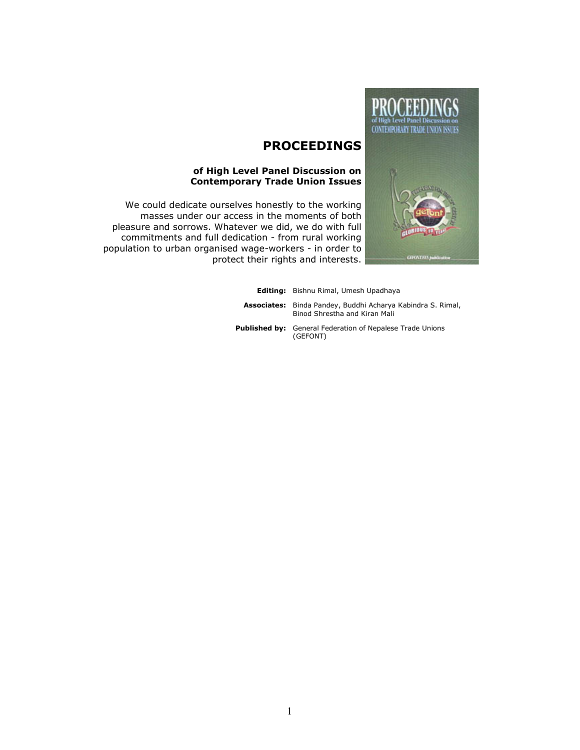

# PROCEEDINGS

#### of High Level Panel Discussion on Contemporary Trade Union Issues

We could dedicate ourselves honestly to the working masses under our access in the moments of both pleasure and sorrows. Whatever we did, we do with full commitments and full dedication - from rural working population to urban organised wage-workers - in order to protect their rights and interests.

> Editing: Bishnu Rimal, Umesh Upadhaya **Associates:** Binda Pandey, Buddhi Acharya Kabindra S. Rimal, Binod Shrestha and Kiran Mali Published by: General Federation of Nepalese Trade Unions (GEFONT)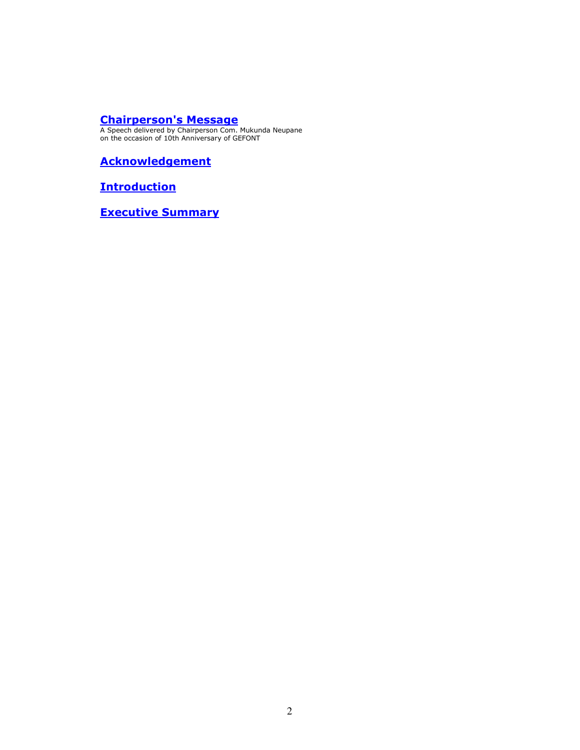# Chairperson's Message

A Speech delivered by Chairperson Com. Mukunda Neupane on the occasion of 10th Anniversary of GEFONT

**Acknowledgement** 

**Introduction** 

Executive Summary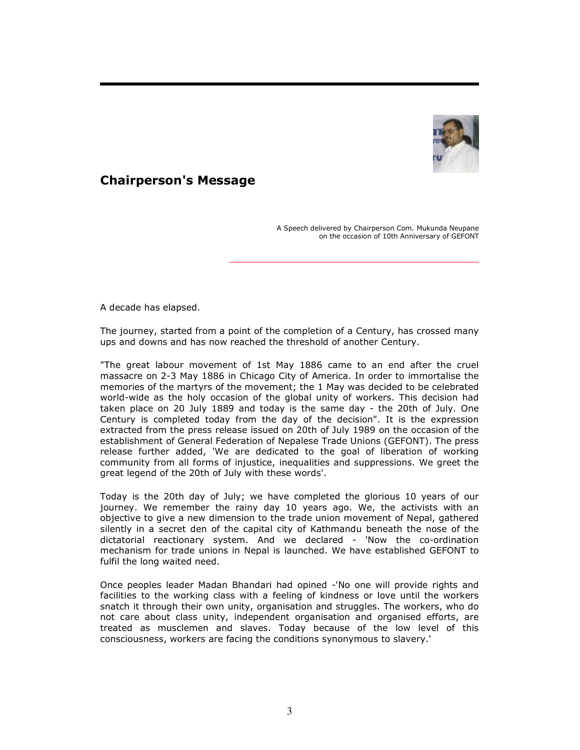

# Chairperson's Message

A Speech delivered by Chairperson Com. Mukunda Neupane on the occasion of 10th Anniversary of GEFONT

A decade has elapsed.

The journey, started from a point of the completion of a Century, has crossed many ups and downs and has now reached the threshold of another Century.

"The great labour movement of 1st May 1886 came to an end after the cruel massacre on 2-3 May 1886 in Chicago City of America. In order to immortalise the memories of the martyrs of the movement; the 1 May was decided to be celebrated world-wide as the holy occasion of the global unity of workers. This decision had taken place on 20 July 1889 and today is the same day - the 20th of July. One Century is completed today from the day of the decision". It is the expression extracted from the press release issued on 20th of July 1989 on the occasion of the establishment of General Federation of Nepalese Trade Unions (GEFONT). The press release further added, 'We are dedicated to the goal of liberation of working community from all forms of injustice, inequalities and suppressions. We greet the great legend of the 20th of July with these words'.

Today is the 20th day of July; we have completed the glorious 10 years of our journey. We remember the rainy day 10 years ago. We, the activists with an objective to give a new dimension to the trade union movement of Nepal, gathered silently in a secret den of the capital city of Kathmandu beneath the nose of the dictatorial reactionary system. And we declared - 'Now the co-ordination mechanism for trade unions in Nepal is launched. We have established GEFONT to fulfil the long waited need.

Once peoples leader Madan Bhandari had opined -'No one will provide rights and facilities to the working class with a feeling of kindness or love until the workers snatch it through their own unity, organisation and struggles. The workers, who do not care about class unity, independent organisation and organised efforts, are treated as musclemen and slaves. Today because of the low level of this consciousness, workers are facing the conditions synonymous to slavery.'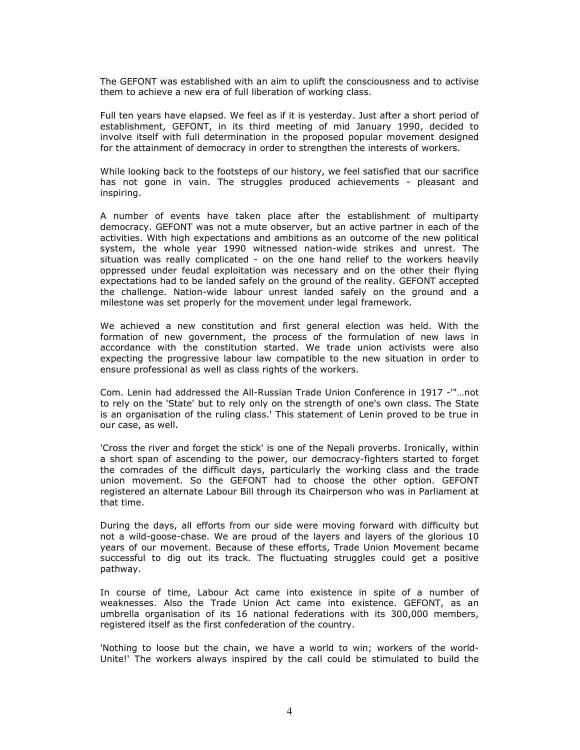The GEFONT was established with an aim to uplift the consciousness and to activise them to achieve a new era of full liberation of working class.

Full ten years have elapsed. We feel as if it is yesterday. Just after a short period of establishment, GEFONT, in its third meeting of mid January 1990, decided to involve itself with full determination in the proposed popular movement designed for the attainment of democracy in order to strengthen the interests of workers.

While looking back to the footsteps of our history, we feel satisfied that our sacrifice has not gone in vain. The struggles produced achievements - pleasant and inspiring.

A number of events have taken place after the establishment of multiparty democracy. GEFONT was not a mute observer, but an active partner in each of the activities. With high expectations and ambitions as an outcome of the new political system, the whole year 1990 witnessed nation-wide strikes and unrest. The situation was really complicated - on the one hand relief to the workers heavily oppressed under feudal exploitation was necessary and on the other their flying expectations had to be landed safely on the ground of the reality. GEFONT accepted the challenge. Nation-wide labour unrest landed safely on the ground and a milestone was set properly for the movement under legal framework.

We achieved a new constitution and first general election was held. With the formation of new government, the process of the formulation of new laws in accordance with the constitution started. We trade union activists were also expecting the progressive labour law compatible to the new situation in order to ensure professional as well as class rights of the workers.

Com. Lenin had addressed the All-Russian Trade Union Conference in 1917 -'"…not to rely on the 'State' but to rely only on the strength of one's own class. The State is an organisation of the ruling class.' This statement of Lenin proved to be true in our case, as well.

'Cross the river and forget the stick' is one of the Nepali proverbs. Ironically, within a short span of ascending to the power, our democracy-fighters started to forget the comrades of the difficult days, particularly the working class and the trade union movement. So the GEFONT had to choose the other option. GEFONT registered an alternate Labour Bill through its Chairperson who was in Parliament at that time.

During the days, all efforts from our side were moving forward with difficulty but not a wild-goose-chase. We are proud of the layers and layers of the glorious 10 years of our movement. Because of these efforts, Trade Union Movement became successful to dig out its track. The fluctuating struggles could get a positive pathway.

In course of time, Labour Act came into existence in spite of a number of weaknesses. Also the Trade Union Act came into existence. GEFONT, as an umbrella organisation of its 16 national federations with its 300,000 members, registered itself as the first confederation of the country.

'Nothing to loose but the chain, we have a world to win; workers of the world-Unite!' The workers always inspired by the call could be stimulated to build the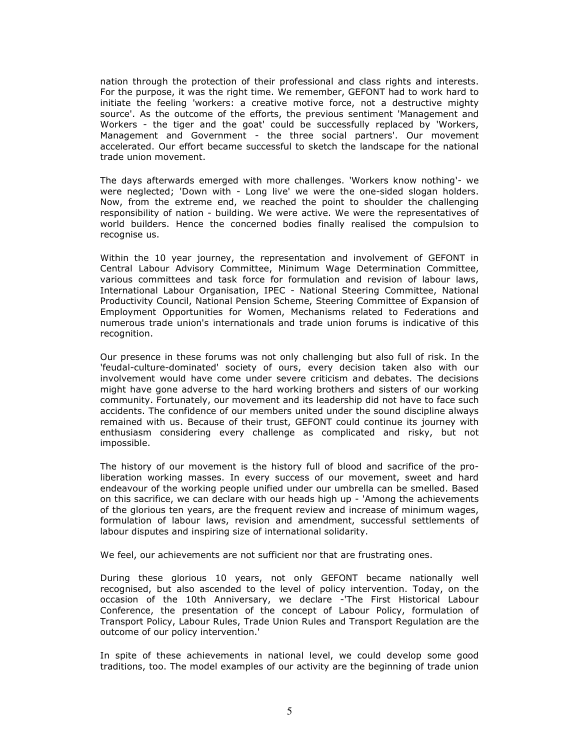nation through the protection of their professional and class rights and interests. For the purpose, it was the right time. We remember, GEFONT had to work hard to initiate the feeling 'workers: a creative motive force, not a destructive mighty source'. As the outcome of the efforts, the previous sentiment 'Management and Workers - the tiger and the goat' could be successfully replaced by 'Workers, Management and Government - the three social partners'. Our movement accelerated. Our effort became successful to sketch the landscape for the national trade union movement.

The days afterwards emerged with more challenges. 'Workers know nothing'- we were neglected; 'Down with - Long live' we were the one-sided slogan holders. Now, from the extreme end, we reached the point to shoulder the challenging responsibility of nation - building. We were active. We were the representatives of world builders. Hence the concerned bodies finally realised the compulsion to recognise us.

Within the 10 year journey, the representation and involvement of GEFONT in Central Labour Advisory Committee, Minimum Wage Determination Committee, various committees and task force for formulation and revision of labour laws, International Labour Organisation, IPEC - National Steering Committee, National Productivity Council, National Pension Scheme, Steering Committee of Expansion of Employment Opportunities for Women, Mechanisms related to Federations and numerous trade union's internationals and trade union forums is indicative of this recognition.

Our presence in these forums was not only challenging but also full of risk. In the 'feudal-culture-dominated' society of ours, every decision taken also with our involvement would have come under severe criticism and debates. The decisions might have gone adverse to the hard working brothers and sisters of our working community. Fortunately, our movement and its leadership did not have to face such accidents. The confidence of our members united under the sound discipline always remained with us. Because of their trust, GEFONT could continue its journey with enthusiasm considering every challenge as complicated and risky, but not impossible.

The history of our movement is the history full of blood and sacrifice of the proliberation working masses. In every success of our movement, sweet and hard endeavour of the working people unified under our umbrella can be smelled. Based on this sacrifice, we can declare with our heads high up - 'Among the achievements of the glorious ten years, are the frequent review and increase of minimum wages, formulation of labour laws, revision and amendment, successful settlements of labour disputes and inspiring size of international solidarity.

We feel, our achievements are not sufficient nor that are frustrating ones.

During these glorious 10 years, not only GEFONT became nationally well recognised, but also ascended to the level of policy intervention. Today, on the occasion of the 10th Anniversary, we declare -'The First Historical Labour Conference, the presentation of the concept of Labour Policy, formulation of Transport Policy, Labour Rules, Trade Union Rules and Transport Regulation are the outcome of our policy intervention.'

In spite of these achievements in national level, we could develop some good traditions, too. The model examples of our activity are the beginning of trade union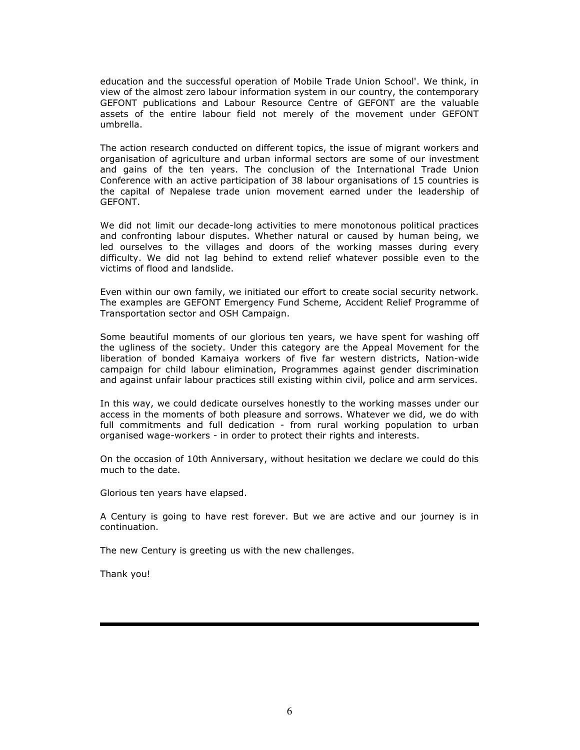education and the successful operation of Mobile Trade Union School'. We think, in view of the almost zero labour information system in our country, the contemporary GEFONT publications and Labour Resource Centre of GEFONT are the valuable assets of the entire labour field not merely of the movement under GEFONT umbrella.

The action research conducted on different topics, the issue of migrant workers and organisation of agriculture and urban informal sectors are some of our investment and gains of the ten years. The conclusion of the International Trade Union Conference with an active participation of 38 labour organisations of 15 countries is the capital of Nepalese trade union movement earned under the leadership of GEFONT.

We did not limit our decade-long activities to mere monotonous political practices and confronting labour disputes. Whether natural or caused by human being, we led ourselves to the villages and doors of the working masses during every difficulty. We did not lag behind to extend relief whatever possible even to the victims of flood and landslide.

Even within our own family, we initiated our effort to create social security network. The examples are GEFONT Emergency Fund Scheme, Accident Relief Programme of Transportation sector and OSH Campaign.

Some beautiful moments of our glorious ten years, we have spent for washing off the ugliness of the society. Under this category are the Appeal Movement for the liberation of bonded Kamaiya workers of five far western districts, Nation-wide campaign for child labour elimination, Programmes against gender discrimination and against unfair labour practices still existing within civil, police and arm services.

In this way, we could dedicate ourselves honestly to the working masses under our access in the moments of both pleasure and sorrows. Whatever we did, we do with full commitments and full dedication - from rural working population to urban organised wage-workers - in order to protect their rights and interests.

On the occasion of 10th Anniversary, without hesitation we declare we could do this much to the date.

Glorious ten years have elapsed.

A Century is going to have rest forever. But we are active and our journey is in continuation.

The new Century is greeting us with the new challenges.

Thank you!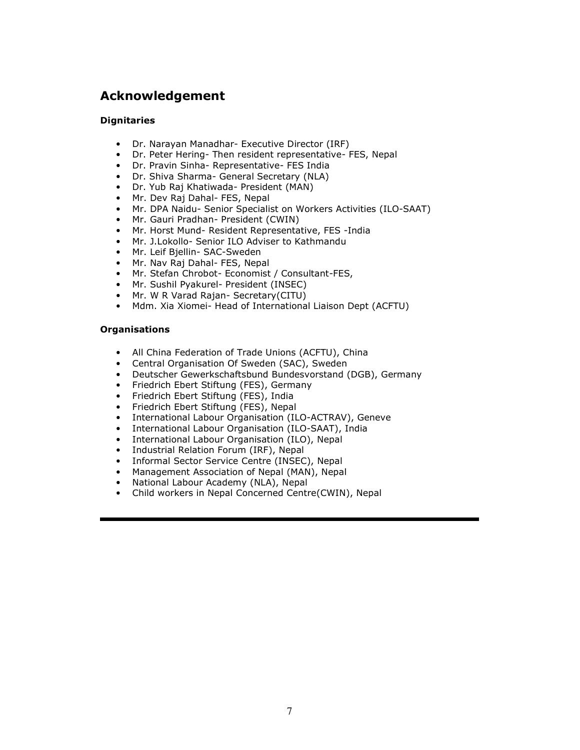# Acknowledgement

## **Dignitaries**

- Dr. Narayan Manadhar- Executive Director (IRF)
- Dr. Peter Hering- Then resident representative- FES, Nepal
- Dr. Pravin Sinha- Representative- FES India
- Dr. Shiva Sharma- General Secretary (NLA)
- Dr. Yub Raj Khatiwada- President (MAN)
- Mr. Dev Raj Dahal- FES, Nepal
- Mr. DPA Naidu- Senior Specialist on Workers Activities (ILO-SAAT)
- Mr. Gauri Pradhan- President (CWIN)
- Mr. Horst Mund- Resident Representative, FES -India
- Mr. J.Lokollo- Senior ILO Adviser to Kathmandu
- Mr. Leif Bjellin- SAC-Sweden
- Mr. Nav Raj Dahal- FES, Nepal
- Mr. Stefan Chrobot- Economist / Consultant-FES,
- Mr. Sushil Pyakurel- President (INSEC)
- Mr. W R Varad Rajan- Secretary(CITU)
- Mdm. Xia Xiomei- Head of International Liaison Dept (ACFTU)

### **Organisations**

- All China Federation of Trade Unions (ACFTU), China
- Central Organisation Of Sweden (SAC), Sweden
- Deutscher Gewerkschaftsbund Bundesvorstand (DGB), Germany
- Friedrich Ebert Stiftung (FES), Germany
- Friedrich Ebert Stiftung (FES), India
- Friedrich Ebert Stiftung (FES), Nepal
- International Labour Organisation (ILO-ACTRAV), Geneve
- International Labour Organisation (ILO-SAAT), India
- International Labour Organisation (ILO), Nepal
- Industrial Relation Forum (IRF), Nepal
- Informal Sector Service Centre (INSEC), Nepal
- Management Association of Nepal (MAN), Nepal
- National Labour Academy (NLA), Nepal
- Child workers in Nepal Concerned Centre(CWIN), Nepal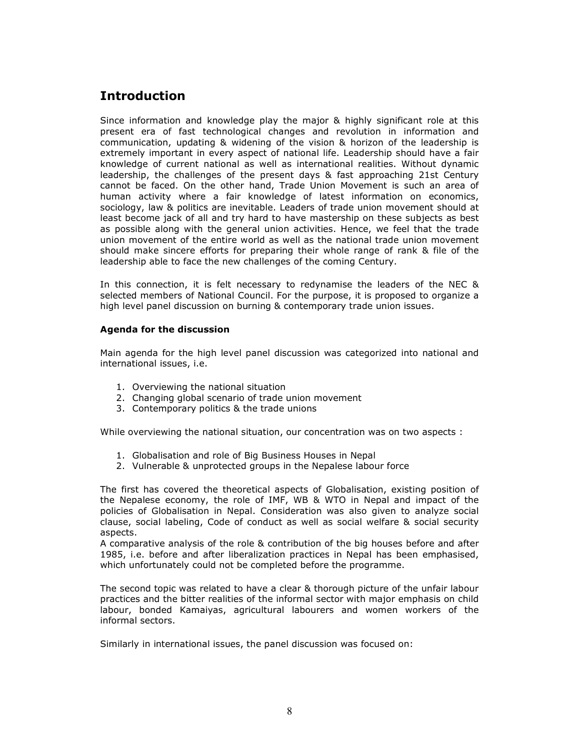# Introduction

Since information and knowledge play the major & highly significant role at this present era of fast technological changes and revolution in information and communication, updating & widening of the vision & horizon of the leadership is extremely important in every aspect of national life. Leadership should have a fair knowledge of current national as well as international realities. Without dynamic leadership, the challenges of the present days & fast approaching 21st Century cannot be faced. On the other hand, Trade Union Movement is such an area of human activity where a fair knowledge of latest information on economics, sociology, law & politics are inevitable. Leaders of trade union movement should at least become jack of all and try hard to have mastership on these subjects as best as possible along with the general union activities. Hence, we feel that the trade union movement of the entire world as well as the national trade union movement should make sincere efforts for preparing their whole range of rank & file of the leadership able to face the new challenges of the coming Century.

In this connection, it is felt necessary to redynamise the leaders of the NEC & selected members of National Council. For the purpose, it is proposed to organize a high level panel discussion on burning & contemporary trade union issues.

## Agenda for the discussion

Main agenda for the high level panel discussion was categorized into national and international issues, i.e.

- 1. Overviewing the national situation
- 2. Changing global scenario of trade union movement
- 3. Contemporary politics & the trade unions

While overviewing the national situation, our concentration was on two aspects :

- 1. Globalisation and role of Big Business Houses in Nepal
- 2. Vulnerable & unprotected groups in the Nepalese labour force

The first has covered the theoretical aspects of Globalisation, existing position of the Nepalese economy, the role of IMF, WB & WTO in Nepal and impact of the policies of Globalisation in Nepal. Consideration was also given to analyze social clause, social labeling, Code of conduct as well as social welfare & social security aspects.

A comparative analysis of the role & contribution of the big houses before and after 1985, i.e. before and after liberalization practices in Nepal has been emphasised, which unfortunately could not be completed before the programme.

The second topic was related to have a clear & thorough picture of the unfair labour practices and the bitter realities of the informal sector with major emphasis on child labour, bonded Kamaiyas, agricultural labourers and women workers of the informal sectors.

Similarly in international issues, the panel discussion was focused on: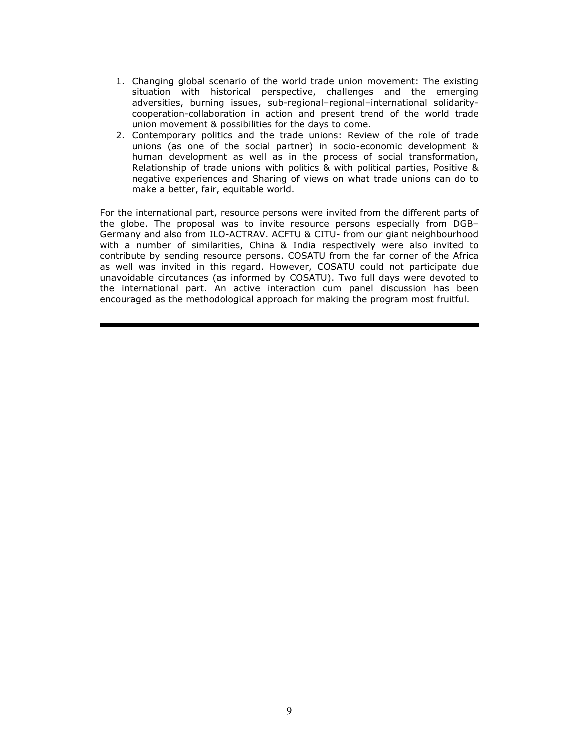- 1. Changing global scenario of the world trade union movement: The existing situation with historical perspective, challenges and the emerging adversities, burning issues, sub-regional–regional–international solidaritycooperation-collaboration in action and present trend of the world trade union movement & possibilities for the days to come.
- 2. Contemporary politics and the trade unions: Review of the role of trade unions (as one of the social partner) in socio-economic development & human development as well as in the process of social transformation, Relationship of trade unions with politics & with political parties, Positive & negative experiences and Sharing of views on what trade unions can do to make a better, fair, equitable world.

For the international part, resource persons were invited from the different parts of the globe. The proposal was to invite resource persons especially from DGB– Germany and also from ILO-ACTRAV. ACFTU & CITU- from our giant neighbourhood with a number of similarities, China & India respectively were also invited to contribute by sending resource persons. COSATU from the far corner of the Africa as well was invited in this regard. However, COSATU could not participate due unavoidable circutances (as informed by COSATU). Two full days were devoted to the international part. An active interaction cum panel discussion has been encouraged as the methodological approach for making the program most fruitful.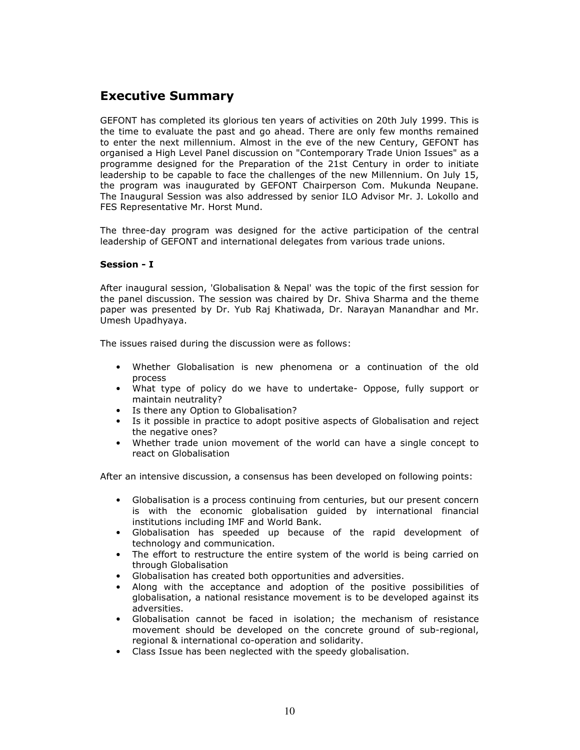# Executive Summary

GEFONT has completed its glorious ten years of activities on 20th July 1999. This is the time to evaluate the past and go ahead. There are only few months remained to enter the next millennium. Almost in the eve of the new Century, GEFONT has organised a High Level Panel discussion on "Contemporary Trade Union Issues" as a programme designed for the Preparation of the 21st Century in order to initiate leadership to be capable to face the challenges of the new Millennium. On July 15, the program was inaugurated by GEFONT Chairperson Com. Mukunda Neupane. The Inaugural Session was also addressed by senior ILO Advisor Mr. J. Lokollo and FES Representative Mr. Horst Mund.

The three-day program was designed for the active participation of the central leadership of GEFONT and international delegates from various trade unions.

## Session - I

After inaugural session, 'Globalisation & Nepal' was the topic of the first session for the panel discussion. The session was chaired by Dr. Shiva Sharma and the theme paper was presented by Dr. Yub Raj Khatiwada, Dr. Narayan Manandhar and Mr. Umesh Upadhyaya.

The issues raised during the discussion were as follows:

- Whether Globalisation is new phenomena or a continuation of the old process
- What type of policy do we have to undertake- Oppose, fully support or maintain neutrality?
- Is there any Option to Globalisation?
- Is it possible in practice to adopt positive aspects of Globalisation and reject the negative ones?
- Whether trade union movement of the world can have a single concept to react on Globalisation

After an intensive discussion, a consensus has been developed on following points:

- Globalisation is a process continuing from centuries, but our present concern is with the economic globalisation guided by international financial institutions including IMF and World Bank.
- Globalisation has speeded up because of the rapid development of technology and communication.
- The effort to restructure the entire system of the world is being carried on through Globalisation
- Globalisation has created both opportunities and adversities.
- Along with the acceptance and adoption of the positive possibilities of globalisation, a national resistance movement is to be developed against its adversities.
- Globalisation cannot be faced in isolation; the mechanism of resistance movement should be developed on the concrete ground of sub-regional, regional & international co-operation and solidarity.
- Class Issue has been neglected with the speedy globalisation.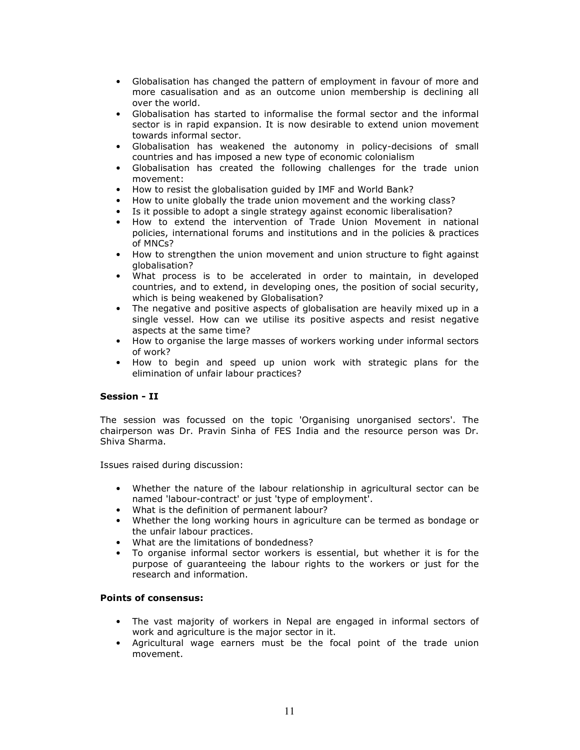- Globalisation has changed the pattern of employment in favour of more and more casualisation and as an outcome union membership is declining all over the world.
- Globalisation has started to informalise the formal sector and the informal sector is in rapid expansion. It is now desirable to extend union movement towards informal sector.
- Globalisation has weakened the autonomy in policy-decisions of small countries and has imposed a new type of economic colonialism
- Globalisation has created the following challenges for the trade union movement:
- How to resist the globalisation guided by IMF and World Bank?
- How to unite globally the trade union movement and the working class?
- Is it possible to adopt a single strategy against economic liberalisation?
- How to extend the intervention of Trade Union Movement in national policies, international forums and institutions and in the policies & practices of MNCs?
- How to strengthen the union movement and union structure to fight against globalisation?
- What process is to be accelerated in order to maintain, in developed countries, and to extend, in developing ones, the position of social security, which is being weakened by Globalisation?
- The negative and positive aspects of globalisation are heavily mixed up in a single vessel. How can we utilise its positive aspects and resist negative aspects at the same time?
- How to organise the large masses of workers working under informal sectors of work?
- How to begin and speed up union work with strategic plans for the elimination of unfair labour practices?

## Session - II

The session was focussed on the topic 'Organising unorganised sectors'. The chairperson was Dr. Pravin Sinha of FES India and the resource person was Dr. Shiva Sharma.

Issues raised during discussion:

- Whether the nature of the labour relationship in agricultural sector can be named 'labour-contract' or just 'type of employment'.
- What is the definition of permanent labour?
- Whether the long working hours in agriculture can be termed as bondage or the unfair labour practices.
- What are the limitations of bondedness?
- To organise informal sector workers is essential, but whether it is for the purpose of guaranteeing the labour rights to the workers or just for the research and information.

### Points of consensus:

- The vast majority of workers in Nepal are engaged in informal sectors of work and agriculture is the major sector in it.
- Agricultural wage earners must be the focal point of the trade union movement.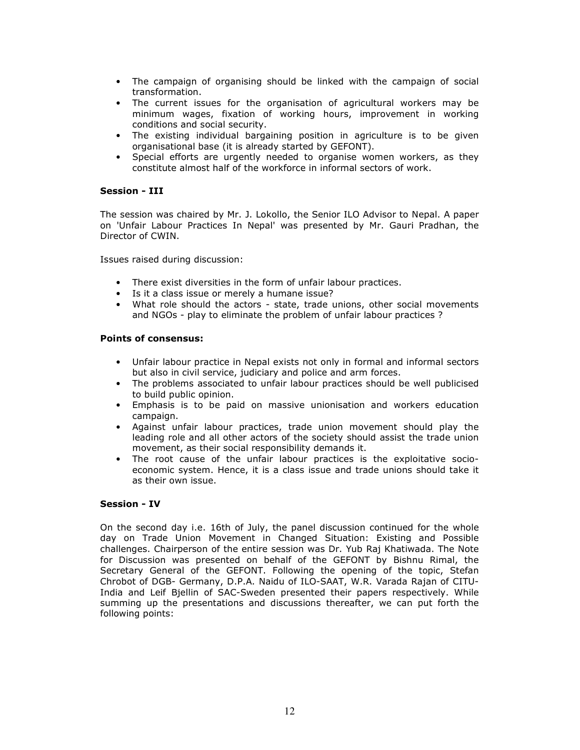- The campaign of organising should be linked with the campaign of social transformation.
- The current issues for the organisation of agricultural workers may be minimum wages, fixation of working hours, improvement in working conditions and social security.
- The existing individual bargaining position in agriculture is to be given organisational base (it is already started by GEFONT).
- Special efforts are urgently needed to organise women workers, as they constitute almost half of the workforce in informal sectors of work.

#### Session - III

The session was chaired by Mr. J. Lokollo, the Senior ILO Advisor to Nepal. A paper on 'Unfair Labour Practices In Nepal' was presented by Mr. Gauri Pradhan, the Director of CWIN.

Issues raised during discussion:

- There exist diversities in the form of unfair labour practices.
- Is it a class issue or merely a humane issue?
- What role should the actors state, trade unions, other social movements and NGOs - play to eliminate the problem of unfair labour practices ?

### Points of consensus:

- Unfair labour practice in Nepal exists not only in formal and informal sectors but also in civil service, judiciary and police and arm forces.
- The problems associated to unfair labour practices should be well publicised to build public opinion.
- Emphasis is to be paid on massive unionisation and workers education campaign.
- Against unfair labour practices, trade union movement should play the leading role and all other actors of the society should assist the trade union movement, as their social responsibility demands it.
- The root cause of the unfair labour practices is the exploitative socioeconomic system. Hence, it is a class issue and trade unions should take it as their own issue.

### Session - IV

On the second day i.e. 16th of July, the panel discussion continued for the whole day on Trade Union Movement in Changed Situation: Existing and Possible challenges. Chairperson of the entire session was Dr. Yub Raj Khatiwada. The Note for Discussion was presented on behalf of the GEFONT by Bishnu Rimal, the Secretary General of the GEFONT. Following the opening of the topic, Stefan Chrobot of DGB- Germany, D.P.A. Naidu of ILO-SAAT, W.R. Varada Rajan of CITU-India and Leif Bjellin of SAC-Sweden presented their papers respectively. While summing up the presentations and discussions thereafter, we can put forth the following points: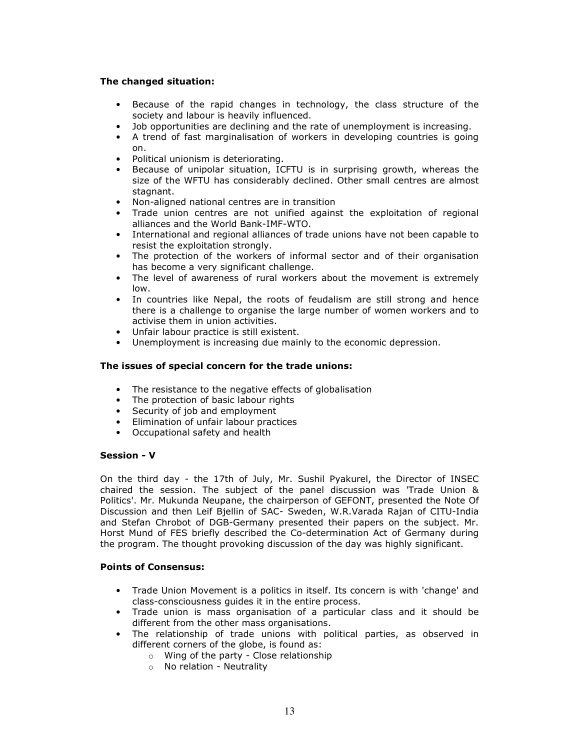## The changed situation:

- Because of the rapid changes in technology, the class structure of the society and labour is heavily influenced.
- Job opportunities are declining and the rate of unemployment is increasing.
- A trend of fast marginalisation of workers in developing countries is going on.
- Political unionism is deteriorating.
- Because of unipolar situation, ICFTU is in surprising growth, whereas the size of the WFTU has considerably declined. Other small centres are almost stagnant.
- Non-aligned national centres are in transition
- Trade union centres are not unified against the exploitation of regional alliances and the World Bank-IMF-WTO.
- International and regional alliances of trade unions have not been capable to resist the exploitation strongly.
- The protection of the workers of informal sector and of their organisation has become a very significant challenge.
- The level of awareness of rural workers about the movement is extremely low.
- In countries like Nepal, the roots of feudalism are still strong and hence there is a challenge to organise the large number of women workers and to activise them in union activities.
- Unfair labour practice is still existent.
- Unemployment is increasing due mainly to the economic depression.

## The issues of special concern for the trade unions:

- The resistance to the negative effects of globalisation
- The protection of basic labour rights
- Security of job and employment
- Elimination of unfair labour practices
- Occupational safety and health

### Session - V

On the third day - the 17th of July, Mr. Sushil Pyakurel, the Director of INSEC chaired the session. The subject of the panel discussion was 'Trade Union & Politics'. Mr. Mukunda Neupane, the chairperson of GEFONT, presented the Note Of Discussion and then Leif Bjellin of SAC- Sweden, W.R.Varada Rajan of CITU-India and Stefan Chrobot of DGB-Germany presented their papers on the subject. Mr. Horst Mund of FES briefly described the Co-determination Act of Germany during the program. The thought provoking discussion of the day was highly significant.

### Points of Consensus:

- Trade Union Movement is a politics in itself. Its concern is with 'change' and class-consciousness guides it in the entire process.
- Trade union is mass organisation of a particular class and it should be different from the other mass organisations.
- The relationship of trade unions with political parties, as observed in different corners of the globe, is found as:
	- o Wing of the party Close relationship
	- o No relation Neutrality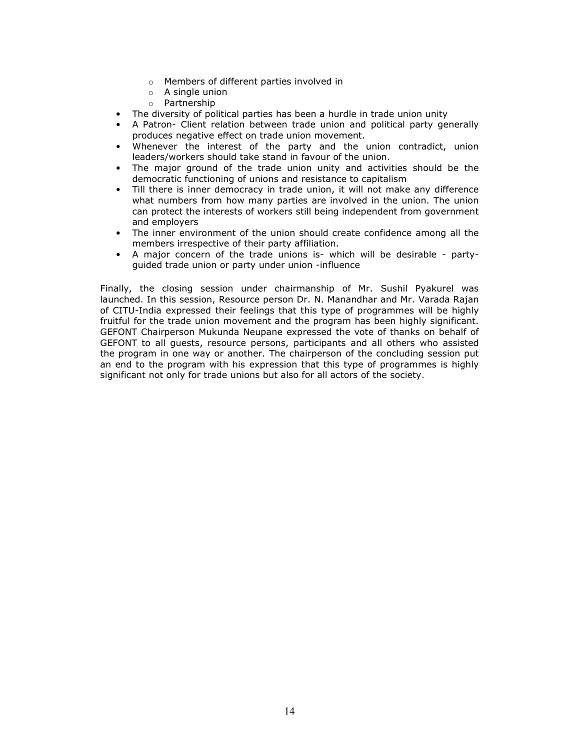- o Members of different parties involved in
- o A single union
- o Partnership
- The diversity of political parties has been a hurdle in trade union unity
- A Patron- Client relation between trade union and political party generally produces negative effect on trade union movement.
- Whenever the interest of the party and the union contradict, union leaders/workers should take stand in favour of the union.
- The major ground of the trade union unity and activities should be the democratic functioning of unions and resistance to capitalism
- Till there is inner democracy in trade union, it will not make any difference what numbers from how many parties are involved in the union. The union can protect the interests of workers still being independent from government and employers
- The inner environment of the union should create confidence among all the members irrespective of their party affiliation.
- A major concern of the trade unions is- which will be desirable partyguided trade union or party under union -influence

Finally, the closing session under chairmanship of Mr. Sushil Pyakurel was launched. In this session, Resource person Dr. N. Manandhar and Mr. Varada Rajan of CITU-India expressed their feelings that this type of programmes will be highly fruitful for the trade union movement and the program has been highly significant. GEFONT Chairperson Mukunda Neupane expressed the vote of thanks on behalf of GEFONT to all guests, resource persons, participants and all others who assisted the program in one way or another. The chairperson of the concluding session put an end to the program with his expression that this type of programmes is highly significant not only for trade unions but also for all actors of the society.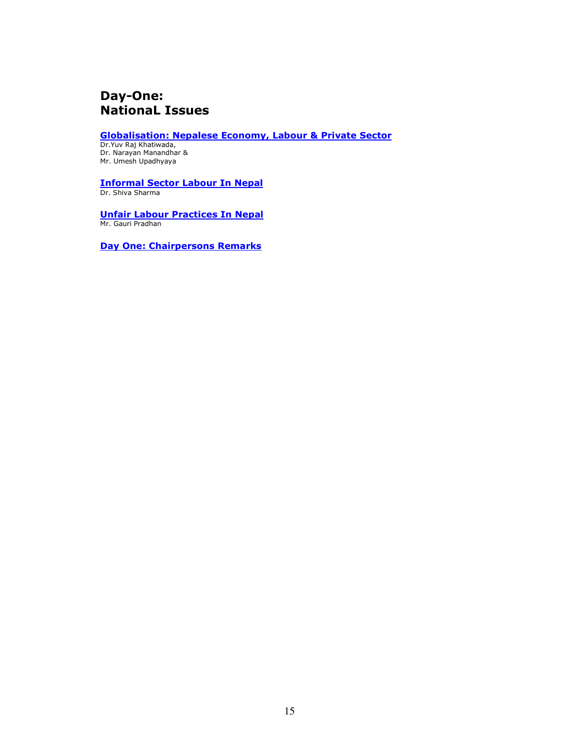# Day-One: NationaL Issues

Globalisation: Nepalese Economy, Labour & Private Sector

Dr.Yuv Raj Khatiwada, Dr. Narayan Manandhar & Mr. Umesh Upadhyaya

Informal Sector Labour In Nepal Dr. Shiva Sharma

Unfair Labour Practices In Nepal Mr. Gauri Pradhan

Day One: Chairpersons Remarks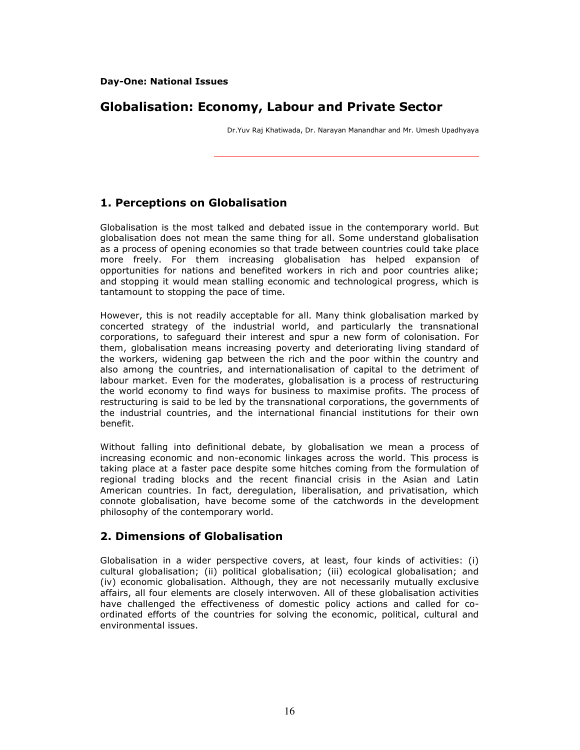# Globalisation: Economy, Labour and Private Sector

Dr.Yuv Raj Khatiwada, Dr. Narayan Manandhar and Mr. Umesh Upadhyaya

# 1. Perceptions on Globalisation

Globalisation is the most talked and debated issue in the contemporary world. But globalisation does not mean the same thing for all. Some understand globalisation as a process of opening economies so that trade between countries could take place more freely. For them increasing globalisation has helped expansion of opportunities for nations and benefited workers in rich and poor countries alike; and stopping it would mean stalling economic and technological progress, which is tantamount to stopping the pace of time.

However, this is not readily acceptable for all. Many think globalisation marked by concerted strategy of the industrial world, and particularly the transnational corporations, to safeguard their interest and spur a new form of colonisation. For them, globalisation means increasing poverty and deteriorating living standard of the workers, widening gap between the rich and the poor within the country and also among the countries, and internationalisation of capital to the detriment of labour market. Even for the moderates, globalisation is a process of restructuring the world economy to find ways for business to maximise profits. The process of restructuring is said to be led by the transnational corporations, the governments of the industrial countries, and the international financial institutions for their own benefit.

Without falling into definitional debate, by globalisation we mean a process of increasing economic and non-economic linkages across the world. This process is taking place at a faster pace despite some hitches coming from the formulation of regional trading blocks and the recent financial crisis in the Asian and Latin American countries. In fact, deregulation, liberalisation, and privatisation, which connote globalisation, have become some of the catchwords in the development philosophy of the contemporary world.

# 2. Dimensions of Globalisation

Globalisation in a wider perspective covers, at least, four kinds of activities: (i) cultural globalisation; (ii) political globalisation; (iii) ecological globalisation; and (iv) economic globalisation. Although, they are not necessarily mutually exclusive affairs, all four elements are closely interwoven. All of these globalisation activities have challenged the effectiveness of domestic policy actions and called for coordinated efforts of the countries for solving the economic, political, cultural and environmental issues.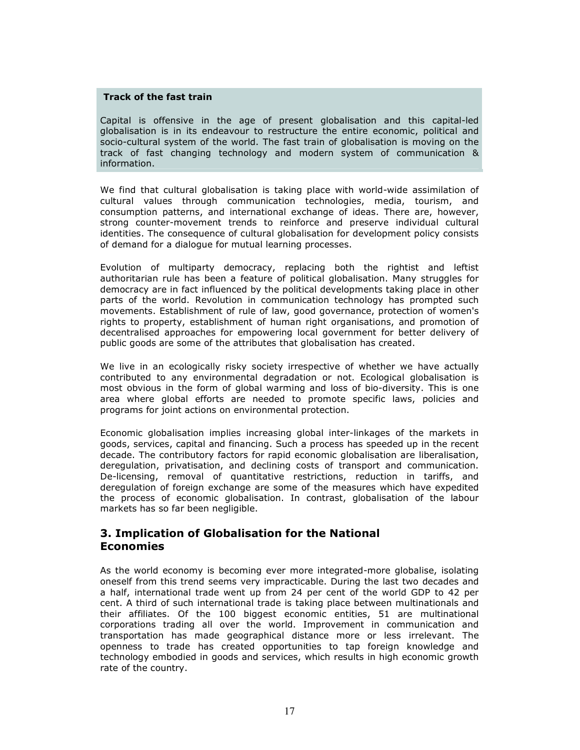### Track of the fast train

Capital is offensive in the age of present globalisation and this capital-led globalisation is in its endeavour to restructure the entire economic, political and socio-cultural system of the world. The fast train of globalisation is moving on the track of fast changing technology and modern system of communication & information.

We find that cultural globalisation is taking place with world-wide assimilation of cultural values through communication technologies, media, tourism, and consumption patterns, and international exchange of ideas. There are, however, strong counter-movement trends to reinforce and preserve individual cultural identities. The consequence of cultural globalisation for development policy consists of demand for a dialogue for mutual learning processes.

Evolution of multiparty democracy, replacing both the rightist and leftist authoritarian rule has been a feature of political globalisation. Many struggles for democracy are in fact influenced by the political developments taking place in other parts of the world. Revolution in communication technology has prompted such movements. Establishment of rule of law, good governance, protection of women's rights to property, establishment of human right organisations, and promotion of decentralised approaches for empowering local government for better delivery of public goods are some of the attributes that globalisation has created.

We live in an ecologically risky society irrespective of whether we have actually contributed to any environmental degradation or not. Ecological globalisation is most obvious in the form of global warming and loss of bio-diversity. This is one area where global efforts are needed to promote specific laws, policies and programs for joint actions on environmental protection.

Economic globalisation implies increasing global inter-linkages of the markets in goods, services, capital and financing. Such a process has speeded up in the recent decade. The contributory factors for rapid economic globalisation are liberalisation, deregulation, privatisation, and declining costs of transport and communication. De-licensing, removal of quantitative restrictions, reduction in tariffs, and deregulation of foreign exchange are some of the measures which have expedited the process of economic globalisation. In contrast, globalisation of the labour markets has so far been negligible.

# 3. Implication of Globalisation for the National Economies

As the world economy is becoming ever more integrated-more globalise, isolating oneself from this trend seems very impracticable. During the last two decades and a half, international trade went up from 24 per cent of the world GDP to 42 per cent. A third of such international trade is taking place between multinationals and their affiliates. Of the 100 biggest economic entities, 51 are multinational corporations trading all over the world. Improvement in communication and transportation has made geographical distance more or less irrelevant. The openness to trade has created opportunities to tap foreign knowledge and technology embodied in goods and services, which results in high economic growth rate of the country.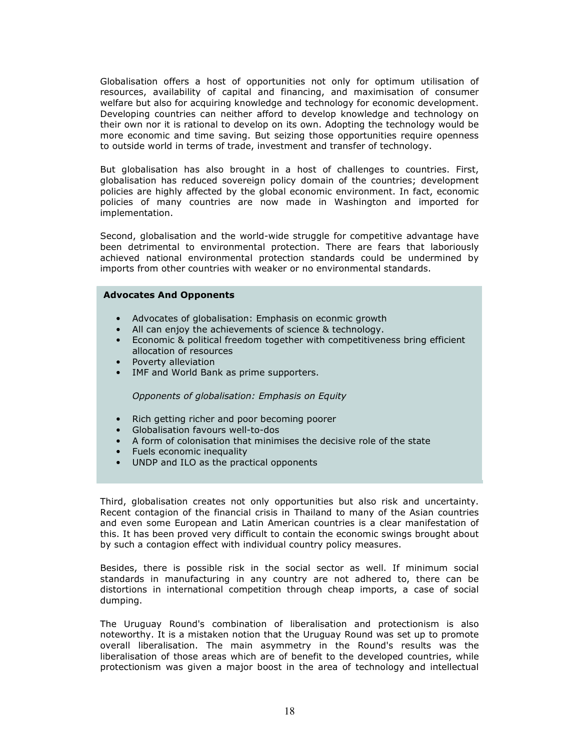Globalisation offers a host of opportunities not only for optimum utilisation of resources, availability of capital and financing, and maximisation of consumer welfare but also for acquiring knowledge and technology for economic development. Developing countries can neither afford to develop knowledge and technology on their own nor it is rational to develop on its own. Adopting the technology would be more economic and time saving. But seizing those opportunities require openness to outside world in terms of trade, investment and transfer of technology.

But globalisation has also brought in a host of challenges to countries. First, globalisation has reduced sovereign policy domain of the countries; development policies are highly affected by the global economic environment. In fact, economic policies of many countries are now made in Washington and imported for implementation.

Second, globalisation and the world-wide struggle for competitive advantage have been detrimental to environmental protection. There are fears that laboriously achieved national environmental protection standards could be undermined by imports from other countries with weaker or no environmental standards.

#### Advocates And Opponents

- Advocates of globalisation: Emphasis on econmic growth
- All can enjoy the achievements of science & technology.
- Economic & political freedom together with competitiveness bring efficient allocation of resources
- Poverty alleviation
- IMF and World Bank as prime supporters.

Opponents of globalisation: Emphasis on Equity

- Rich getting richer and poor becoming poorer
- Globalisation favours well-to-dos
- A form of colonisation that minimises the decisive role of the state
- Fuels economic inequality
- UNDP and ILO as the practical opponents

Third, globalisation creates not only opportunities but also risk and uncertainty. Recent contagion of the financial crisis in Thailand to many of the Asian countries and even some European and Latin American countries is a clear manifestation of this. It has been proved very difficult to contain the economic swings brought about by such a contagion effect with individual country policy measures.

Besides, there is possible risk in the social sector as well. If minimum social standards in manufacturing in any country are not adhered to, there can be distortions in international competition through cheap imports, a case of social dumping.

The Uruguay Round's combination of liberalisation and protectionism is also noteworthy. It is a mistaken notion that the Uruguay Round was set up to promote overall liberalisation. The main asymmetry in the Round's results was the liberalisation of those areas which are of benefit to the developed countries, while protectionism was given a major boost in the area of technology and intellectual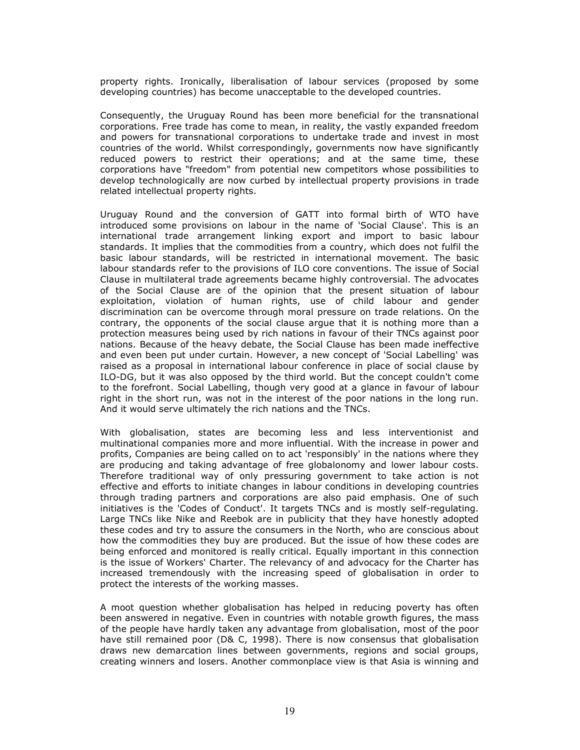property rights. Ironically, liberalisation of labour services (proposed by some developing countries) has become unacceptable to the developed countries.

Consequently, the Uruguay Round has been more beneficial for the transnational corporations. Free trade has come to mean, in reality, the vastly expanded freedom and powers for transnational corporations to undertake trade and invest in most countries of the world. Whilst correspondingly, governments now have significantly reduced powers to restrict their operations; and at the same time, these corporations have "freedom" from potential new competitors whose possibilities to develop technologically are now curbed by intellectual property provisions in trade related intellectual property rights.

Uruguay Round and the conversion of GATT into formal birth of WTO have introduced some provisions on labour in the name of 'Social Clause'. This is an international trade arrangement linking export and import to basic labour standards. It implies that the commodities from a country, which does not fulfil the basic labour standards, will be restricted in international movement. The basic labour standards refer to the provisions of ILO core conventions. The issue of Social Clause in multilateral trade agreements became highly controversial. The advocates of the Social Clause are of the opinion that the present situation of labour exploitation, violation of human rights, use of child labour and gender discrimination can be overcome through moral pressure on trade relations. On the contrary, the opponents of the social clause argue that it is nothing more than a protection measures being used by rich nations in favour of their TNCs against poor nations. Because of the heavy debate, the Social Clause has been made ineffective and even been put under curtain. However, a new concept of 'Social Labelling' was raised as a proposal in international labour conference in place of social clause by ILO-DG, but it was also opposed by the third world. But the concept couldn't come to the forefront. Social Labelling, though very good at a glance in favour of labour right in the short run, was not in the interest of the poor nations in the long run. And it would serve ultimately the rich nations and the TNCs.

With globalisation, states are becoming less and less interventionist and multinational companies more and more influential. With the increase in power and profits, Companies are being called on to act 'responsibly' in the nations where they are producing and taking advantage of free globalonomy and lower labour costs. Therefore traditional way of only pressuring government to take action is not effective and efforts to initiate changes in labour conditions in developing countries through trading partners and corporations are also paid emphasis. One of such initiatives is the 'Codes of Conduct'. It targets TNCs and is mostly self-regulating. Large TNCs like Nike and Reebok are in publicity that they have honestly adopted these codes and try to assure the consumers in the North, who are conscious about how the commodities they buy are produced. But the issue of how these codes are being enforced and monitored is really critical. Equally important in this connection is the issue of Workers' Charter. The relevancy of and advocacy for the Charter has increased tremendously with the increasing speed of globalisation in order to protect the interests of the working masses.

A moot question whether globalisation has helped in reducing poverty has often been answered in negative. Even in countries with notable growth figures, the mass of the people have hardly taken any advantage from globalisation, most of the poor have still remained poor (D& C, 1998). There is now consensus that globalisation draws new demarcation lines between governments, regions and social groups, creating winners and losers. Another commonplace view is that Asia is winning and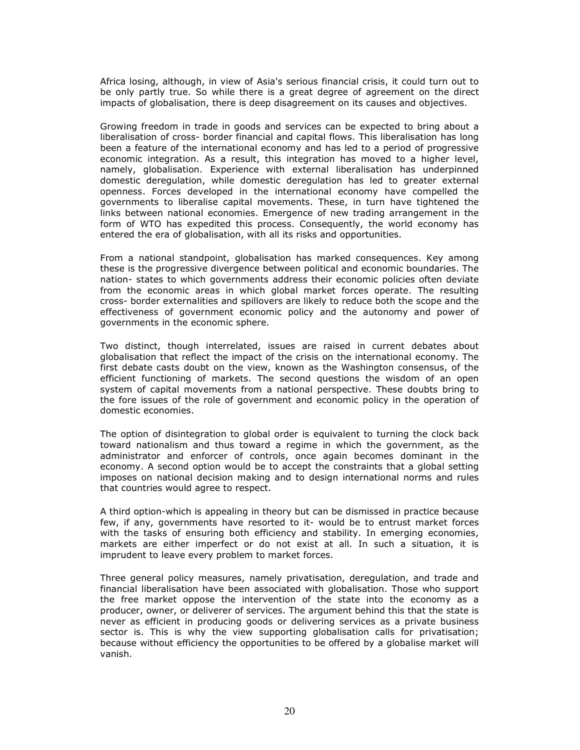Africa losing, although, in view of Asia's serious financial crisis, it could turn out to be only partly true. So while there is a great degree of agreement on the direct impacts of globalisation, there is deep disagreement on its causes and objectives.

Growing freedom in trade in goods and services can be expected to bring about a liberalisation of cross- border financial and capital flows. This liberalisation has long been a feature of the international economy and has led to a period of progressive economic integration. As a result, this integration has moved to a higher level, namely, globalisation. Experience with external liberalisation has underpinned domestic deregulation, while domestic deregulation has led to greater external openness. Forces developed in the international economy have compelled the governments to liberalise capital movements. These, in turn have tightened the links between national economies. Emergence of new trading arrangement in the form of WTO has expedited this process. Consequently, the world economy has entered the era of globalisation, with all its risks and opportunities.

From a national standpoint, globalisation has marked consequences. Key among these is the progressive divergence between political and economic boundaries. The nation- states to which governments address their economic policies often deviate from the economic areas in which global market forces operate. The resulting cross- border externalities and spillovers are likely to reduce both the scope and the effectiveness of government economic policy and the autonomy and power of governments in the economic sphere.

Two distinct, though interrelated, issues are raised in current debates about globalisation that reflect the impact of the crisis on the international economy. The first debate casts doubt on the view, known as the Washington consensus, of the efficient functioning of markets. The second questions the wisdom of an open system of capital movements from a national perspective. These doubts bring to the fore issues of the role of government and economic policy in the operation of domestic economies.

The option of disintegration to global order is equivalent to turning the clock back toward nationalism and thus toward a regime in which the government, as the administrator and enforcer of controls, once again becomes dominant in the economy. A second option would be to accept the constraints that a global setting imposes on national decision making and to design international norms and rules that countries would agree to respect.

A third option-which is appealing in theory but can be dismissed in practice because few, if any, governments have resorted to it- would be to entrust market forces with the tasks of ensuring both efficiency and stability. In emerging economies, markets are either imperfect or do not exist at all. In such a situation, it is imprudent to leave every problem to market forces.

Three general policy measures, namely privatisation, deregulation, and trade and financial liberalisation have been associated with globalisation. Those who support the free market oppose the intervention of the state into the economy as a producer, owner, or deliverer of services. The argument behind this that the state is never as efficient in producing goods or delivering services as a private business sector is. This is why the view supporting globalisation calls for privatisation; because without efficiency the opportunities to be offered by a globalise market will vanish.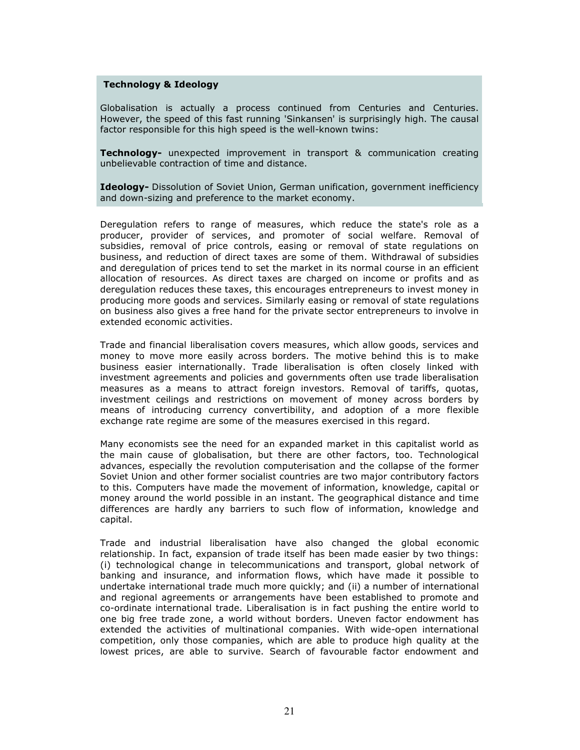#### Technology & Ideology

Globalisation is actually a process continued from Centuries and Centuries. However, the speed of this fast running 'Sinkansen' is surprisingly high. The causal factor responsible for this high speed is the well-known twins:

**Technology-** unexpected improvement in transport & communication creating unbelievable contraction of time and distance.

**Ideology-** Dissolution of Soviet Union, German unification, government inefficiency and down-sizing and preference to the market economy.

Deregulation refers to range of measures, which reduce the state's role as a producer, provider of services, and promoter of social welfare. Removal of subsidies, removal of price controls, easing or removal of state regulations on business, and reduction of direct taxes are some of them. Withdrawal of subsidies and deregulation of prices tend to set the market in its normal course in an efficient allocation of resources. As direct taxes are charged on income or profits and as deregulation reduces these taxes, this encourages entrepreneurs to invest money in producing more goods and services. Similarly easing or removal of state regulations on business also gives a free hand for the private sector entrepreneurs to involve in extended economic activities.

Trade and financial liberalisation covers measures, which allow goods, services and money to move more easily across borders. The motive behind this is to make business easier internationally. Trade liberalisation is often closely linked with investment agreements and policies and governments often use trade liberalisation measures as a means to attract foreign investors. Removal of tariffs, quotas, investment ceilings and restrictions on movement of money across borders by means of introducing currency convertibility, and adoption of a more flexible exchange rate regime are some of the measures exercised in this regard.

Many economists see the need for an expanded market in this capitalist world as the main cause of globalisation, but there are other factors, too. Technological advances, especially the revolution computerisation and the collapse of the former Soviet Union and other former socialist countries are two major contributory factors to this. Computers have made the movement of information, knowledge, capital or money around the world possible in an instant. The geographical distance and time differences are hardly any barriers to such flow of information, knowledge and capital.

Trade and industrial liberalisation have also changed the global economic relationship. In fact, expansion of trade itself has been made easier by two things: (i) technological change in telecommunications and transport, global network of banking and insurance, and information flows, which have made it possible to undertake international trade much more quickly; and (ii) a number of international and regional agreements or arrangements have been established to promote and co-ordinate international trade. Liberalisation is in fact pushing the entire world to one big free trade zone, a world without borders. Uneven factor endowment has extended the activities of multinational companies. With wide-open international competition, only those companies, which are able to produce high quality at the lowest prices, are able to survive. Search of favourable factor endowment and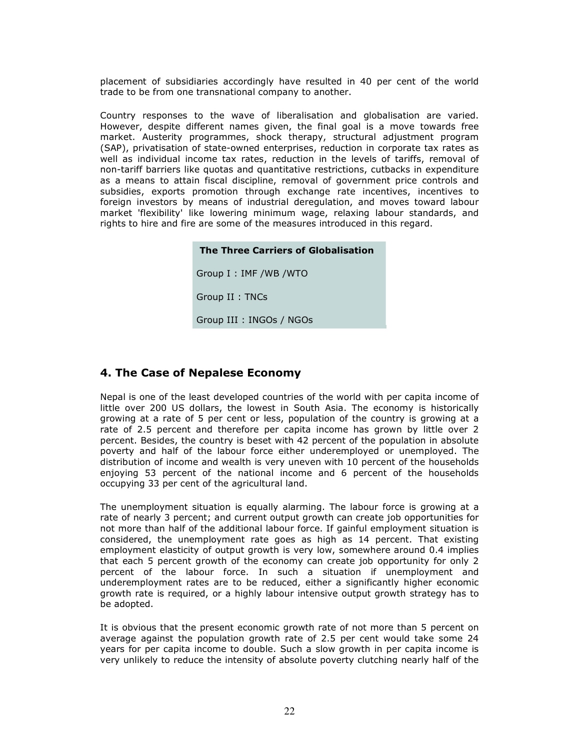placement of subsidiaries accordingly have resulted in 40 per cent of the world trade to be from one transnational company to another.

Country responses to the wave of liberalisation and globalisation are varied. However, despite different names given, the final goal is a move towards free market. Austerity programmes, shock therapy, structural adjustment program (SAP), privatisation of state-owned enterprises, reduction in corporate tax rates as well as individual income tax rates, reduction in the levels of tariffs, removal of non-tariff barriers like quotas and quantitative restrictions, cutbacks in expenditure as a means to attain fiscal discipline, removal of government price controls and subsidies, exports promotion through exchange rate incentives, incentives to foreign investors by means of industrial deregulation, and moves toward labour market 'flexibility' like lowering minimum wage, relaxing labour standards, and rights to hire and fire are some of the measures introduced in this regard.



# 4. The Case of Nepalese Economy

Nepal is one of the least developed countries of the world with per capita income of little over 200 US dollars, the lowest in South Asia. The economy is historically growing at a rate of 5 per cent or less, population of the country is growing at a rate of 2.5 percent and therefore per capita income has grown by little over 2 percent. Besides, the country is beset with 42 percent of the population in absolute poverty and half of the labour force either underemployed or unemployed. The distribution of income and wealth is very uneven with 10 percent of the households enjoying 53 percent of the national income and 6 percent of the households occupying 33 per cent of the agricultural land.

The unemployment situation is equally alarming. The labour force is growing at a rate of nearly 3 percent; and current output growth can create job opportunities for not more than half of the additional labour force. If gainful employment situation is considered, the unemployment rate goes as high as 14 percent. That existing employment elasticity of output growth is very low, somewhere around 0.4 implies that each 5 percent growth of the economy can create job opportunity for only 2 percent of the labour force. In such a situation if unemployment and underemployment rates are to be reduced, either a significantly higher economic growth rate is required, or a highly labour intensive output growth strategy has to be adopted.

It is obvious that the present economic growth rate of not more than 5 percent on average against the population growth rate of 2.5 per cent would take some 24 years for per capita income to double. Such a slow growth in per capita income is very unlikely to reduce the intensity of absolute poverty clutching nearly half of the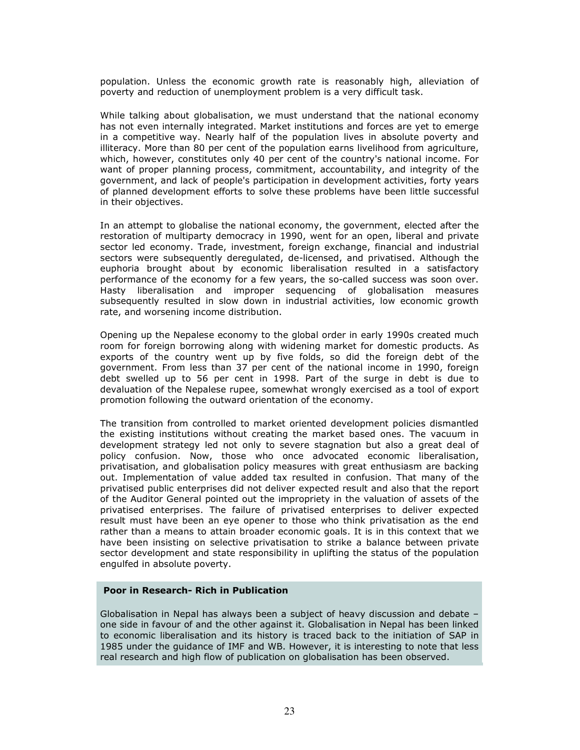population. Unless the economic growth rate is reasonably high, alleviation of poverty and reduction of unemployment problem is a very difficult task.

While talking about globalisation, we must understand that the national economy has not even internally integrated. Market institutions and forces are yet to emerge in a competitive way. Nearly half of the population lives in absolute poverty and illiteracy. More than 80 per cent of the population earns livelihood from agriculture, which, however, constitutes only 40 per cent of the country's national income. For want of proper planning process, commitment, accountability, and integrity of the government, and lack of people's participation in development activities, forty years of planned development efforts to solve these problems have been little successful in their objectives.

In an attempt to globalise the national economy, the government, elected after the restoration of multiparty democracy in 1990, went for an open, liberal and private sector led economy. Trade, investment, foreign exchange, financial and industrial sectors were subsequently deregulated, de-licensed, and privatised. Although the euphoria brought about by economic liberalisation resulted in a satisfactory performance of the economy for a few years, the so-called success was soon over. Hasty liberalisation and improper sequencing of globalisation measures subsequently resulted in slow down in industrial activities, low economic growth rate, and worsening income distribution.

Opening up the Nepalese economy to the global order in early 1990s created much room for foreign borrowing along with widening market for domestic products. As exports of the country went up by five folds, so did the foreign debt of the government. From less than 37 per cent of the national income in 1990, foreign debt swelled up to 56 per cent in 1998. Part of the surge in debt is due to devaluation of the Nepalese rupee, somewhat wrongly exercised as a tool of export promotion following the outward orientation of the economy.

The transition from controlled to market oriented development policies dismantled the existing institutions without creating the market based ones. The vacuum in development strategy led not only to severe stagnation but also a great deal of policy confusion. Now, those who once advocated economic liberalisation, privatisation, and globalisation policy measures with great enthusiasm are backing out. Implementation of value added tax resulted in confusion. That many of the privatised public enterprises did not deliver expected result and also that the report of the Auditor General pointed out the impropriety in the valuation of assets of the privatised enterprises. The failure of privatised enterprises to deliver expected result must have been an eye opener to those who think privatisation as the end rather than a means to attain broader economic goals. It is in this context that we have been insisting on selective privatisation to strike a balance between private sector development and state responsibility in uplifting the status of the population engulfed in absolute poverty.

#### Poor in Research- Rich in Publication

Globalisation in Nepal has always been a subject of heavy discussion and debate – one side in favour of and the other against it. Globalisation in Nepal has been linked to economic liberalisation and its history is traced back to the initiation of SAP in 1985 under the guidance of IMF and WB. However, it is interesting to note that less real research and high flow of publication on globalisation has been observed.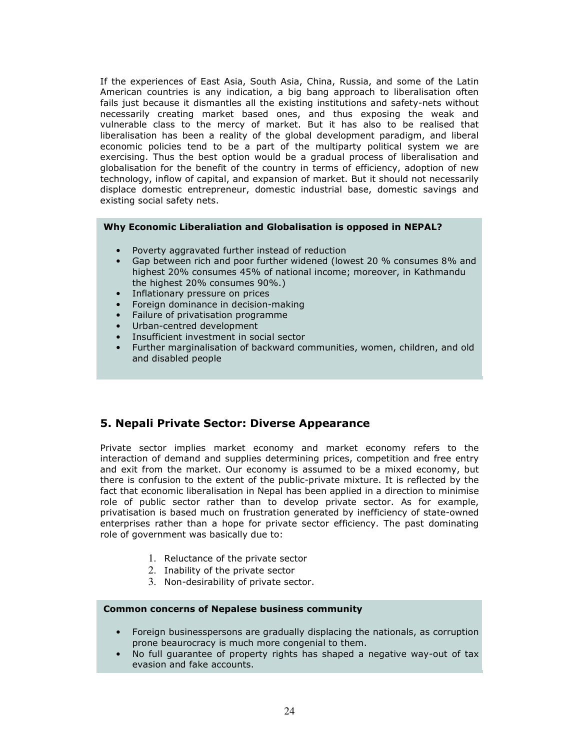If the experiences of East Asia, South Asia, China, Russia, and some of the Latin American countries is any indication, a big bang approach to liberalisation often fails just because it dismantles all the existing institutions and safety-nets without necessarily creating market based ones, and thus exposing the weak and vulnerable class to the mercy of market. But it has also to be realised that liberalisation has been a reality of the global development paradigm, and liberal economic policies tend to be a part of the multiparty political system we are exercising. Thus the best option would be a gradual process of liberalisation and globalisation for the benefit of the country in terms of efficiency, adoption of new technology, inflow of capital, and expansion of market. But it should not necessarily displace domestic entrepreneur, domestic industrial base, domestic savings and existing social safety nets.

### Why Economic Liberaliation and Globalisation is opposed in NEPAL?

- Poverty aggravated further instead of reduction
- Gap between rich and poor further widened (lowest 20 % consumes 8% and highest 20% consumes 45% of national income; moreover, in Kathmandu the highest 20% consumes 90%.)
- Inflationary pressure on prices<br>• Forejan dominance in decision-
- Foreign dominance in decision-making
- Failure of privatisation programme
- Urban-centred development
- Insufficient investment in social sector
- Further marginalisation of backward communities, women, children, and old and disabled people

# 5. Nepali Private Sector: Diverse Appearance

Private sector implies market economy and market economy refers to the interaction of demand and supplies determining prices, competition and free entry and exit from the market. Our economy is assumed to be a mixed economy, but there is confusion to the extent of the public-private mixture. It is reflected by the fact that economic liberalisation in Nepal has been applied in a direction to minimise role of public sector rather than to develop private sector. As for example, privatisation is based much on frustration generated by inefficiency of state-owned enterprises rather than a hope for private sector efficiency. The past dominating role of government was basically due to:

- 1. Reluctance of the private sector
- 2. Inability of the private sector
- 3. Non-desirability of private sector.

## Common concerns of Nepalese business community

- Foreign businesspersons are gradually displacing the nationals, as corruption prone beaurocracy is much more congenial to them.
- No full guarantee of property rights has shaped a negative way-out of tax evasion and fake accounts.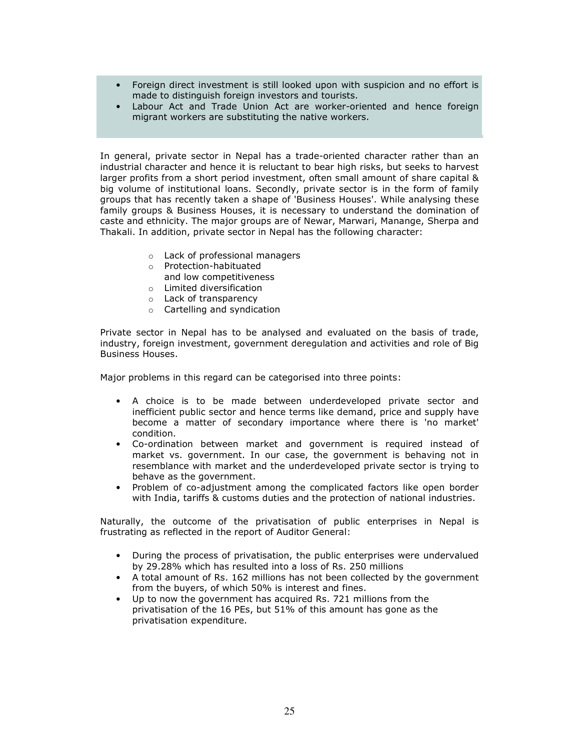- Foreign direct investment is still looked upon with suspicion and no effort is made to distinguish foreign investors and tourists.
- Labour Act and Trade Union Act are worker-oriented and hence foreign migrant workers are substituting the native workers.

In general, private sector in Nepal has a trade-oriented character rather than an industrial character and hence it is reluctant to bear high risks, but seeks to harvest larger profits from a short period investment, often small amount of share capital & big volume of institutional loans. Secondly, private sector is in the form of family groups that has recently taken a shape of 'Business Houses'. While analysing these family groups & Business Houses, it is necessary to understand the domination of caste and ethnicity. The major groups are of Newar, Marwari, Manange, Sherpa and Thakali. In addition, private sector in Nepal has the following character:

- o Lack of professional managers
- o Protection-habituated and low competitiveness
- o Limited diversification
- o Lack of transparency
- o Cartelling and syndication

Private sector in Nepal has to be analysed and evaluated on the basis of trade, industry, foreign investment, government deregulation and activities and role of Big Business Houses.

Major problems in this regard can be categorised into three points:

- A choice is to be made between underdeveloped private sector and inefficient public sector and hence terms like demand, price and supply have become a matter of secondary importance where there is 'no market' condition.
- Co-ordination between market and government is required instead of market vs. government. In our case, the government is behaving not in resemblance with market and the underdeveloped private sector is trying to behave as the government.
- Problem of co-adjustment among the complicated factors like open border with India, tariffs & customs duties and the protection of national industries.

Naturally, the outcome of the privatisation of public enterprises in Nepal is frustrating as reflected in the report of Auditor General:

- During the process of privatisation, the public enterprises were undervalued by 29.28% which has resulted into a loss of Rs. 250 millions
- A total amount of Rs. 162 millions has not been collected by the government from the buyers, of which 50% is interest and fines.
- Up to now the government has acquired Rs. 721 millions from the privatisation of the 16 PEs, but 51% of this amount has gone as the privatisation expenditure.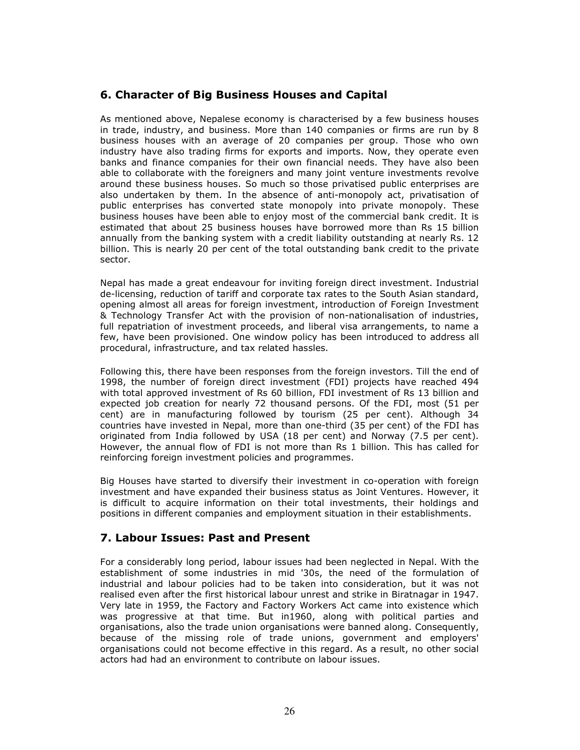# 6. Character of Big Business Houses and Capital

As mentioned above, Nepalese economy is characterised by a few business houses in trade, industry, and business. More than 140 companies or firms are run by 8 business houses with an average of 20 companies per group. Those who own industry have also trading firms for exports and imports. Now, they operate even banks and finance companies for their own financial needs. They have also been able to collaborate with the foreigners and many joint venture investments revolve around these business houses. So much so those privatised public enterprises are also undertaken by them. In the absence of anti-monopoly act, privatisation of public enterprises has converted state monopoly into private monopoly. These business houses have been able to enjoy most of the commercial bank credit. It is estimated that about 25 business houses have borrowed more than Rs 15 billion annually from the banking system with a credit liability outstanding at nearly Rs. 12 billion. This is nearly 20 per cent of the total outstanding bank credit to the private sector.

Nepal has made a great endeavour for inviting foreign direct investment. Industrial de-licensing, reduction of tariff and corporate tax rates to the South Asian standard, opening almost all areas for foreign investment, introduction of Foreign Investment & Technology Transfer Act with the provision of non-nationalisation of industries, full repatriation of investment proceeds, and liberal visa arrangements, to name a few, have been provisioned. One window policy has been introduced to address all procedural, infrastructure, and tax related hassles.

Following this, there have been responses from the foreign investors. Till the end of 1998, the number of foreign direct investment (FDI) projects have reached 494 with total approved investment of Rs 60 billion, FDI investment of Rs 13 billion and expected job creation for nearly 72 thousand persons. Of the FDI, most (51 per cent) are in manufacturing followed by tourism (25 per cent). Although 34 countries have invested in Nepal, more than one-third (35 per cent) of the FDI has originated from India followed by USA (18 per cent) and Norway (7.5 per cent). However, the annual flow of FDI is not more than Rs 1 billion. This has called for reinforcing foreign investment policies and programmes.

Big Houses have started to diversify their investment in co-operation with foreign investment and have expanded their business status as Joint Ventures. However, it is difficult to acquire information on their total investments, their holdings and positions in different companies and employment situation in their establishments.

# 7. Labour Issues: Past and Present

For a considerably long period, labour issues had been neglected in Nepal. With the establishment of some industries in mid '30s, the need of the formulation of industrial and labour policies had to be taken into consideration, but it was not realised even after the first historical labour unrest and strike in Biratnagar in 1947. Very late in 1959, the Factory and Factory Workers Act came into existence which was progressive at that time. But in1960, along with political parties and organisations, also the trade union organisations were banned along. Consequently, because of the missing role of trade unions, government and employers' organisations could not become effective in this regard. As a result, no other social actors had had an environment to contribute on labour issues.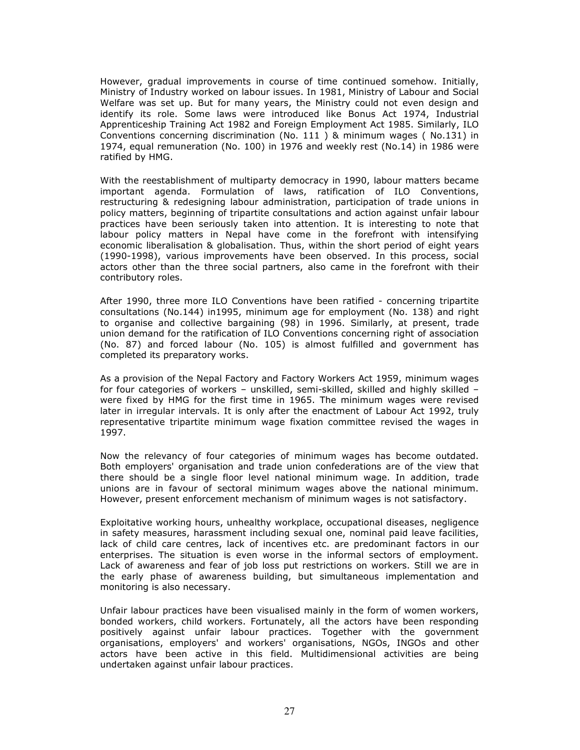However, gradual improvements in course of time continued somehow. Initially, Ministry of Industry worked on labour issues. In 1981, Ministry of Labour and Social Welfare was set up. But for many years, the Ministry could not even design and identify its role. Some laws were introduced like Bonus Act 1974, Industrial Apprenticeship Training Act 1982 and Foreign Employment Act 1985. Similarly, ILO Conventions concerning discrimination (No. 111 ) & minimum wages ( No.131) in 1974, equal remuneration (No. 100) in 1976 and weekly rest (No.14) in 1986 were ratified by HMG.

With the reestablishment of multiparty democracy in 1990, labour matters became important agenda. Formulation of laws, ratification of ILO Conventions, restructuring & redesigning labour administration, participation of trade unions in policy matters, beginning of tripartite consultations and action against unfair labour practices have been seriously taken into attention. It is interesting to note that labour policy matters in Nepal have come in the forefront with intensifying economic liberalisation & globalisation. Thus, within the short period of eight years (1990-1998), various improvements have been observed. In this process, social actors other than the three social partners, also came in the forefront with their contributory roles.

After 1990, three more ILO Conventions have been ratified - concerning tripartite consultations (No.144) in1995, minimum age for employment (No. 138) and right to organise and collective bargaining (98) in 1996. Similarly, at present, trade union demand for the ratification of ILO Conventions concerning right of association (No. 87) and forced labour (No. 105) is almost fulfilled and government has completed its preparatory works.

As a provision of the Nepal Factory and Factory Workers Act 1959, minimum wages for four categories of workers – unskilled, semi-skilled, skilled and highly skilled – were fixed by HMG for the first time in 1965. The minimum wages were revised later in irregular intervals. It is only after the enactment of Labour Act 1992, truly representative tripartite minimum wage fixation committee revised the wages in 1997.

Now the relevancy of four categories of minimum wages has become outdated. Both employers' organisation and trade union confederations are of the view that there should be a single floor level national minimum wage. In addition, trade unions are in favour of sectoral minimum wages above the national minimum. However, present enforcement mechanism of minimum wages is not satisfactory.

Exploitative working hours, unhealthy workplace, occupational diseases, negligence in safety measures, harassment including sexual one, nominal paid leave facilities, lack of child care centres, lack of incentives etc. are predominant factors in our enterprises. The situation is even worse in the informal sectors of employment. Lack of awareness and fear of job loss put restrictions on workers. Still we are in the early phase of awareness building, but simultaneous implementation and monitoring is also necessary.

Unfair labour practices have been visualised mainly in the form of women workers, bonded workers, child workers. Fortunately, all the actors have been responding positively against unfair labour practices. Together with the government organisations, employers' and workers' organisations, NGOs, INGOs and other actors have been active in this field. Multidimensional activities are being undertaken against unfair labour practices.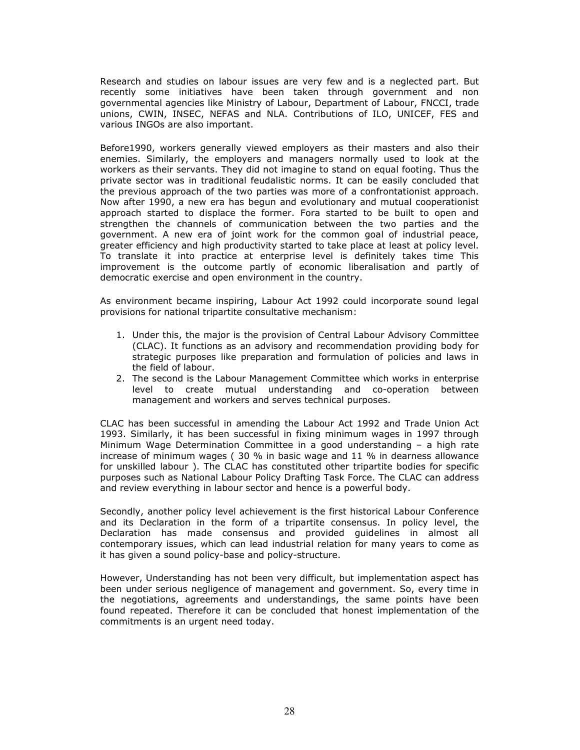Research and studies on labour issues are very few and is a neglected part. But recently some initiatives have been taken through government and non governmental agencies like Ministry of Labour, Department of Labour, FNCCI, trade unions, CWIN, INSEC, NEFAS and NLA. Contributions of ILO, UNICEF, FES and various INGOs are also important.

Before1990, workers generally viewed employers as their masters and also their enemies. Similarly, the employers and managers normally used to look at the workers as their servants. They did not imagine to stand on equal footing. Thus the private sector was in traditional feudalistic norms. It can be easily concluded that the previous approach of the two parties was more of a confrontationist approach. Now after 1990, a new era has begun and evolutionary and mutual cooperationist approach started to displace the former. Fora started to be built to open and strengthen the channels of communication between the two parties and the government. A new era of joint work for the common goal of industrial peace, greater efficiency and high productivity started to take place at least at policy level. To translate it into practice at enterprise level is definitely takes time This improvement is the outcome partly of economic liberalisation and partly of democratic exercise and open environment in the country.

As environment became inspiring, Labour Act 1992 could incorporate sound legal provisions for national tripartite consultative mechanism:

- 1. Under this, the major is the provision of Central Labour Advisory Committee (CLAC). It functions as an advisory and recommendation providing body for strategic purposes like preparation and formulation of policies and laws in the field of labour.
- 2. The second is the Labour Management Committee which works in enterprise level to create mutual understanding and co-operation between management and workers and serves technical purposes.

CLAC has been successful in amending the Labour Act 1992 and Trade Union Act 1993. Similarly, it has been successful in fixing minimum wages in 1997 through Minimum Wage Determination Committee in a good understanding – a high rate increase of minimum wages ( 30 % in basic wage and 11 % in dearness allowance for unskilled labour ). The CLAC has constituted other tripartite bodies for specific purposes such as National Labour Policy Drafting Task Force. The CLAC can address and review everything in labour sector and hence is a powerful body.

Secondly, another policy level achievement is the first historical Labour Conference and its Declaration in the form of a tripartite consensus. In policy level, the Declaration has made consensus and provided guidelines in almost all contemporary issues, which can lead industrial relation for many years to come as it has given a sound policy-base and policy-structure.

However, Understanding has not been very difficult, but implementation aspect has been under serious negligence of management and government. So, every time in the negotiations, agreements and understandings, the same points have been found repeated. Therefore it can be concluded that honest implementation of the commitments is an urgent need today.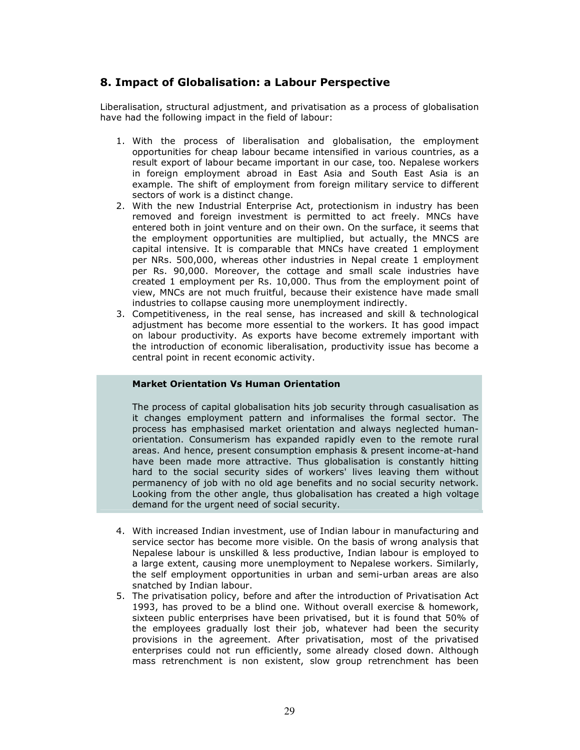# 8. Impact of Globalisation: a Labour Perspective

Liberalisation, structural adjustment, and privatisation as a process of globalisation have had the following impact in the field of labour:

- 1. With the process of liberalisation and globalisation, the employment opportunities for cheap labour became intensified in various countries, as a result export of labour became important in our case, too. Nepalese workers in foreign employment abroad in East Asia and South East Asia is an example. The shift of employment from foreign military service to different sectors of work is a distinct change.
- 2. With the new Industrial Enterprise Act, protectionism in industry has been removed and foreign investment is permitted to act freely. MNCs have entered both in joint venture and on their own. On the surface, it seems that the employment opportunities are multiplied, but actually, the MNCS are capital intensive. It is comparable that MNCs have created 1 employment per NRs. 500,000, whereas other industries in Nepal create 1 employment per Rs. 90,000. Moreover, the cottage and small scale industries have created 1 employment per Rs. 10,000. Thus from the employment point of view, MNCs are not much fruitful, because their existence have made small industries to collapse causing more unemployment indirectly.
- 3. Competitiveness, in the real sense, has increased and skill & technological adjustment has become more essential to the workers. It has good impact on labour productivity. As exports have become extremely important with the introduction of economic liberalisation, productivity issue has become a central point in recent economic activity.

## Market Orientation Vs Human Orientation

The process of capital globalisation hits job security through casualisation as it changes employment pattern and informalises the formal sector. The process has emphasised market orientation and always neglected humanorientation. Consumerism has expanded rapidly even to the remote rural areas. And hence, present consumption emphasis & present income-at-hand have been made more attractive. Thus globalisation is constantly hitting hard to the social security sides of workers' lives leaving them without permanency of job with no old age benefits and no social security network. Looking from the other angle, thus globalisation has created a high voltage demand for the urgent need of social security.

- 4. With increased Indian investment, use of Indian labour in manufacturing and service sector has become more visible. On the basis of wrong analysis that Nepalese labour is unskilled & less productive, Indian labour is employed to a large extent, causing more unemployment to Nepalese workers. Similarly, the self employment opportunities in urban and semi-urban areas are also snatched by Indian labour.
- 5. The privatisation policy, before and after the introduction of Privatisation Act 1993, has proved to be a blind one. Without overall exercise & homework, sixteen public enterprises have been privatised, but it is found that 50% of the employees gradually lost their job, whatever had been the security provisions in the agreement. After privatisation, most of the privatised enterprises could not run efficiently, some already closed down. Although mass retrenchment is non existent, slow group retrenchment has been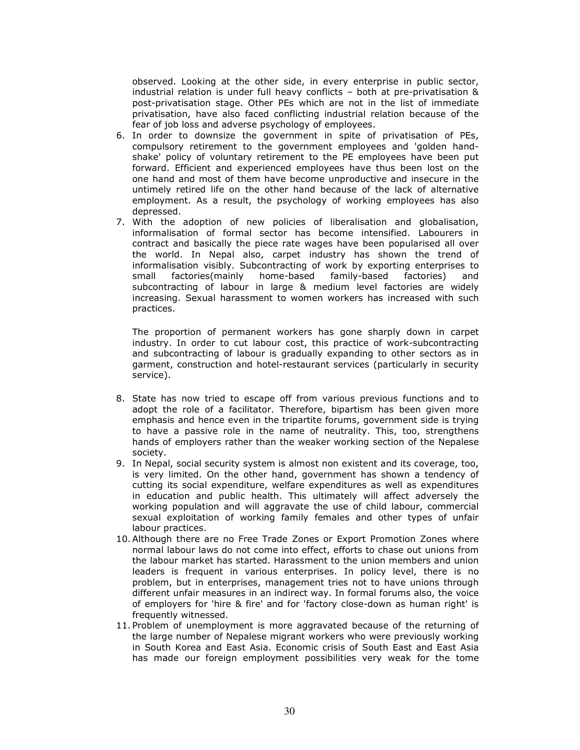observed. Looking at the other side, in every enterprise in public sector, industrial relation is under full heavy conflicts – both at pre-privatisation & post-privatisation stage. Other PEs which are not in the list of immediate privatisation, have also faced conflicting industrial relation because of the fear of job loss and adverse psychology of employees.

- 6. In order to downsize the government in spite of privatisation of PEs, compulsory retirement to the government employees and 'golden handshake' policy of voluntary retirement to the PE employees have been put forward. Efficient and experienced employees have thus been lost on the one hand and most of them have become unproductive and insecure in the untimely retired life on the other hand because of the lack of alternative employment. As a result, the psychology of working employees has also depressed.
- 7. With the adoption of new policies of liberalisation and globalisation, informalisation of formal sector has become intensified. Labourers in contract and basically the piece rate wages have been popularised all over the world. In Nepal also, carpet industry has shown the trend of informalisation visibly. Subcontracting of work by exporting enterprises to small factories(mainly home-based family-based factories) and subcontracting of labour in large & medium level factories are widely increasing. Sexual harassment to women workers has increased with such practices.

The proportion of permanent workers has gone sharply down in carpet industry. In order to cut labour cost, this practice of work-subcontracting and subcontracting of labour is gradually expanding to other sectors as in garment, construction and hotel-restaurant services (particularly in security service).

- 8. State has now tried to escape off from various previous functions and to adopt the role of a facilitator. Therefore, bipartism has been given more emphasis and hence even in the tripartite forums, government side is trying to have a passive role in the name of neutrality. This, too, strengthens hands of employers rather than the weaker working section of the Nepalese society.
- 9. In Nepal, social security system is almost non existent and its coverage, too, is very limited. On the other hand, government has shown a tendency of cutting its social expenditure, welfare expenditures as well as expenditures in education and public health. This ultimately will affect adversely the working population and will aggravate the use of child labour, commercial sexual exploitation of working family females and other types of unfair labour practices.
- 10.Although there are no Free Trade Zones or Export Promotion Zones where normal labour laws do not come into effect, efforts to chase out unions from the labour market has started. Harassment to the union members and union leaders is frequent in various enterprises. In policy level, there is no problem, but in enterprises, management tries not to have unions through different unfair measures in an indirect way. In formal forums also, the voice of employers for 'hire & fire' and for 'factory close-down as human right' is frequently witnessed.
- 11. Problem of unemployment is more aggravated because of the returning of the large number of Nepalese migrant workers who were previously working in South Korea and East Asia. Economic crisis of South East and East Asia has made our foreign employment possibilities very weak for the tome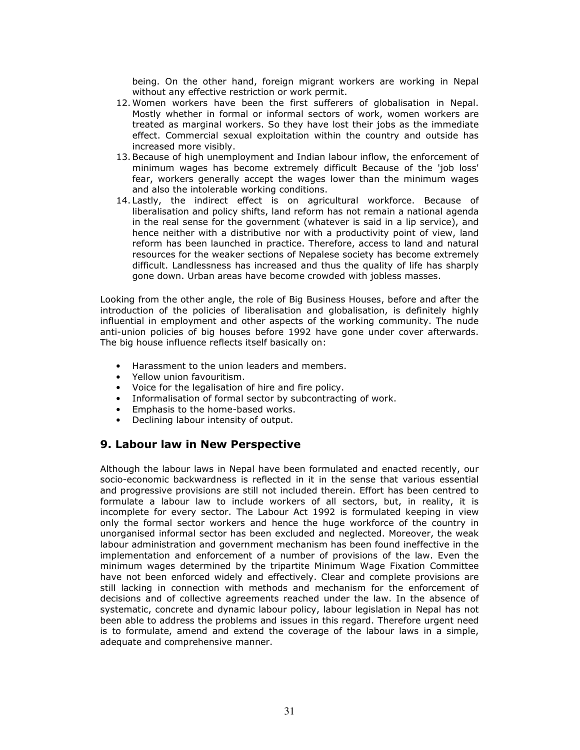being. On the other hand, foreign migrant workers are working in Nepal without any effective restriction or work permit.

- 12.Women workers have been the first sufferers of globalisation in Nepal. Mostly whether in formal or informal sectors of work, women workers are treated as marginal workers. So they have lost their jobs as the immediate effect. Commercial sexual exploitation within the country and outside has increased more visibly.
- 13.Because of high unemployment and Indian labour inflow, the enforcement of minimum wages has become extremely difficult Because of the 'job loss' fear, workers generally accept the wages lower than the minimum wages and also the intolerable working conditions.
- 14. Lastly, the indirect effect is on agricultural workforce. Because of liberalisation and policy shifts, land reform has not remain a national agenda in the real sense for the government (whatever is said in a lip service), and hence neither with a distributive nor with a productivity point of view, land reform has been launched in practice. Therefore, access to land and natural resources for the weaker sections of Nepalese society has become extremely difficult. Landlessness has increased and thus the quality of life has sharply gone down. Urban areas have become crowded with jobless masses.

Looking from the other angle, the role of Big Business Houses, before and after the introduction of the policies of liberalisation and globalisation, is definitely highly influential in employment and other aspects of the working community. The nude anti-union policies of big houses before 1992 have gone under cover afterwards. The big house influence reflects itself basically on:

- Harassment to the union leaders and members.
- Yellow union favouritism.
- Voice for the legalisation of hire and fire policy.
- Informalisation of formal sector by subcontracting of work.
- Emphasis to the home-based works.
- Declining labour intensity of output.

# 9. Labour law in New Perspective

Although the labour laws in Nepal have been formulated and enacted recently, our socio-economic backwardness is reflected in it in the sense that various essential and progressive provisions are still not included therein. Effort has been centred to formulate a labour law to include workers of all sectors, but, in reality, it is incomplete for every sector. The Labour Act 1992 is formulated keeping in view only the formal sector workers and hence the huge workforce of the country in unorganised informal sector has been excluded and neglected. Moreover, the weak labour administration and government mechanism has been found ineffective in the implementation and enforcement of a number of provisions of the law. Even the minimum wages determined by the tripartite Minimum Wage Fixation Committee have not been enforced widely and effectively. Clear and complete provisions are still lacking in connection with methods and mechanism for the enforcement of decisions and of collective agreements reached under the law. In the absence of systematic, concrete and dynamic labour policy, labour legislation in Nepal has not been able to address the problems and issues in this regard. Therefore urgent need is to formulate, amend and extend the coverage of the labour laws in a simple, adequate and comprehensive manner.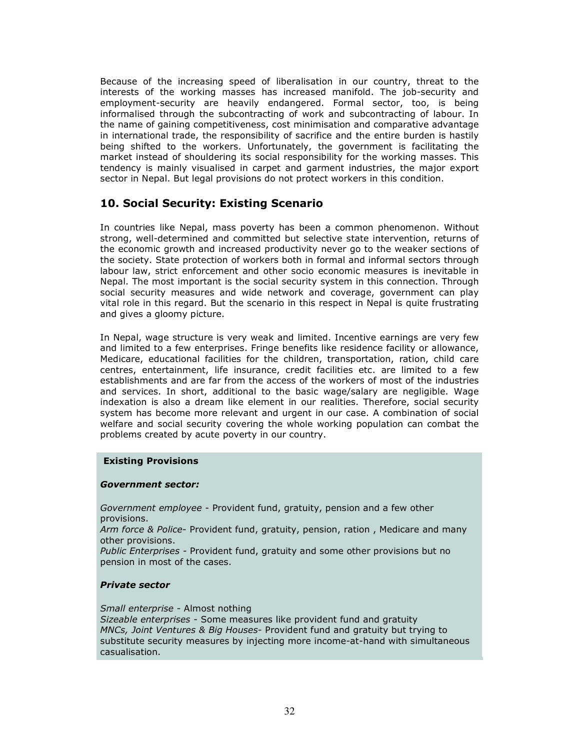Because of the increasing speed of liberalisation in our country, threat to the interests of the working masses has increased manifold. The job-security and employment-security are heavily endangered. Formal sector, too, is being informalised through the subcontracting of work and subcontracting of labour. In the name of gaining competitiveness, cost minimisation and comparative advantage in international trade, the responsibility of sacrifice and the entire burden is hastily being shifted to the workers. Unfortunately, the government is facilitating the market instead of shouldering its social responsibility for the working masses. This tendency is mainly visualised in carpet and garment industries, the major export sector in Nepal. But legal provisions do not protect workers in this condition.

# 10. Social Security: Existing Scenario

In countries like Nepal, mass poverty has been a common phenomenon. Without strong, well-determined and committed but selective state intervention, returns of the economic growth and increased productivity never go to the weaker sections of the society. State protection of workers both in formal and informal sectors through labour law, strict enforcement and other socio economic measures is inevitable in Nepal. The most important is the social security system in this connection. Through social security measures and wide network and coverage, government can play vital role in this regard. But the scenario in this respect in Nepal is quite frustrating and gives a gloomy picture.

In Nepal, wage structure is very weak and limited. Incentive earnings are very few and limited to a few enterprises. Fringe benefits like residence facility or allowance, Medicare, educational facilities for the children, transportation, ration, child care centres, entertainment, life insurance, credit facilities etc. are limited to a few establishments and are far from the access of the workers of most of the industries and services. In short, additional to the basic wage/salary are negligible. Wage indexation is also a dream like element in our realities. Therefore, social security system has become more relevant and urgent in our case. A combination of social welfare and social security covering the whole working population can combat the problems created by acute poverty in our country.

### Existing Provisions

### Government sector:

Government employee - Provident fund, gratuity, pension and a few other provisions.

Arm force & Police- Provident fund, gratuity, pension, ration, Medicare and many other provisions.

Public Enterprises - Provident fund, gratuity and some other provisions but no pension in most of the cases.

### Private sector

Small enterprise - Almost nothing

Sizeable enterprises - Some measures like provident fund and gratuity MNCs, Joint Ventures & Big Houses- Provident fund and gratuity but trying to substitute security measures by injecting more income-at-hand with simultaneous casualisation.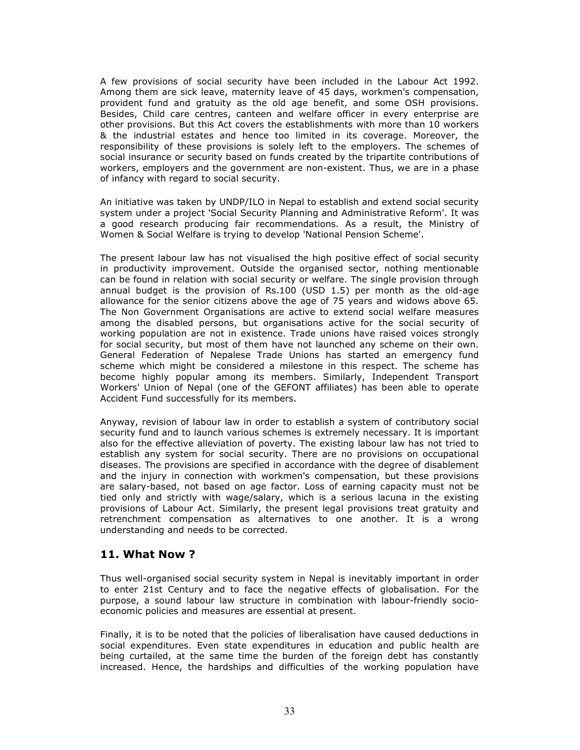A few provisions of social security have been included in the Labour Act 1992. Among them are sick leave, maternity leave of 45 days, workmen's compensation, provident fund and gratuity as the old age benefit, and some OSH provisions. Besides, Child care centres, canteen and welfare officer in every enterprise are other provisions. But this Act covers the establishments with more than 10 workers & the industrial estates and hence too limited in its coverage. Moreover, the responsibility of these provisions is solely left to the employers. The schemes of social insurance or security based on funds created by the tripartite contributions of workers, employers and the government are non-existent. Thus, we are in a phase of infancy with regard to social security.

An initiative was taken by UNDP/ILO in Nepal to establish and extend social security system under a project 'Social Security Planning and Administrative Reform'. It was a good research producing fair recommendations. As a result, the Ministry of Women & Social Welfare is trying to develop 'National Pension Scheme'.

The present labour law has not visualised the high positive effect of social security in productivity improvement. Outside the organised sector, nothing mentionable can be found in relation with social security or welfare. The single provision through annual budget is the provision of Rs.100 (USD 1.5) per month as the old-age allowance for the senior citizens above the age of 75 years and widows above 65. The Non Government Organisations are active to extend social welfare measures among the disabled persons, but organisations active for the social security of working population are not in existence. Trade unions have raised voices strongly for social security, but most of them have not launched any scheme on their own. General Federation of Nepalese Trade Unions has started an emergency fund scheme which might be considered a milestone in this respect. The scheme has become highly popular among its members. Similarly, Independent Transport Workers' Union of Nepal (one of the GEFONT affiliates) has been able to operate Accident Fund successfully for its members.

Anyway, revision of labour law in order to establish a system of contributory social security fund and to launch various schemes is extremely necessary. It is important also for the effective alleviation of poverty. The existing labour law has not tried to establish any system for social security. There are no provisions on occupational diseases. The provisions are specified in accordance with the degree of disablement and the injury in connection with workmen's compensation, but these provisions are salary-based, not based on age factor. Loss of earning capacity must not be tied only and strictly with wage/salary, which is a serious lacuna in the existing provisions of Labour Act. Similarly, the present legal provisions treat gratuity and retrenchment compensation as alternatives to one another. It is a wrong understanding and needs to be corrected.

# 11. What Now ?

Thus well-organised social security system in Nepal is inevitably important in order to enter 21st Century and to face the negative effects of globalisation. For the purpose, a sound labour law structure in combination with labour-friendly socioeconomic policies and measures are essential at present.

Finally, it is to be noted that the policies of liberalisation have caused deductions in social expenditures. Even state expenditures in education and public health are being curtailed, at the same time the burden of the foreign debt has constantly increased. Hence, the hardships and difficulties of the working population have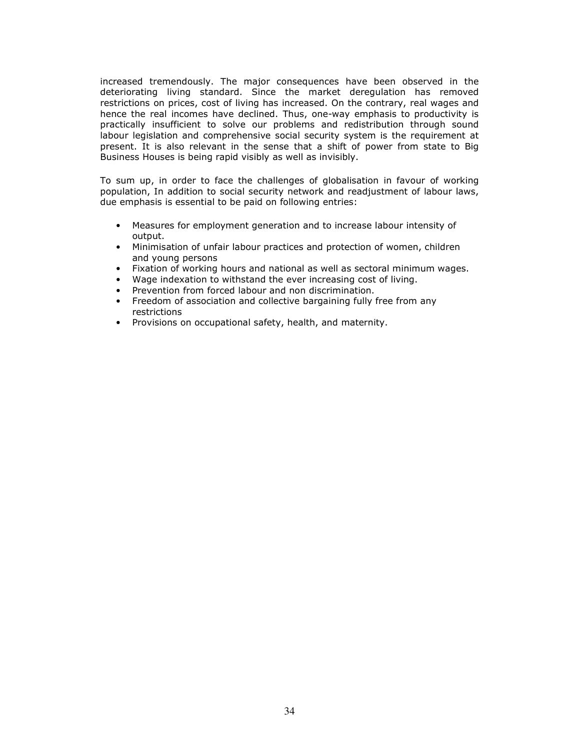increased tremendously. The major consequences have been observed in the deteriorating living standard. Since the market deregulation has removed restrictions on prices, cost of living has increased. On the contrary, real wages and hence the real incomes have declined. Thus, one-way emphasis to productivity is practically insufficient to solve our problems and redistribution through sound labour legislation and comprehensive social security system is the requirement at present. It is also relevant in the sense that a shift of power from state to Big Business Houses is being rapid visibly as well as invisibly.

To sum up, in order to face the challenges of globalisation in favour of working population, In addition to social security network and readjustment of labour laws, due emphasis is essential to be paid on following entries:

- Measures for employment generation and to increase labour intensity of output.
- Minimisation of unfair labour practices and protection of women, children and young persons
- Fixation of working hours and national as well as sectoral minimum wages.
- Wage indexation to withstand the ever increasing cost of living.
- Prevention from forced labour and non discrimination.
- Freedom of association and collective bargaining fully free from any restrictions
- Provisions on occupational safety, health, and maternity.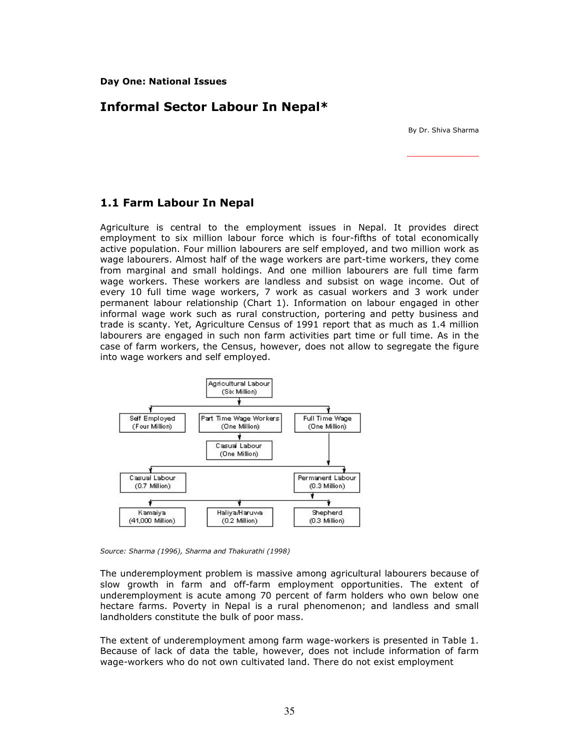# Informal Sector Labour In Nepal\*

By Dr. Shiva Sharma

# 1.1 Farm Labour In Nepal

Agriculture is central to the employment issues in Nepal. It provides direct employment to six million labour force which is four-fifths of total economically active population. Four million labourers are self employed, and two million work as wage labourers. Almost half of the wage workers are part-time workers, they come from marginal and small holdings. And one million labourers are full time farm wage workers. These workers are landless and subsist on wage income. Out of every 10 full time wage workers, 7 work as casual workers and 3 work under permanent labour relationship (Chart 1). Information on labour engaged in other informal wage work such as rural construction, portering and petty business and trade is scanty. Yet, Agriculture Census of 1991 report that as much as 1.4 million labourers are engaged in such non farm activities part time or full time. As in the case of farm workers, the Census, however, does not allow to segregate the figure into wage workers and self employed.



Source: Sharma (1996), Sharma and Thakurathi (1998)

The underemployment problem is massive among agricultural labourers because of slow growth in farm and off-farm employment opportunities. The extent of underemployment is acute among 70 percent of farm holders who own below one hectare farms. Poverty in Nepal is a rural phenomenon; and landless and small landholders constitute the bulk of poor mass.

The extent of underemployment among farm wage-workers is presented in Table 1. Because of lack of data the table, however, does not include information of farm wage-workers who do not own cultivated land. There do not exist employment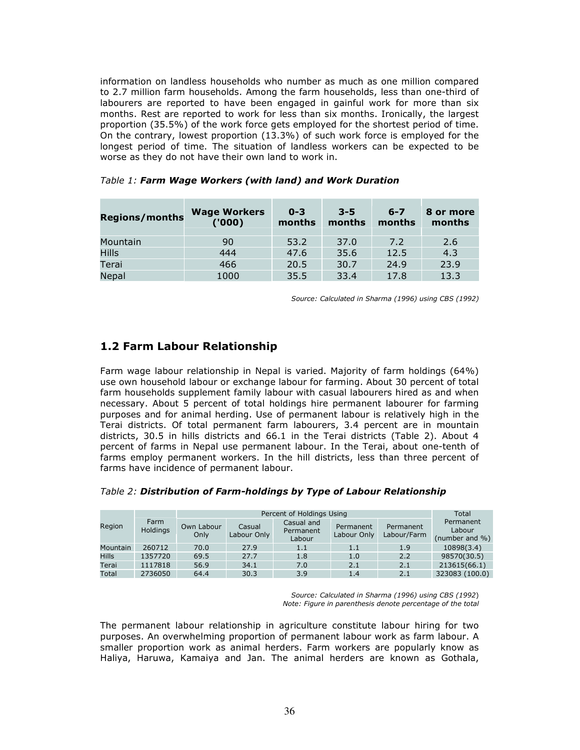information on landless households who number as much as one million compared to 2.7 million farm households. Among the farm households, less than one-third of labourers are reported to have been engaged in gainful work for more than six months. Rest are reported to work for less than six months. Ironically, the largest proportion (35.5%) of the work force gets employed for the shortest period of time. On the contrary, lowest proportion (13.3%) of such work force is employed for the longest period of time. The situation of landless workers can be expected to be worse as they do not have their own land to work in.

| <b>Regions/months</b> | <b>Wage Workers</b><br>(1000) | $0 - 3$<br>months | $3 - 5$<br>months | $6 - 7$<br>months | 8 or more<br>months |
|-----------------------|-------------------------------|-------------------|-------------------|-------------------|---------------------|
| Mountain              | 90                            | 53.2              | 37.0              | 7.2               | 2.6                 |
| <b>Hills</b>          | 444                           | 47.6              | 35.6              | 12.5              | 4.3                 |
| Terai                 | 466                           | 20.5              | 30.7              | 24.9              | 23.9                |
| Nepal                 | 1000                          | 35.5              | 33.4              | 17.8              | 13.3                |

#### Table 1: Farm Wage Workers (with land) and Work Duration

Source: Calculated in Sharma (1996) using CBS (1992)

# 1.2 Farm Labour Relationship

Farm wage labour relationship in Nepal is varied. Majority of farm holdings (64%) use own household labour or exchange labour for farming. About 30 percent of total farm households supplement family labour with casual labourers hired as and when necessary. About 5 percent of total holdings hire permanent labourer for farming purposes and for animal herding. Use of permanent labour is relatively high in the Terai districts. Of total permanent farm labourers, 3.4 percent are in mountain districts, 30.5 in hills districts and 66.1 in the Terai districts (Table 2). About 4 percent of farms in Nepal use permanent labour. In the Terai, about one-tenth of farms employ permanent workers. In the hill districts, less than three percent of farms have incidence of permanent labour.

|                 | Farm<br><b>Holdings</b> |                    | Total                 |                                   |                          |                          |                                           |
|-----------------|-------------------------|--------------------|-----------------------|-----------------------------------|--------------------------|--------------------------|-------------------------------------------|
| Region          |                         | Own Labour<br>Only | Casual<br>Labour Only | Casual and<br>Permanent<br>Labour | Permanent<br>Labour Only | Permanent<br>Labour/Farm | Permanent<br>Labour<br>(number and $\%$ ) |
| <b>Mountain</b> | 260712                  | 70.0               | 27.9                  | 1.1                               | 1.1                      | 1.9                      | 10898(3.4)                                |
| <b>Hills</b>    | 1357720                 | 69.5               | 27.7                  | 1.8                               | 1.0                      | 2.2                      | 98570(30.5)                               |
| Terai           | 1117818                 | 56.9               | 34.1                  | 7.0                               | 2.1                      | 2.1                      | 213615(66.1)                              |
| Total           | 2736050                 | 64.4               | 30.3                  | 3.9                               | 1.4                      | 2.1                      | 323083 (100.0)                            |

### Table 2: Distribution of Farm-holdings by Type of Labour Relationship

Source: Calculated in Sharma (1996) using CBS (1992) Note: Figure in parenthesis denote percentage of the total

The permanent labour relationship in agriculture constitute labour hiring for two purposes. An overwhelming proportion of permanent labour work as farm labour. A smaller proportion work as animal herders. Farm workers are popularly know as Haliya, Haruwa, Kamaiya and Jan. The animal herders are known as Gothala,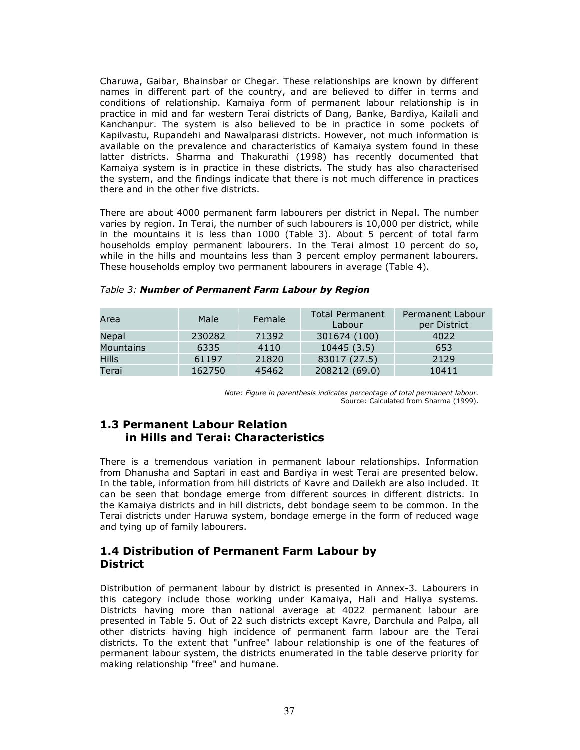Charuwa, Gaibar, Bhainsbar or Chegar. These relationships are known by different names in different part of the country, and are believed to differ in terms and conditions of relationship. Kamaiya form of permanent labour relationship is in practice in mid and far western Terai districts of Dang, Banke, Bardiya, Kailali and Kanchanpur. The system is also believed to be in practice in some pockets of Kapilvastu, Rupandehi and Nawalparasi districts. However, not much information is available on the prevalence and characteristics of Kamaiya system found in these latter districts. Sharma and Thakurathi (1998) has recently documented that Kamaiya system is in practice in these districts. The study has also characterised the system, and the findings indicate that there is not much difference in practices there and in the other five districts.

There are about 4000 permanent farm labourers per district in Nepal. The number varies by region. In Terai, the number of such labourers is 10,000 per district, while in the mountains it is less than 1000 (Table 3). About 5 percent of total farm households employ permanent labourers. In the Terai almost 10 percent do so, while in the hills and mountains less than 3 percent employ permanent labourers. These households employ two permanent labourers in average (Table 4).

| Area             | Male   | Female | <b>Total Permanent</b><br>Labour | Permanent Labour<br>per District |
|------------------|--------|--------|----------------------------------|----------------------------------|
| Nepal            | 230282 | 71392  | 301674 (100)                     | 4022                             |
| <b>Mountains</b> | 6335   | 4110   | 10445(3.5)                       | 653                              |
| <b>Hills</b>     | 61197  | 21820  | 83017 (27.5)                     | 2129                             |
| Terai            | 162750 | 45462  | 208212 (69.0)                    | 10411                            |

|  | Table 3: Number of Permanent Farm Labour by Region |  |
|--|----------------------------------------------------|--|
|  |                                                    |  |

Note: Figure in parenthesis indicates percentage of total permanent labour. Source: Calculated from Sharma (1999).

## 1.3 Permanent Labour Relation in Hills and Terai: Characteristics

There is a tremendous variation in permanent labour relationships. Information from Dhanusha and Saptari in east and Bardiya in west Terai are presented below. In the table, information from hill districts of Kavre and Dailekh are also included. It can be seen that bondage emerge from different sources in different districts. In the Kamaiya districts and in hill districts, debt bondage seem to be common. In the Terai districts under Haruwa system, bondage emerge in the form of reduced wage and tying up of family labourers.

## 1.4 Distribution of Permanent Farm Labour by **District**

Distribution of permanent labour by district is presented in Annex-3. Labourers in this category include those working under Kamaiya, Hali and Haliya systems. Districts having more than national average at 4022 permanent labour are presented in Table 5. Out of 22 such districts except Kavre, Darchula and Palpa, all other districts having high incidence of permanent farm labour are the Terai districts. To the extent that "unfree" labour relationship is one of the features of permanent labour system, the districts enumerated in the table deserve priority for making relationship "free" and humane.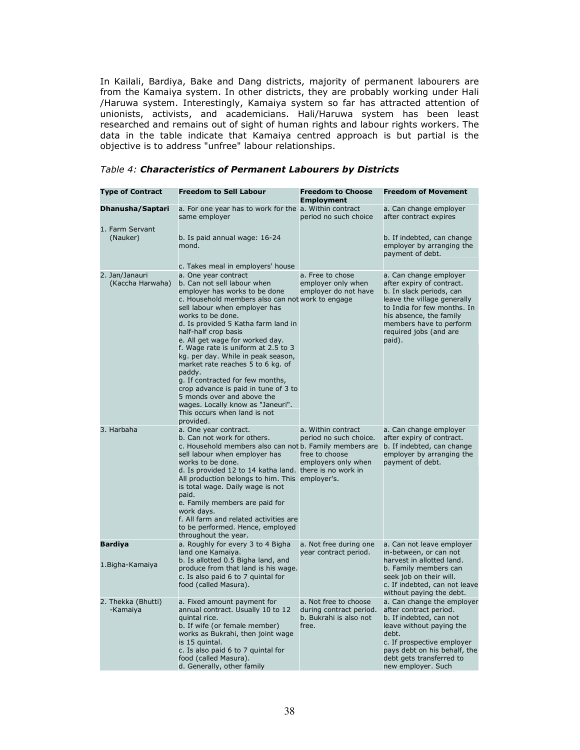In Kailali, Bardiya, Bake and Dang districts, majority of permanent labourers are from the Kamaiya system. In other districts, they are probably working under Hali /Haruwa system. Interestingly, Kamaiya system so far has attracted attention of unionists, activists, and academicians. Hali/Haruwa system has been least researched and remains out of sight of human rights and labour rights workers. The data in the table indicate that Kamaiya centred approach is but partial is the objective is to address "unfree" labour relationships.

| <b>Type of Contract</b>            | <b>Freedom to Sell Labour</b>                                                                                                                                                                                                                                                                                                                                                                                                                                                                                                                                                                                            | <b>Freedom to Choose</b><br><b>Employment</b>                                         | <b>Freedom of Movement</b>                                                                                                                                                                                                              |
|------------------------------------|--------------------------------------------------------------------------------------------------------------------------------------------------------------------------------------------------------------------------------------------------------------------------------------------------------------------------------------------------------------------------------------------------------------------------------------------------------------------------------------------------------------------------------------------------------------------------------------------------------------------------|---------------------------------------------------------------------------------------|-----------------------------------------------------------------------------------------------------------------------------------------------------------------------------------------------------------------------------------------|
| Dhanusha/Saptari                   | a. For one year has to work for the a. Within contract<br>same employer                                                                                                                                                                                                                                                                                                                                                                                                                                                                                                                                                  | period no such choice                                                                 | a. Can change employer<br>after contract expires                                                                                                                                                                                        |
| 1. Farm Servant<br>(Nauker)        | b. Is paid annual wage: 16-24<br>mond.<br>c. Takes meal in employers' house                                                                                                                                                                                                                                                                                                                                                                                                                                                                                                                                              |                                                                                       | b. If indebted, can change<br>employer by arranging the<br>payment of debt.                                                                                                                                                             |
| 2. Jan/Janauri<br>(Kaccha Harwaha) | a. One year contract<br>b. Can not sell labour when<br>employer has works to be done<br>c. Household members also can not work to engage<br>sell labour when employer has<br>works to be done.<br>d. Is provided 5 Katha farm land in<br>half-half crop basis<br>e. All get wage for worked day.<br>f. Wage rate is uniform at 2.5 to 3<br>kg. per day. While in peak season,<br>market rate reaches 5 to 6 kg. of<br>paddy.<br>g. If contracted for few months,<br>crop advance is paid in tune of 3 to<br>5 monds over and above the<br>wages. Locally know as "Janeuri".<br>This occurs when land is not<br>provided. | a. Free to chose<br>employer only when<br>employer do not have                        | a. Can change employer<br>after expiry of contract.<br>b. In slack periods, can<br>leave the village generally<br>to India for few months. In<br>his absence, the family<br>members have to perform<br>required jobs (and are<br>paid). |
| 3. Harbaha                         | a. One year contract.<br>b. Can not work for others.<br>c. Household members also can not b. Family members are<br>sell labour when employer has<br>works to be done.<br>d. Is provided 12 to 14 katha land. there is no work in<br>All production belongs to him. This employer's.<br>is total wage. Daily wage is not<br>paid.<br>e. Family members are paid for<br>work davs.<br>f. All farm and related activities are<br>to be performed. Hence, employed<br>throughout the year.                                                                                                                                   | a. Within contract<br>period no such choice.<br>free to choose<br>employers only when | a. Can change employer<br>after expiry of contract.<br>b. If indebted, can change<br>employer by arranging the<br>payment of debt.                                                                                                      |
| <b>Bardiya</b>                     | a. Roughly for every 3 to 4 Bigha<br>land one Kamaiya.                                                                                                                                                                                                                                                                                                                                                                                                                                                                                                                                                                   | a. Not free during one<br>year contract period.                                       | a. Can not leave employer<br>in-between, or can not                                                                                                                                                                                     |
| 1. Bigha-Kamaiya                   | b. Is allotted 0.5 Bigha land, and<br>produce from that land is his wage.<br>c. Is also paid 6 to 7 quintal for<br>food (called Masura).                                                                                                                                                                                                                                                                                                                                                                                                                                                                                 |                                                                                       | harvest in allotted land.<br>b. Family members can<br>seek job on their will.<br>c. If indebted, can not leave<br>without paying the debt.                                                                                              |
| 2. Thekka (Bhutti)<br>-Kamaiya     | a. Fixed amount payment for<br>annual contract. Usually 10 to 12<br>quintal rice.<br>b. If wife (or female member)<br>works as Bukrahi, then joint wage<br>is 15 quintal.<br>c. Is also paid 6 to 7 quintal for<br>food (called Masura).                                                                                                                                                                                                                                                                                                                                                                                 | a. Not free to choose<br>during contract period.<br>b. Bukrahi is also not<br>free.   | a. Can change the employer<br>after contract period.<br>b. If indebted, can not<br>leave without paying the<br>debt.<br>c. If prospective employer<br>pays debt on his behalf, the<br>debt gets transferred to                          |

#### Table 4: Characteristics of Permanent Labourers by Districts

new employer. Such

d. Generally, other family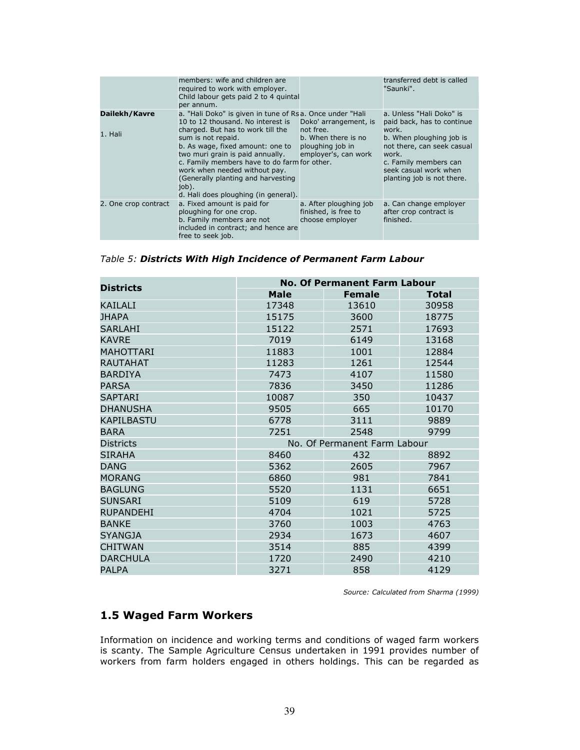|                          | members: wife and children are<br>required to work with employer.<br>Child labour gets paid 2 to 4 guintal<br>per annum.                                                                                                                                                                                                                                                                                 |                                                                                                       | transferred debt is called<br>"Saunki".                                                                                                                                                                            |
|--------------------------|----------------------------------------------------------------------------------------------------------------------------------------------------------------------------------------------------------------------------------------------------------------------------------------------------------------------------------------------------------------------------------------------------------|-------------------------------------------------------------------------------------------------------|--------------------------------------------------------------------------------------------------------------------------------------------------------------------------------------------------------------------|
| Dailekh/Kavre<br>1. Hali | a. "Hali Doko" is given in tune of Rsa. Once under "Hali<br>10 to 12 thousand. No interest is<br>charged. But has to work till the<br>sum is not repaid.<br>b. As wage, fixed amount: one to<br>two muri grain is paid annually.<br>c. Family members have to do farm for other.<br>work when needed without pay.<br>(Generally planting and harvesting<br>job).<br>d. Hali does ploughing (in general). | Doko' arrangement, is<br>not free.<br>b. When there is no<br>ploughing job in<br>employer's, can work | a. Unless "Hali Doko" is<br>paid back, has to continue<br>work.<br>b. When ploughing job is<br>not there, can seek casual<br>work.<br>c. Family members can<br>seek casual work when<br>planting job is not there. |
| 2. One crop contract     | a. Fixed amount is paid for<br>ploughing for one crop.<br>b. Family members are not<br>included in contract; and hence are<br>free to seek job.                                                                                                                                                                                                                                                          | a. After ploughing job<br>finished, is free to<br>choose employer                                     | a. Can change employer<br>after crop contract is<br>finished.                                                                                                                                                      |

Table 5: Districts With High Incidence of Permanent Farm Labour

| <b>Districts</b>   | <b>No. Of Permanent Farm Labour</b> |               |              |  |
|--------------------|-------------------------------------|---------------|--------------|--|
|                    | <b>Male</b>                         | <b>Female</b> | <b>Total</b> |  |
| KAILALI            | 17348                               | 13610         | 30958        |  |
| <b>JHAPA</b>       | 15175                               | 3600          | 18775        |  |
| <b>SARI AHI</b>    | 15122                               | 2571          | 17693        |  |
| <b>KAVRE</b>       | 7019                                | 6149          | 13168        |  |
| MAHOTTARI          | 11883                               | 1001          | 12884        |  |
| RAUTAHAT           | 11283                               | 1261          | 12544        |  |
| <b>BARDIYA</b>     | 7473                                | 4107          | 11580        |  |
| <b>PARSA</b>       | 7836                                | 3450          | 11286        |  |
| <b>SAPTARI</b>     | 10087                               | 350           | 10437        |  |
| <b>DHANUSHA</b>    | 9505                                | 665           | 10170        |  |
| <b>KAPII BASTU</b> | 6778                                | 3111          | 9889         |  |
| <b>BARA</b>        | 7251                                | 2548          | 9799         |  |
| <b>Districts</b>   | No. Of Permanent Farm Labour        |               |              |  |
| <b>SIRAHA</b>      | 8460                                | 432           | 8892         |  |
| <b>DANG</b>        | 5362                                | 2605          | 7967         |  |
| <b>MORANG</b>      | 6860                                | 981           | 7841         |  |
| <b>BAGLUNG</b>     | 5520                                | 1131          | 6651         |  |
| <b>SUNSARI</b>     | 5109                                | 619           | 5728         |  |
| <b>RUPANDEHI</b>   | 4704                                | 1021          | 5725         |  |
| <b>BANKE</b>       | 3760                                | 1003          | 4763         |  |
| <b>SYANGJA</b>     | 2934                                | 1673          | 4607         |  |
| <b>CHITWAN</b>     | 3514                                | 885           | 4399         |  |
| <b>DARCHULA</b>    | 1720                                | 2490          | 4210         |  |
| <b>PALPA</b>       | 3271                                | 858           | 4129         |  |

Source: Calculated from Sharma (1999)

## 1.5 Waged Farm Workers

Information on incidence and working terms and conditions of waged farm workers is scanty. The Sample Agriculture Census undertaken in 1991 provides number of workers from farm holders engaged in others holdings. This can be regarded as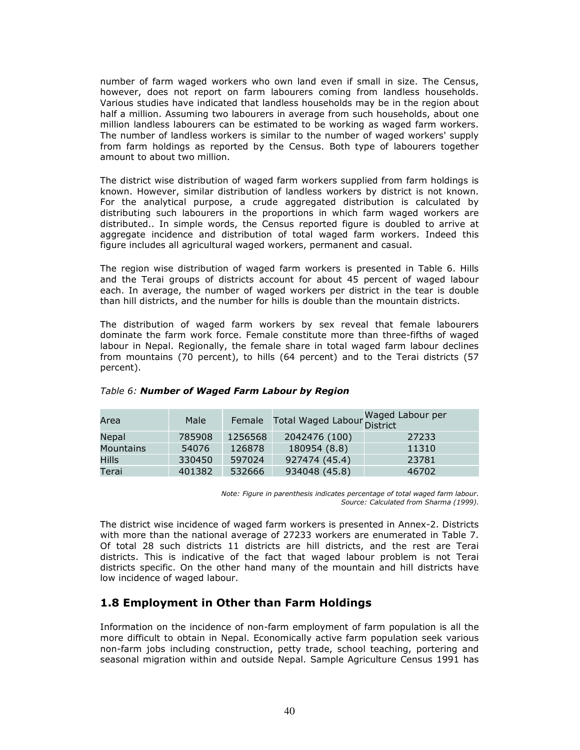number of farm waged workers who own land even if small in size. The Census, however, does not report on farm labourers coming from landless households. Various studies have indicated that landless households may be in the region about half a million. Assuming two labourers in average from such households, about one million landless labourers can be estimated to be working as waged farm workers. The number of landless workers is similar to the number of waged workers' supply from farm holdings as reported by the Census. Both type of labourers together amount to about two million.

The district wise distribution of waged farm workers supplied from farm holdings is known. However, similar distribution of landless workers by district is not known. For the analytical purpose, a crude aggregated distribution is calculated by distributing such labourers in the proportions in which farm waged workers are distributed.. In simple words, the Census reported figure is doubled to arrive at aggregate incidence and distribution of total waged farm workers. Indeed this figure includes all agricultural waged workers, permanent and casual.

The region wise distribution of waged farm workers is presented in Table 6. Hills and the Terai groups of districts account for about 45 percent of waged labour each. In average, the number of waged workers per district in the tear is double than hill districts, and the number for hills is double than the mountain districts.

The distribution of waged farm workers by sex reveal that female labourers dominate the farm work force. Female constitute more than three-fifths of waged labour in Nepal. Regionally, the female share in total waged farm labour declines from mountains (70 percent), to hills (64 percent) and to the Terai districts (57 percent).

| Area             | Male   |         | Female Total Waged Labour Waged Labour per |       |
|------------------|--------|---------|--------------------------------------------|-------|
| Nepal            | 785908 | 1256568 | 2042476 (100)                              | 27233 |
| <b>Mountains</b> | 54076  | 126878  | 180954 (8.8)                               | 11310 |
| Hills            | 330450 | 597024  | 927474 (45.4)                              | 23781 |
| Terai            | 401382 | 532666  | 934048 (45.8)                              | 46702 |

#### Table 6: Number of Waged Farm Labour by Region

Note: Figure in parenthesis indicates percentage of total waged farm labour. Source: Calculated from Sharma (1999).

The district wise incidence of waged farm workers is presented in Annex-2. Districts with more than the national average of 27233 workers are enumerated in Table 7. Of total 28 such districts 11 districts are hill districts, and the rest are Terai districts. This is indicative of the fact that waged labour problem is not Terai districts specific. On the other hand many of the mountain and hill districts have low incidence of waged labour.

## 1.8 Employment in Other than Farm Holdings

Information on the incidence of non-farm employment of farm population is all the more difficult to obtain in Nepal. Economically active farm population seek various non-farm jobs including construction, petty trade, school teaching, portering and seasonal migration within and outside Nepal. Sample Agriculture Census 1991 has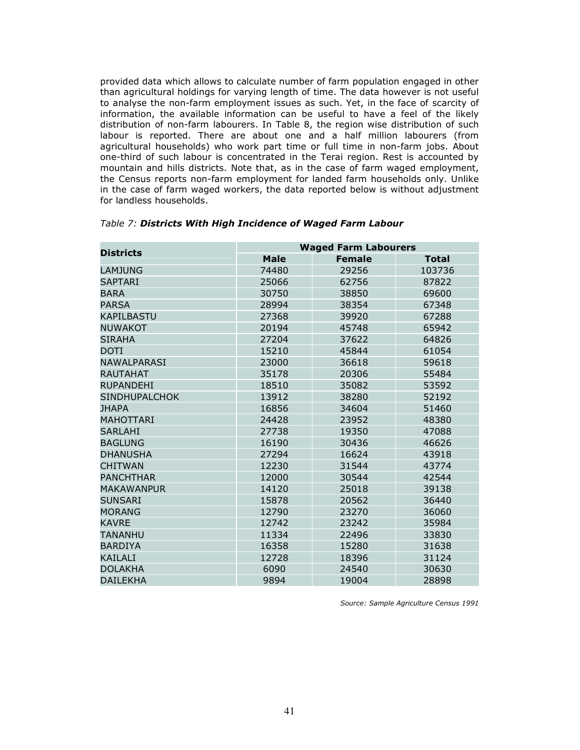provided data which allows to calculate number of farm population engaged in other than agricultural holdings for varying length of time. The data however is not useful to analyse the non-farm employment issues as such. Yet, in the face of scarcity of information, the available information can be useful to have a feel of the likely distribution of non-farm labourers. In Table 8, the region wise distribution of such labour is reported. There are about one and a half million labourers (from agricultural households) who work part time or full time in non-farm jobs. About one-third of such labour is concentrated in the Terai region. Rest is accounted by mountain and hills districts. Note that, as in the case of farm waged employment, the Census reports non-farm employment for landed farm households only. Unlike in the case of farm waged workers, the data reported below is without adjustment for landless households.

| <b>Districts</b>     | <b>Waged Farm Labourers</b> |               |              |  |
|----------------------|-----------------------------|---------------|--------------|--|
|                      | <b>Male</b>                 | <b>Female</b> | <b>Total</b> |  |
| <b>LAMJUNG</b>       | 74480                       | 29256         | 103736       |  |
| <b>SAPTARI</b>       | 25066                       | 62756         | 87822        |  |
| <b>BARA</b>          | 30750                       | 38850         | 69600        |  |
| <b>PARSA</b>         | 28994                       | 38354         | 67348        |  |
| KAPILBASTU           | 27368                       | 39920         | 67288        |  |
| <b>NUWAKOT</b>       | 20194                       | 45748         | 65942        |  |
| <b>SIRAHA</b>        | 27204                       | 37622         | 64826        |  |
| DOTI                 | 15210                       | 45844         | 61054        |  |
| <b>NAWAI PARASI</b>  | 23000                       | 36618         | 59618        |  |
| <b>RAUTAHAT</b>      | 35178                       | 20306         | 55484        |  |
| <b>RUPANDEHI</b>     | 18510                       | 35082         | 53592        |  |
| <b>SINDHUPALCHOK</b> | 13912                       | 38280         | 52192        |  |
| <b>JHAPA</b>         | 16856                       | 34604         | 51460        |  |
| <b>MAHOTTARI</b>     | 24428                       | 23952         | 48380        |  |
| <b>SARLAHI</b>       | 27738                       | 19350         | 47088        |  |
| <b>BAGLUNG</b>       | 16190                       | 30436         | 46626        |  |
| <b>DHANUSHA</b>      | 27294                       | 16624         | 43918        |  |
| <b>CHITWAN</b>       | 12230                       | 31544         | 43774        |  |
| <b>PANCHTHAR</b>     | 12000                       | 30544         | 42544        |  |
| <b>MAKAWANPUR</b>    | 14120                       | 25018         | 39138        |  |
| <b>SUNSARI</b>       | 15878                       | 20562         | 36440        |  |
| <b>MORANG</b>        | 12790                       | 23270         | 36060        |  |
| <b>KAVRE</b>         | 12742                       | 23242         | 35984        |  |
| TANANHU              | 11334                       | 22496         | 33830        |  |
| <b>BARDIYA</b>       | 16358                       | 15280         | 31638        |  |
| KAILALI              | 12728                       | 18396         | 31124        |  |
| <b>DOLAKHA</b>       | 6090                        | 24540         | 30630        |  |
| <b>DAII FKHA</b>     | 9894                        | 19004         | 28898        |  |

## Table 7: Districts With High Incidence of Waged Farm Labour

Source: Sample Agriculture Census 1991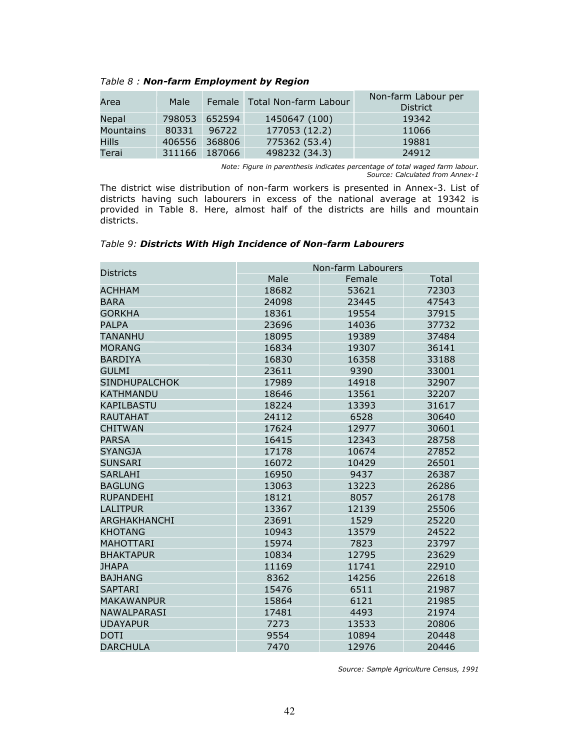| Area             | Male   |        | Female Total Non-farm Labour | Non-farm Labour per<br><b>District</b> |
|------------------|--------|--------|------------------------------|----------------------------------------|
| Nepal            | 798053 | 652594 | 1450647 (100)                | 19342                                  |
| <b>Mountains</b> | 80331  | 96722  | 177053 (12.2)                | 11066                                  |
| Hills            | 406556 | 368806 | 775362 (53.4)                | 19881                                  |
| Terai            | 311166 | 187066 | 498232 (34.3)                | 24912                                  |

Table 8 : Non-farm Employment by Region

Note: Figure in parenthesis indicates percentage of total waged farm labour. Source: Calculated from Annex-1

The district wise distribution of non-farm workers is presented in Annex-3. List of districts having such labourers in excess of the national average at 19342 is provided in Table 8. Here, almost half of the districts are hills and mountain districts.

|                      | Non-farm Labourers |        |       |  |
|----------------------|--------------------|--------|-------|--|
| <b>Districts</b>     | Male               | Female | Total |  |
| ACHHAM               | 18682              | 53621  | 72303 |  |
| <b>BARA</b>          | 24098              | 23445  | 47543 |  |
| GORKHA               | 18361              | 19554  | 37915 |  |
| <b>PALPA</b>         | 23696              | 14036  | 37732 |  |
| <b>TANANHU</b>       | 18095              | 19389  | 37484 |  |
| <b>MORANG</b>        | 16834              | 19307  | 36141 |  |
| <b>BARDIYA</b>       | 16830              | 16358  | 33188 |  |
| <b>GULMI</b>         | 23611              | 9390   | 33001 |  |
| <b>SINDHUPALCHOK</b> | 17989              | 14918  | 32907 |  |
| KATHMANDU            | 18646              | 13561  | 32207 |  |
| <b>KAPILBASTU</b>    | 18224              | 13393  | 31617 |  |
| <b>RAUTAHAT</b>      | 24112              | 6528   | 30640 |  |
| <b>CHITWAN</b>       | 17624              | 12977  | 30601 |  |
| <b>PARSA</b>         | 16415              | 12343  | 28758 |  |
| <b>SYANGJA</b>       | 17178              | 10674  | 27852 |  |
| <b>SUNSARI</b>       | 16072              | 10429  | 26501 |  |
| <b>SARLAHI</b>       | 16950              | 9437   | 26387 |  |
| <b>BAGLUNG</b>       | 13063              | 13223  | 26286 |  |
| <b>RUPANDEHI</b>     | 18121              | 8057   | 26178 |  |
| LALITPUR             | 13367              | 12139  | 25506 |  |
| <b>ARGHAKHANCHI</b>  | 23691              | 1529   | 25220 |  |
| <b>KHOTANG</b>       | 10943              | 13579  | 24522 |  |
| <b>MAHOTTARI</b>     | 15974              | 7823   | 23797 |  |
| <b>BHAKTAPUR</b>     | 10834              | 12795  | 23629 |  |
| <b>IHAPA</b>         | 11169              | 11741  | 22910 |  |
| <b>BAJHANG</b>       | 8362               | 14256  | 22618 |  |
| <b>SAPTARI</b>       | 15476              | 6511   | 21987 |  |
| <b>MAKAWANPUR</b>    | 15864              | 6121   | 21985 |  |
| <b>NAWALPARASI</b>   | 17481              | 4493   | 21974 |  |
| <b>UDAYAPUR</b>      | 7273               | 13533  | 20806 |  |
| <b>DOTI</b>          | 9554               | 10894  | 20448 |  |
| <b>DARCHULA</b>      | 7470               | 12976  | 20446 |  |

Table 9: Districts With High Incidence of Non-farm Labourers

Source: Sample Agriculture Census, 1991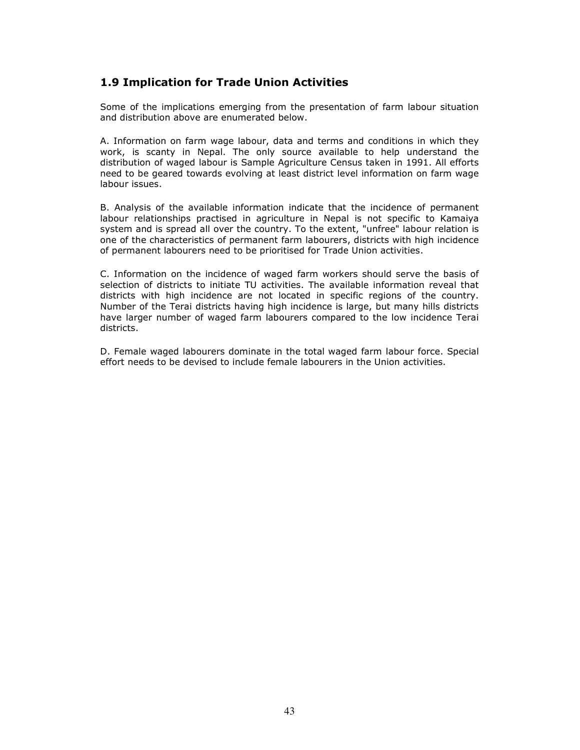## 1.9 Implication for Trade Union Activities

Some of the implications emerging from the presentation of farm labour situation and distribution above are enumerated below.

A. Information on farm wage labour, data and terms and conditions in which they work, is scanty in Nepal. The only source available to help understand the distribution of waged labour is Sample Agriculture Census taken in 1991. All efforts need to be geared towards evolving at least district level information on farm wage labour issues.

B. Analysis of the available information indicate that the incidence of permanent labour relationships practised in agriculture in Nepal is not specific to Kamaiya system and is spread all over the country. To the extent, "unfree" labour relation is one of the characteristics of permanent farm labourers, districts with high incidence of permanent labourers need to be prioritised for Trade Union activities.

C. Information on the incidence of waged farm workers should serve the basis of selection of districts to initiate TU activities. The available information reveal that districts with high incidence are not located in specific regions of the country. Number of the Terai districts having high incidence is large, but many hills districts have larger number of waged farm labourers compared to the low incidence Terai districts.

D. Female waged labourers dominate in the total waged farm labour force. Special effort needs to be devised to include female labourers in the Union activities.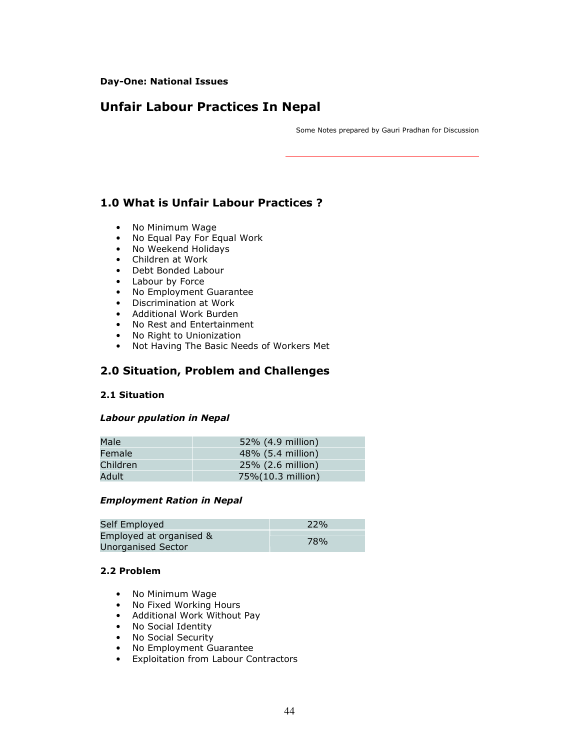#### Day-One: National Issues

# Unfair Labour Practices In Nepal

Some Notes prepared by Gauri Pradhan for Discussion

## 1.0 What is Unfair Labour Practices ?

- No Minimum Wage
- No Equal Pay For Equal Work
- No Weekend Holidays
- Children at Work
- Debt Bonded Labour
- Labour by Force
- No Employment Guarantee
- Discrimination at Work
- Additional Work Burden
- No Rest and Entertainment
- No Right to Unionization
- Not Having The Basic Needs of Workers Met

## 2.0 Situation, Problem and Challenges

## 2.1 Situation

#### Labour ppulation in Nepal

| Male     | 52% (4.9 million) |
|----------|-------------------|
| Female   | 48% (5.4 million) |
| Children | 25% (2.6 million) |
| Adult    | 75%(10.3 million) |

#### Employment Ration in Nepal

| Self Employed                                 | 22% |
|-----------------------------------------------|-----|
| Employed at organised &<br>Unorganised Sector | 78% |

## 2.2 Problem

- No Minimum Wage
- No Fixed Working Hours
- Additional Work Without Pay
- No Social Identity
- No Social Security
- No Employment Guarantee
- Exploitation from Labour Contractors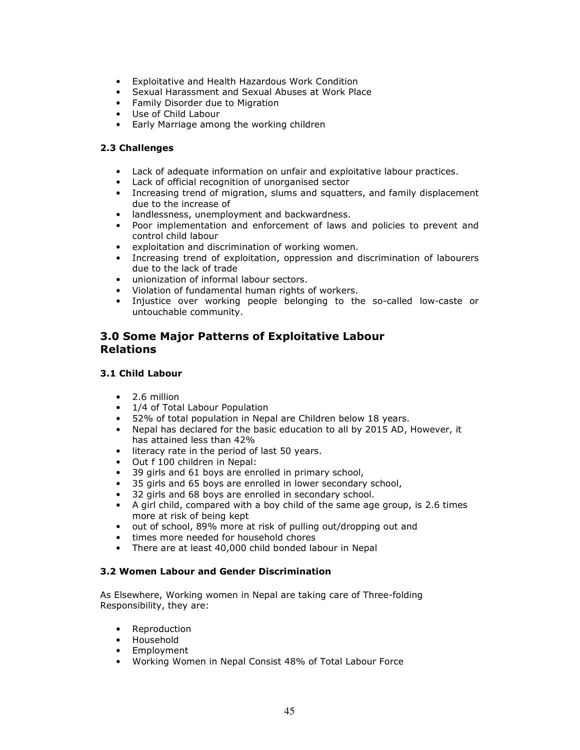- Exploitative and Health Hazardous Work Condition
- Sexual Harassment and Sexual Abuses at Work Place
- Family Disorder due to Migration
- Use of Child Labour
- Early Marriage among the working children

### 2.3 Challenges

- Lack of adequate information on unfair and exploitative labour practices.
- Lack of official recognition of unorganised sector
- Increasing trend of migration, slums and squatters, and family displacement due to the increase of
- landlessness, unemployment and backwardness.
- Poor implementation and enforcement of laws and policies to prevent and control child labour
- exploitation and discrimination of working women.
- Increasing trend of exploitation, oppression and discrimination of labourers due to the lack of trade
- unionization of informal labour sectors.
- Violation of fundamental human rights of workers.
- Injustice over working people belonging to the so-called low-caste or untouchable community.

## 3.0 Some Major Patterns of Exploitative Labour Relations

### 3.1 Child Labour

- 2.6 million
- 1/4 of Total Labour Population
- 52% of total population in Nepal are Children below 18 years.
- Nepal has declared for the basic education to all by 2015 AD, However, it has attained less than 42%
- literacy rate in the period of last 50 years.
- Out f 100 children in Nepal:
- 39 girls and 61 boys are enrolled in primary school,
- 35 girls and 65 boys are enrolled in lower secondary school,
- 32 girls and 68 boys are enrolled in secondary school.
- A girl child, compared with a boy child of the same age group, is 2.6 times more at risk of being kept
- out of school, 89% more at risk of pulling out/dropping out and
- times more needed for household chores
- There are at least 40,000 child bonded labour in Nepal

#### 3.2 Women Labour and Gender Discrimination

As Elsewhere, Working women in Nepal are taking care of Three-folding Responsibility, they are:

- Reproduction
- Household
- Employment
- Working Women in Nepal Consist 48% of Total Labour Force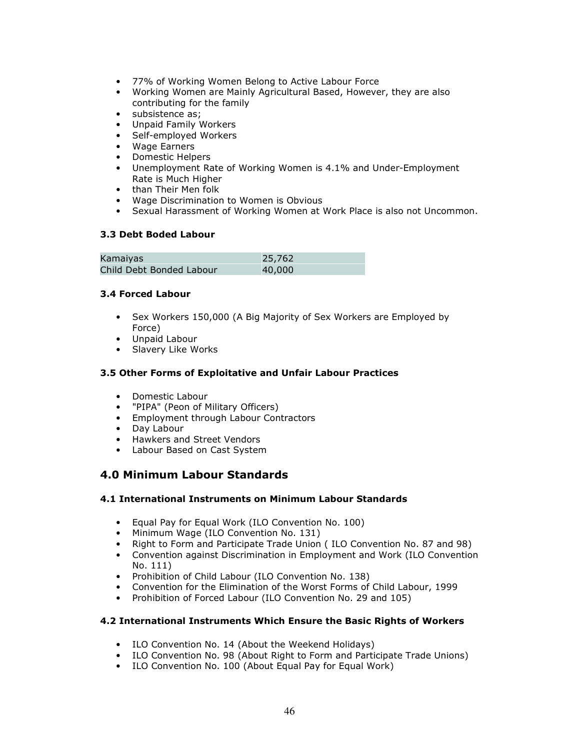- 77% of Working Women Belong to Active Labour Force
- Working Women are Mainly Agricultural Based, However, they are also contributing for the family
- subsistence as;
- Unpaid Family Workers
- Self-employed Workers
- Wage Earners
- Domestic Helpers
- Unemployment Rate of Working Women is 4.1% and Under-Employment Rate is Much Higher
- than Their Men folk
- Wage Discrimination to Women is Obvious
- Sexual Harassment of Working Women at Work Place is also not Uncommon.

#### 3.3 Debt Boded Labour

| Kamaiyas                 | 25,762 |
|--------------------------|--------|
| Child Debt Bonded Labour | 40,000 |

#### 3.4 Forced Labour

- Sex Workers 150,000 (A Big Majority of Sex Workers are Employed by Force)
- Unpaid Labour
- Slavery Like Works

### 3.5 Other Forms of Exploitative and Unfair Labour Practices

- Domestic Labour
- "PIPA" (Peon of Military Officers)
- Employment through Labour Contractors
- Day Labour
- Hawkers and Street Vendors
- Labour Based on Cast System

## 4.0 Minimum Labour Standards

#### 4.1 International Instruments on Minimum Labour Standards

- Equal Pay for Equal Work (ILO Convention No. 100)
- Minimum Wage (ILO Convention No. 131)
- Right to Form and Participate Trade Union ( ILO Convention No. 87 and 98)
- Convention against Discrimination in Employment and Work (ILO Convention No. 111)
- Prohibition of Child Labour (ILO Convention No. 138)
- Convention for the Elimination of the Worst Forms of Child Labour, 1999
- Prohibition of Forced Labour (ILO Convention No. 29 and 105)

#### 4.2 International Instruments Which Ensure the Basic Rights of Workers

- ILO Convention No. 14 (About the Weekend Holidays)
- ILO Convention No. 98 (About Right to Form and Participate Trade Unions)
- ILO Convention No. 100 (About Equal Pay for Equal Work)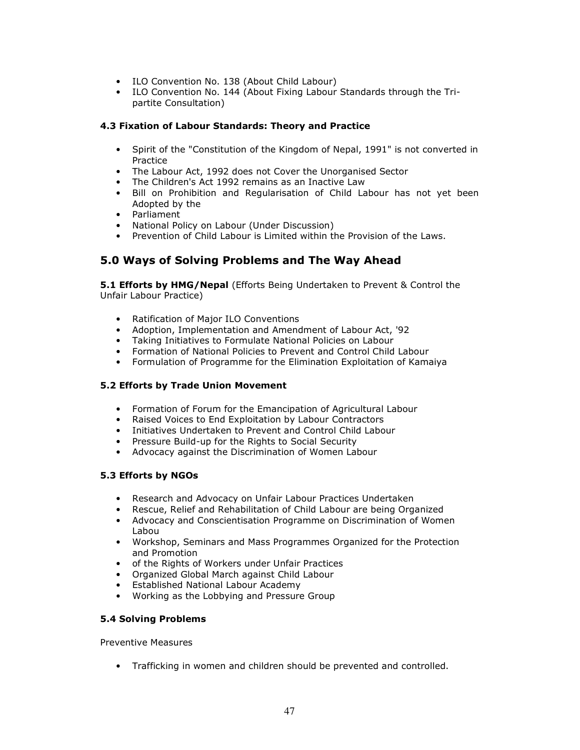- ILO Convention No. 138 (About Child Labour)
- ILO Convention No. 144 (About Fixing Labour Standards through the Tripartite Consultation)

## 4.3 Fixation of Labour Standards: Theory and Practice

- Spirit of the "Constitution of the Kingdom of Nepal, 1991" is not converted in **Practice**
- The Labour Act, 1992 does not Cover the Unorganised Sector
- The Children's Act 1992 remains as an Inactive Law
- Bill on Prohibition and Regularisation of Child Labour has not yet been Adopted by the
- Parliament
- National Policy on Labour (Under Discussion)
- Prevention of Child Labour is Limited within the Provision of the Laws.

## 5.0 Ways of Solving Problems and The Way Ahead

**5.1 Efforts by HMG/Nepal** (Efforts Being Undertaken to Prevent & Control the Unfair Labour Practice)

- Ratification of Major ILO Conventions
- Adoption, Implementation and Amendment of Labour Act, '92
- Taking Initiatives to Formulate National Policies on Labour
- Formation of National Policies to Prevent and Control Child Labour
- Formulation of Programme for the Elimination Exploitation of Kamaiya

## 5.2 Efforts by Trade Union Movement

- Formation of Forum for the Emancipation of Agricultural Labour
- Raised Voices to End Exploitation by Labour Contractors
- Initiatives Undertaken to Prevent and Control Child Labour
- Pressure Build-up for the Rights to Social Security
- Advocacy against the Discrimination of Women Labour

## 5.3 Efforts by NGOs

- Research and Advocacy on Unfair Labour Practices Undertaken
- Rescue, Relief and Rehabilitation of Child Labour are being Organized
- Advocacy and Conscientisation Programme on Discrimination of Women Labou
- Workshop, Seminars and Mass Programmes Organized for the Protection and Promotion
- of the Rights of Workers under Unfair Practices
- Organized Global March against Child Labour
- Established National Labour Academy
- Working as the Lobbying and Pressure Group

## 5.4 Solving Problems

Preventive Measures

• Trafficking in women and children should be prevented and controlled.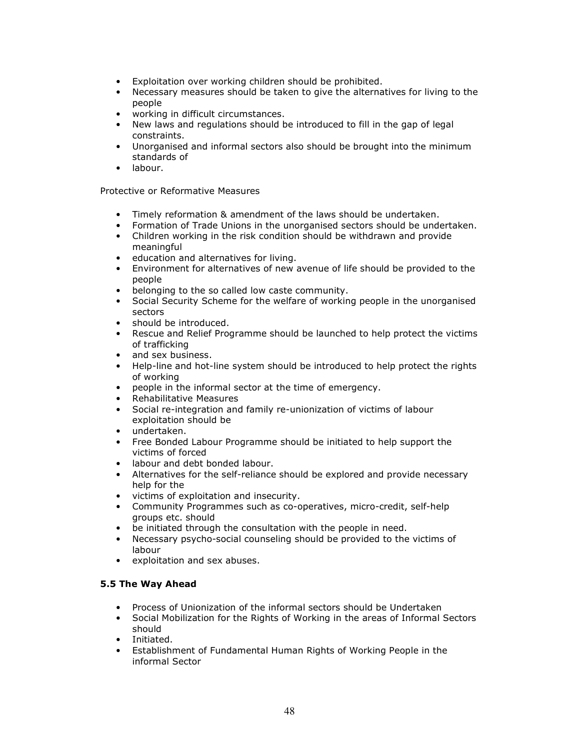- Exploitation over working children should be prohibited.
- Necessary measures should be taken to give the alternatives for living to the people
- working in difficult circumstances.
- New laws and regulations should be introduced to fill in the gap of legal constraints.
- Unorganised and informal sectors also should be brought into the minimum standards of
- labour.

Protective or Reformative Measures

- Timely reformation & amendment of the laws should be undertaken.
- Formation of Trade Unions in the unorganised sectors should be undertaken.
- Children working in the risk condition should be withdrawn and provide meaningful
- education and alternatives for living.
- Environment for alternatives of new avenue of life should be provided to the people
- belonging to the so called low caste community.
- Social Security Scheme for the welfare of working people in the unorganised sectors
- should be introduced.
- Rescue and Relief Programme should be launched to help protect the victims of trafficking
- and sex business.
- Help-line and hot-line system should be introduced to help protect the rights of working
- people in the informal sector at the time of emergency.
- Rehabilitative Measures
- Social re-integration and family re-unionization of victims of labour exploitation should be
- undertaken.
- Free Bonded Labour Programme should be initiated to help support the victims of forced
- labour and debt bonded labour.
- Alternatives for the self-reliance should be explored and provide necessary help for the
- victims of exploitation and insecurity.
- Community Programmes such as co-operatives, micro-credit, self-help groups etc. should
- be initiated through the consultation with the people in need.
- Necessary psycho-social counseling should be provided to the victims of labour
- exploitation and sex abuses.

## 5.5 The Way Ahead

- Process of Unionization of the informal sectors should be Undertaken
- Social Mobilization for the Rights of Working in the areas of Informal Sectors should
- Initiated.
- Establishment of Fundamental Human Rights of Working People in the informal Sector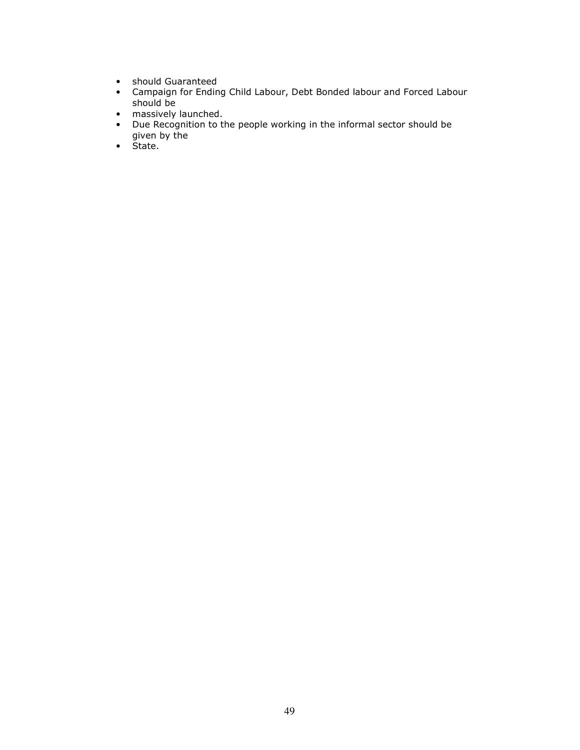- should Guaranteed
- Campaign for Ending Child Labour, Debt Bonded labour and Forced Labour should be
- massively launched.
- Due Recognition to the people working in the informal sector should be given by the
- State.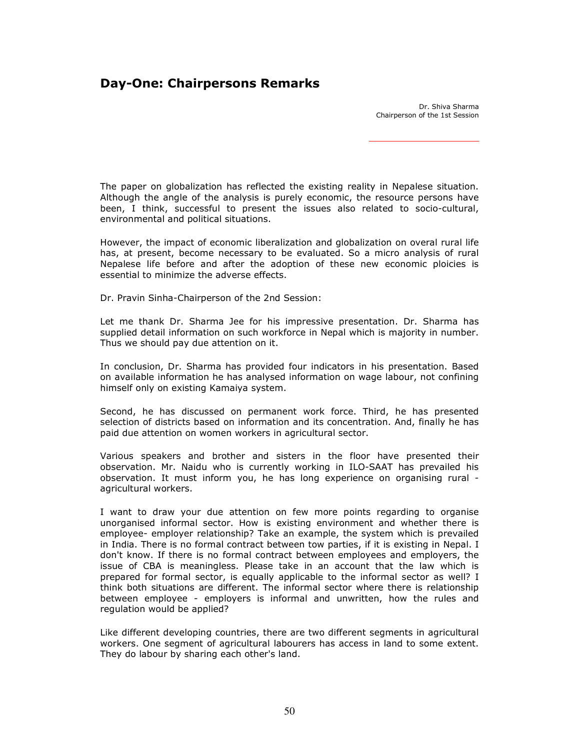## Day-One: Chairpersons Remarks

Dr. Shiva Sharma Chairperson of the 1st Session

The paper on globalization has reflected the existing reality in Nepalese situation. Although the angle of the analysis is purely economic, the resource persons have been, I think, successful to present the issues also related to socio-cultural, environmental and political situations.

However, the impact of economic liberalization and globalization on overal rural life has, at present, become necessary to be evaluated. So a micro analysis of rural Nepalese life before and after the adoption of these new economic ploicies is essential to minimize the adverse effects.

Dr. Pravin Sinha-Chairperson of the 2nd Session:

Let me thank Dr. Sharma Jee for his impressive presentation. Dr. Sharma has supplied detail information on such workforce in Nepal which is majority in number. Thus we should pay due attention on it.

In conclusion, Dr. Sharma has provided four indicators in his presentation. Based on available information he has analysed information on wage labour, not confining himself only on existing Kamaiya system.

Second, he has discussed on permanent work force. Third, he has presented selection of districts based on information and its concentration. And, finally he has paid due attention on women workers in agricultural sector.

Various speakers and brother and sisters in the floor have presented their observation. Mr. Naidu who is currently working in ILO-SAAT has prevailed his observation. It must inform you, he has long experience on organising rural agricultural workers.

I want to draw your due attention on few more points regarding to organise unorganised informal sector. How is existing environment and whether there is employee- employer relationship? Take an example, the system which is prevailed in India. There is no formal contract between tow parties, if it is existing in Nepal. I don't know. If there is no formal contract between employees and employers, the issue of CBA is meaningless. Please take in an account that the law which is prepared for formal sector, is equally applicable to the informal sector as well? I think both situations are different. The informal sector where there is relationship between employee - employers is informal and unwritten, how the rules and regulation would be applied?

Like different developing countries, there are two different segments in agricultural workers. One segment of agricultural labourers has access in land to some extent. They do labour by sharing each other's land.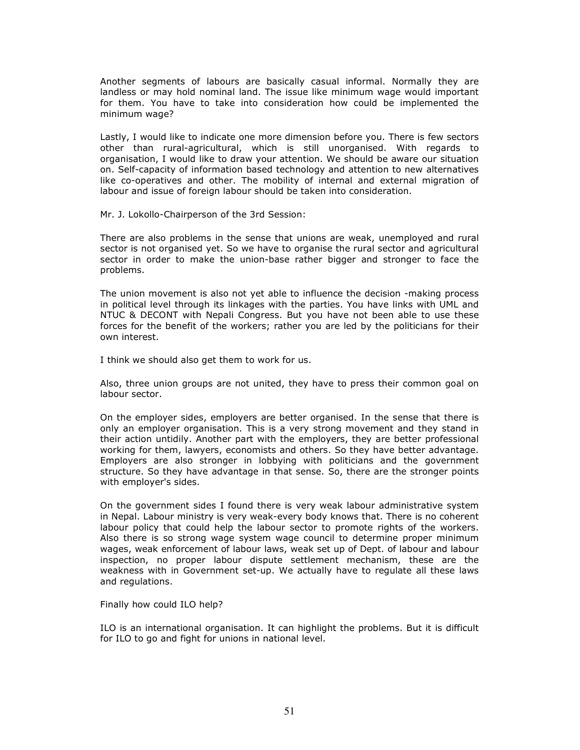Another segments of labours are basically casual informal. Normally they are landless or may hold nominal land. The issue like minimum wage would important for them. You have to take into consideration how could be implemented the minimum wage?

Lastly, I would like to indicate one more dimension before you. There is few sectors other than rural-agricultural, which is still unorganised. With regards to organisation, I would like to draw your attention. We should be aware our situation on. Self-capacity of information based technology and attention to new alternatives like co-operatives and other. The mobility of internal and external migration of labour and issue of foreign labour should be taken into consideration.

Mr. J. Lokollo-Chairperson of the 3rd Session:

There are also problems in the sense that unions are weak, unemployed and rural sector is not organised yet. So we have to organise the rural sector and agricultural sector in order to make the union-base rather bigger and stronger to face the problems.

The union movement is also not yet able to influence the decision -making process in political level through its linkages with the parties. You have links with UML and NTUC & DECONT with Nepali Congress. But you have not been able to use these forces for the benefit of the workers; rather you are led by the politicians for their own interest.

I think we should also get them to work for us.

Also, three union groups are not united, they have to press their common goal on labour sector.

On the employer sides, employers are better organised. In the sense that there is only an employer organisation. This is a very strong movement and they stand in their action untidily. Another part with the employers, they are better professional working for them, lawyers, economists and others. So they have better advantage. Employers are also stronger in lobbying with politicians and the government structure. So they have advantage in that sense. So, there are the stronger points with employer's sides.

On the government sides I found there is very weak labour administrative system in Nepal. Labour ministry is very weak-every body knows that. There is no coherent labour policy that could help the labour sector to promote rights of the workers. Also there is so strong wage system wage council to determine proper minimum wages, weak enforcement of labour laws, weak set up of Dept. of labour and labour inspection, no proper labour dispute settlement mechanism, these are the weakness with in Government set-up. We actually have to regulate all these laws and regulations.

Finally how could ILO help?

ILO is an international organisation. It can highlight the problems. But it is difficult for ILO to go and fight for unions in national level.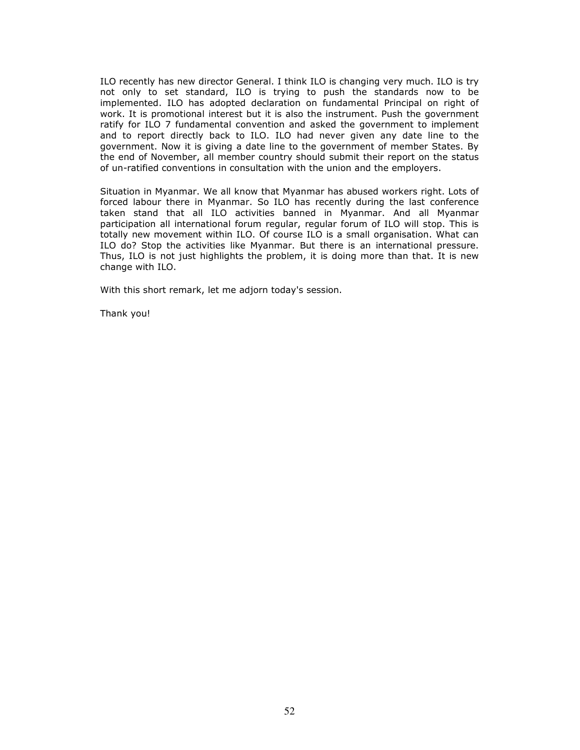ILO recently has new director General. I think ILO is changing very much. ILO is try not only to set standard, ILO is trying to push the standards now to be implemented. ILO has adopted declaration on fundamental Principal on right of work. It is promotional interest but it is also the instrument. Push the government ratify for ILO 7 fundamental convention and asked the government to implement and to report directly back to ILO. ILO had never given any date line to the government. Now it is giving a date line to the government of member States. By the end of November, all member country should submit their report on the status of un-ratified conventions in consultation with the union and the employers.

Situation in Myanmar. We all know that Myanmar has abused workers right. Lots of forced labour there in Myanmar. So ILO has recently during the last conference taken stand that all ILO activities banned in Myanmar. And all Myanmar participation all international forum regular, regular forum of ILO will stop. This is totally new movement within ILO. Of course ILO is a small organisation. What can ILO do? Stop the activities like Myanmar. But there is an international pressure. Thus, ILO is not just highlights the problem, it is doing more than that. It is new change with ILO.

With this short remark, let me adjorn today's session.

Thank you!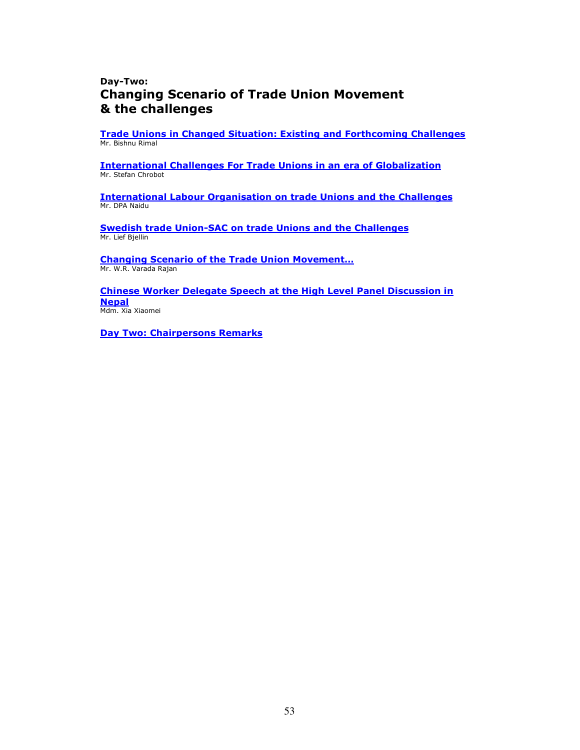## Day-Two: Changing Scenario of Trade Union Movement & the challenges

Trade Unions in Changed Situation: Existing and Forthcoming Challenges Mr. Bishnu Rimal

International Challenges For Trade Unions in an era of Globalization Mr. Stefan Chrobot

International Labour Organisation on trade Unions and the Challenges Mr. DPA Naidu

Swedish trade Union-SAC on trade Unions and the Challenges Mr. Lief Bjellin

Changing Scenario of the Trade Union Movement… Mr. W.R. Varada Rajan

Chinese Worker Delegate Speech at the High Level Panel Discussion in **Nepal** Mdm. Xia Xiaomei

Day Two: Chairpersons Remarks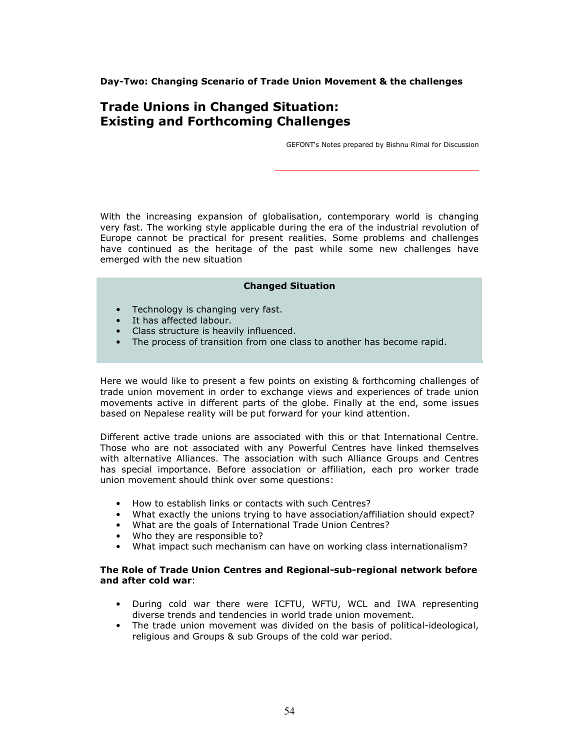Day-Two: Changing Scenario of Trade Union Movement & the challenges

# Trade Unions in Changed Situation: Existing and Forthcoming Challenges

GEFONT's Notes prepared by Bishnu Rimal for Discussion

With the increasing expansion of globalisation, contemporary world is changing very fast. The working style applicable during the era of the industrial revolution of Europe cannot be practical for present realities. Some problems and challenges have continued as the heritage of the past while some new challenges have emerged with the new situation

#### Changed Situation

- Technology is changing very fast.
- It has affected labour.
- Class structure is heavily influenced.
- The process of transition from one class to another has become rapid.

Here we would like to present a few points on existing & forthcoming challenges of trade union movement in order to exchange views and experiences of trade union movements active in different parts of the globe. Finally at the end, some issues based on Nepalese reality will be put forward for your kind attention.

Different active trade unions are associated with this or that International Centre. Those who are not associated with any Powerful Centres have linked themselves with alternative Alliances. The association with such Alliance Groups and Centres has special importance. Before association or affiliation, each pro worker trade union movement should think over some questions:

- How to establish links or contacts with such Centres?
- What exactly the unions trying to have association/affiliation should expect?
- What are the goals of International Trade Union Centres?
- Who they are responsible to?
- What impact such mechanism can have on working class internationalism?

#### The Role of Trade Union Centres and Regional-sub-regional network before and after cold war:

- During cold war there were ICFTU, WFTU, WCL and IWA representing diverse trends and tendencies in world trade union movement.
- The trade union movement was divided on the basis of political-ideological, religious and Groups & sub Groups of the cold war period.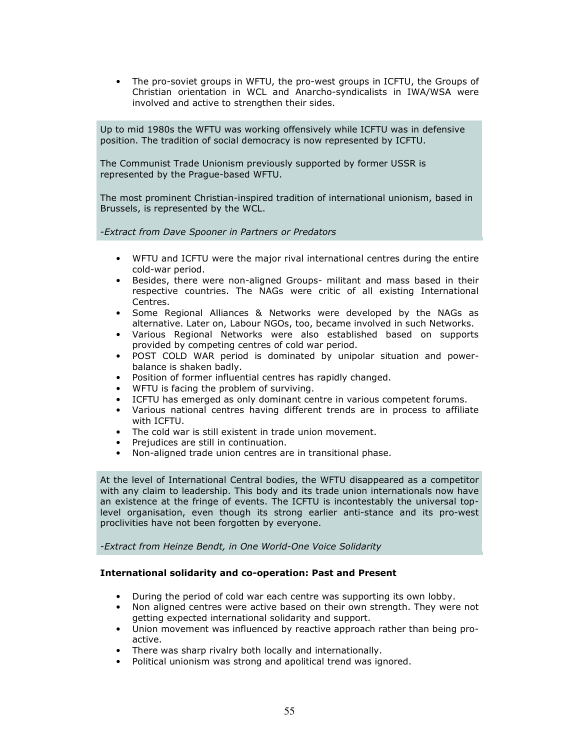• The pro-soviet groups in WFTU, the pro-west groups in ICFTU, the Groups of Christian orientation in WCL and Anarcho-syndicalists in IWA/WSA were involved and active to strengthen their sides.

Up to mid 1980s the WFTU was working offensively while ICFTU was in defensive position. The tradition of social democracy is now represented by ICFTU.

The Communist Trade Unionism previously supported by former USSR is represented by the Prague-based WFTU.

The most prominent Christian-inspired tradition of international unionism, based in Brussels, is represented by the WCL.

-Extract from Dave Spooner in Partners or Predators

- WFTU and ICFTU were the major rival international centres during the entire cold-war period.
- Besides, there were non-aligned Groups- militant and mass based in their respective countries. The NAGs were critic of all existing International Centres.
- Some Regional Alliances & Networks were developed by the NAGs as alternative. Later on, Labour NGOs, too, became involved in such Networks.
- Various Regional Networks were also established based on supports provided by competing centres of cold war period.
- POST COLD WAR period is dominated by unipolar situation and powerbalance is shaken badly.
- Position of former influential centres has rapidly changed.
- WFTU is facing the problem of surviving.
- ICFTU has emerged as only dominant centre in various competent forums.
- Various national centres having different trends are in process to affiliate with ICFTU.
- The cold war is still existent in trade union movement.
- Prejudices are still in continuation.
- Non-aligned trade union centres are in transitional phase.

At the level of International Central bodies, the WFTU disappeared as a competitor with any claim to leadership. This body and its trade union internationals now have an existence at the fringe of events. The ICFTU is incontestably the universal toplevel organisation, even though its strong earlier anti-stance and its pro-west proclivities have not been forgotten by everyone.

-Extract from Heinze Bendt, in One World-One Voice Solidarity

#### International solidarity and co-operation: Past and Present

- During the period of cold war each centre was supporting its own lobby.
- Non aligned centres were active based on their own strength. They were not getting expected international solidarity and support.
- Union movement was influenced by reactive approach rather than being proactive.
- There was sharp rivalry both locally and internationally.
- Political unionism was strong and apolitical trend was ignored.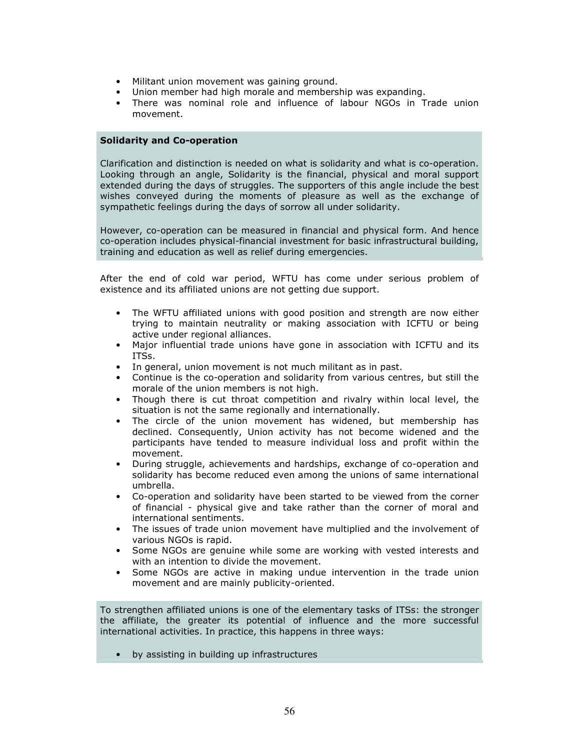- Militant union movement was gaining ground.
- Union member had high morale and membership was expanding.
- There was nominal role and influence of labour NGOs in Trade union movement.

#### Solidarity and Co-operation

Clarification and distinction is needed on what is solidarity and what is co-operation. Looking through an angle, Solidarity is the financial, physical and moral support extended during the days of struggles. The supporters of this angle include the best wishes conveyed during the moments of pleasure as well as the exchange of sympathetic feelings during the days of sorrow all under solidarity.

However, co-operation can be measured in financial and physical form. And hence co-operation includes physical-financial investment for basic infrastructural building, training and education as well as relief during emergencies.

After the end of cold war period, WFTU has come under serious problem of existence and its affiliated unions are not getting due support.

- The WFTU affiliated unions with good position and strength are now either trying to maintain neutrality or making association with ICFTU or being active under regional alliances.
- Major influential trade unions have gone in association with ICFTU and its ITSs.
- In general, union movement is not much militant as in past.
- Continue is the co-operation and solidarity from various centres, but still the morale of the union members is not high.
- Though there is cut throat competition and rivalry within local level, the situation is not the same regionally and internationally.
- The circle of the union movement has widened, but membership has declined. Consequently, Union activity has not become widened and the participants have tended to measure individual loss and profit within the movement.
- During struggle, achievements and hardships, exchange of co-operation and solidarity has become reduced even among the unions of same international umbrella.
- Co-operation and solidarity have been started to be viewed from the corner of financial - physical give and take rather than the corner of moral and international sentiments.
- The issues of trade union movement have multiplied and the involvement of various NGOs is rapid.
- Some NGOs are genuine while some are working with vested interests and with an intention to divide the movement.
- Some NGOs are active in making undue intervention in the trade union movement and are mainly publicity-oriented.

To strengthen affiliated unions is one of the elementary tasks of ITSs: the stronger the affiliate, the greater its potential of influence and the more successful international activities. In practice, this happens in three ways:

• by assisting in building up infrastructures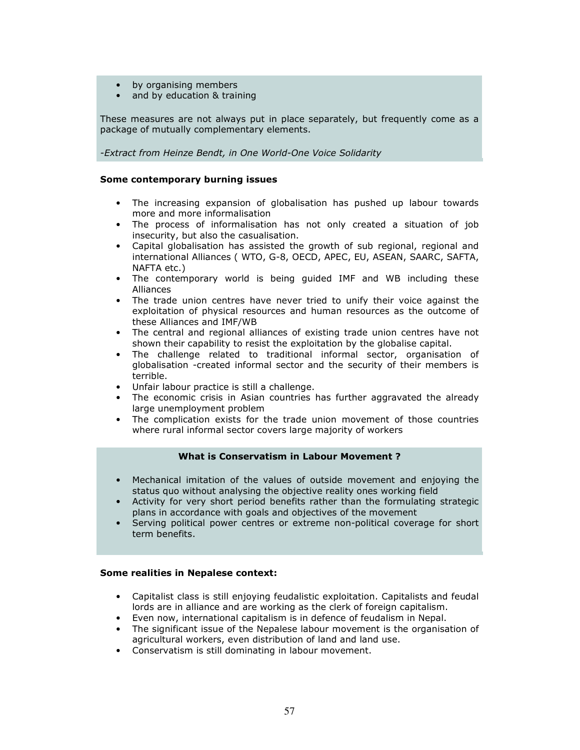- by organising members
- and by education & training

These measures are not always put in place separately, but frequently come as a package of mutually complementary elements.

-Extract from Heinze Bendt, in One World-One Voice Solidarity

#### Some contemporary burning issues

- The increasing expansion of globalisation has pushed up labour towards more and more informalisation
- The process of informalisation has not only created a situation of job insecurity, but also the casualisation.
- Capital globalisation has assisted the growth of sub regional, regional and international Alliances ( WTO, G-8, OECD, APEC, EU, ASEAN, SAARC, SAFTA, NAFTA etc.)
- The contemporary world is being guided IMF and WB including these Alliances
- The trade union centres have never tried to unify their voice against the exploitation of physical resources and human resources as the outcome of these Alliances and IMF/WB
- The central and regional alliances of existing trade union centres have not shown their capability to resist the exploitation by the globalise capital.
- The challenge related to traditional informal sector, organisation of globalisation -created informal sector and the security of their members is terrible.
- Unfair labour practice is still a challenge.
- The economic crisis in Asian countries has further aggravated the already large unemployment problem
- The complication exists for the trade union movement of those countries where rural informal sector covers large majority of workers

## What is Conservatism in Labour Movement ?

- Mechanical imitation of the values of outside movement and enjoying the status quo without analysing the objective reality ones working field
- Activity for very short period benefits rather than the formulating strategic plans in accordance with goals and objectives of the movement
- Serving political power centres or extreme non-political coverage for short term benefits.

#### Some realities in Nepalese context:

- Capitalist class is still enjoying feudalistic exploitation. Capitalists and feudal lords are in alliance and are working as the clerk of foreign capitalism.
- Even now, international capitalism is in defence of feudalism in Nepal.
- The significant issue of the Nepalese labour movement is the organisation of agricultural workers, even distribution of land and land use.
- Conservatism is still dominating in labour movement.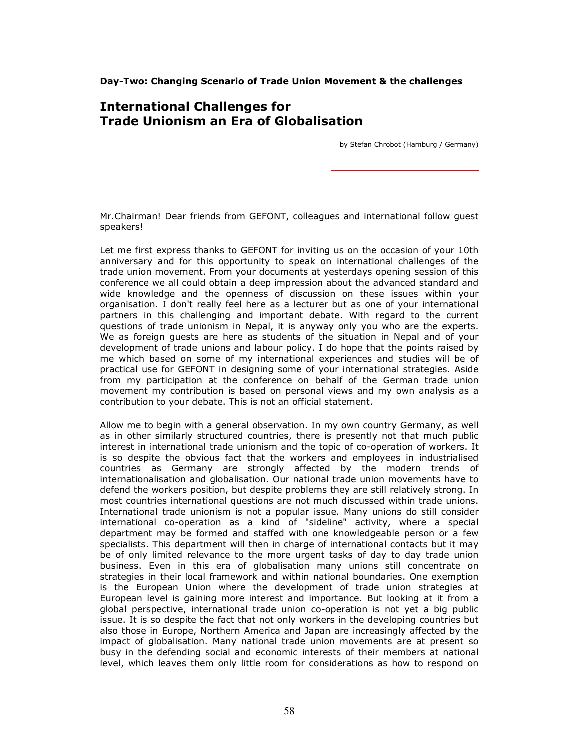Day-Two: Changing Scenario of Trade Union Movement & the challenges

# International Challenges for Trade Unionism an Era of Globalisation

by Stefan Chrobot (Hamburg / Germany)

Mr.Chairman! Dear friends from GEFONT, colleagues and international follow guest speakers!

Let me first express thanks to GEFONT for inviting us on the occasion of your 10th anniversary and for this opportunity to speak on international challenges of the trade union movement. From your documents at yesterdays opening session of this conference we all could obtain a deep impression about the advanced standard and wide knowledge and the openness of discussion on these issues within your organisation. I don't really feel here as a lecturer but as one of your international partners in this challenging and important debate. With regard to the current questions of trade unionism in Nepal, it is anyway only you who are the experts. We as foreign guests are here as students of the situation in Nepal and of your development of trade unions and labour policy. I do hope that the points raised by me which based on some of my international experiences and studies will be of practical use for GEFONT in designing some of your international strategies. Aside from my participation at the conference on behalf of the German trade union movement my contribution is based on personal views and my own analysis as a contribution to your debate. This is not an official statement.

Allow me to begin with a general observation. In my own country Germany, as well as in other similarly structured countries, there is presently not that much public interest in international trade unionism and the topic of co-operation of workers. It is so despite the obvious fact that the workers and employees in industrialised countries as Germany are strongly affected by the modern trends of internationalisation and globalisation. Our national trade union movements have to defend the workers position, but despite problems they are still relatively strong. In most countries international questions are not much discussed within trade unions. International trade unionism is not a popular issue. Many unions do still consider international co-operation as a kind of "sideline" activity, where a special department may be formed and staffed with one knowledgeable person or a few specialists. This department will then in charge of international contacts but it may be of only limited relevance to the more urgent tasks of day to day trade union business. Even in this era of globalisation many unions still concentrate on strategies in their local framework and within national boundaries. One exemption is the European Union where the development of trade union strategies at European level is gaining more interest and importance. But looking at it from a global perspective, international trade union co-operation is not yet a big public issue. It is so despite the fact that not only workers in the developing countries but also those in Europe, Northern America and Japan are increasingly affected by the impact of globalisation. Many national trade union movements are at present so busy in the defending social and economic interests of their members at national level, which leaves them only little room for considerations as how to respond on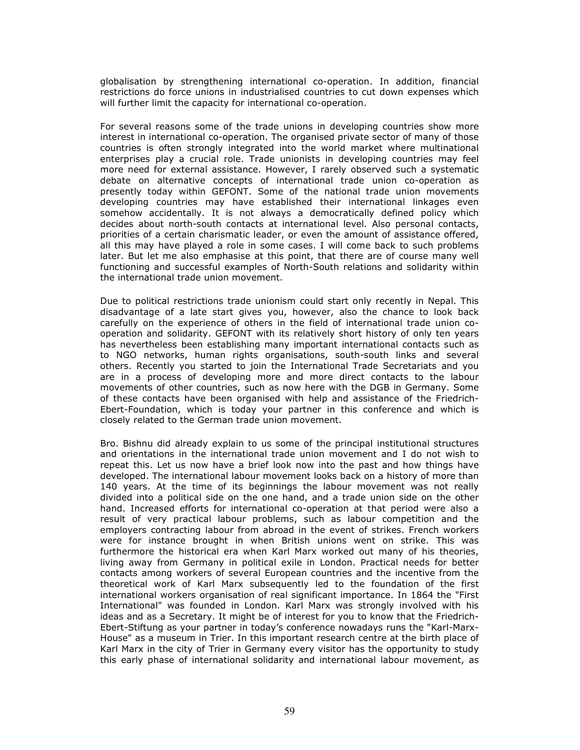globalisation by strengthening international co-operation. In addition, financial restrictions do force unions in industrialised countries to cut down expenses which will further limit the capacity for international co-operation.

For several reasons some of the trade unions in developing countries show more interest in international co-operation. The organised private sector of many of those countries is often strongly integrated into the world market where multinational enterprises play a crucial role. Trade unionists in developing countries may feel more need for external assistance. However, I rarely observed such a systematic debate on alternative concepts of international trade union co-operation as presently today within GEFONT. Some of the national trade union movements developing countries may have established their international linkages even somehow accidentally. It is not always a democratically defined policy which decides about north-south contacts at international level. Also personal contacts, priorities of a certain charismatic leader, or even the amount of assistance offered, all this may have played a role in some cases. I will come back to such problems later. But let me also emphasise at this point, that there are of course many well functioning and successful examples of North-South relations and solidarity within the international trade union movement.

Due to political restrictions trade unionism could start only recently in Nepal. This disadvantage of a late start gives you, however, also the chance to look back carefully on the experience of others in the field of international trade union cooperation and solidarity. GEFONT with its relatively short history of only ten years has nevertheless been establishing many important international contacts such as to NGO networks, human rights organisations, south-south links and several others. Recently you started to join the International Trade Secretariats and you are in a process of developing more and more direct contacts to the labour movements of other countries, such as now here with the DGB in Germany. Some of these contacts have been organised with help and assistance of the Friedrich-Ebert-Foundation, which is today your partner in this conference and which is closely related to the German trade union movement.

Bro. Bishnu did already explain to us some of the principal institutional structures and orientations in the international trade union movement and I do not wish to repeat this. Let us now have a brief look now into the past and how things have developed. The international labour movement looks back on a history of more than 140 years. At the time of its beginnings the labour movement was not really divided into a political side on the one hand, and a trade union side on the other hand. Increased efforts for international co-operation at that period were also a result of very practical labour problems, such as labour competition and the employers contracting labour from abroad in the event of strikes. French workers were for instance brought in when British unions went on strike. This was furthermore the historical era when Karl Marx worked out many of his theories, living away from Germany in political exile in London. Practical needs for better contacts among workers of several European countries and the incentive from the theoretical work of Karl Marx subsequently led to the foundation of the first international workers organisation of real significant importance. In 1864 the "First International" was founded in London. Karl Marx was strongly involved with his ideas and as a Secretary. It might be of interest for you to know that the Friedrich-Ebert-Stiftung as your partner in today's conference nowadays runs the "Karl-Marx-House" as a museum in Trier. In this important research centre at the birth place of Karl Marx in the city of Trier in Germany every visitor has the opportunity to study this early phase of international solidarity and international labour movement, as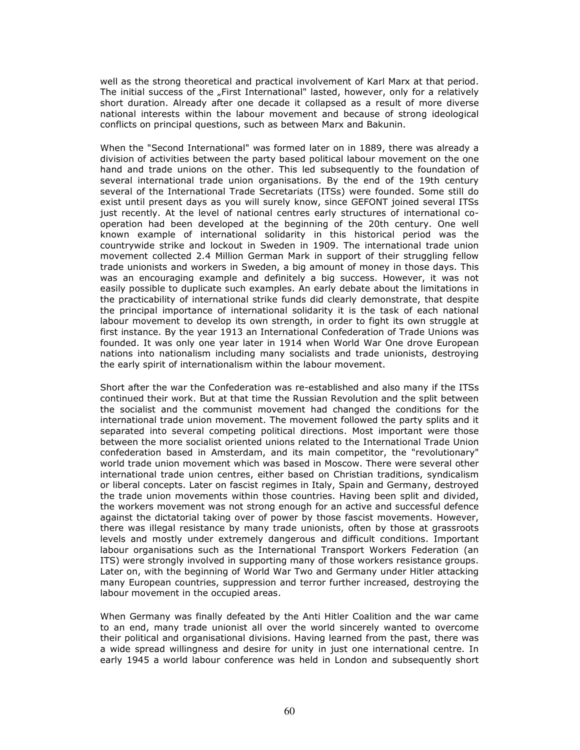well as the strong theoretical and practical involvement of Karl Marx at that period. The initial success of the "First International" lasted, however, only for a relatively short duration. Already after one decade it collapsed as a result of more diverse national interests within the labour movement and because of strong ideological conflicts on principal questions, such as between Marx and Bakunin.

When the "Second International" was formed later on in 1889, there was already a division of activities between the party based political labour movement on the one hand and trade unions on the other. This led subsequently to the foundation of several international trade union organisations. By the end of the 19th century several of the International Trade Secretariats (ITSs) were founded. Some still do exist until present days as you will surely know, since GEFONT joined several ITSs just recently. At the level of national centres early structures of international cooperation had been developed at the beginning of the 20th century. One well known example of international solidarity in this historical period was the countrywide strike and lockout in Sweden in 1909. The international trade union movement collected 2.4 Million German Mark in support of their struggling fellow trade unionists and workers in Sweden, a big amount of money in those days. This was an encouraging example and definitely a big success. However, it was not easily possible to duplicate such examples. An early debate about the limitations in the practicability of international strike funds did clearly demonstrate, that despite the principal importance of international solidarity it is the task of each national labour movement to develop its own strength, in order to fight its own struggle at first instance. By the year 1913 an International Confederation of Trade Unions was founded. It was only one year later in 1914 when World War One drove European nations into nationalism including many socialists and trade unionists, destroying the early spirit of internationalism within the labour movement.

Short after the war the Confederation was re-established and also many if the ITSs continued their work. But at that time the Russian Revolution and the split between the socialist and the communist movement had changed the conditions for the international trade union movement. The movement followed the party splits and it separated into several competing political directions. Most important were those between the more socialist oriented unions related to the International Trade Union confederation based in Amsterdam, and its main competitor, the "revolutionary" world trade union movement which was based in Moscow. There were several other international trade union centres, either based on Christian traditions, syndicalism or liberal concepts. Later on fascist regimes in Italy, Spain and Germany, destroyed the trade union movements within those countries. Having been split and divided, the workers movement was not strong enough for an active and successful defence against the dictatorial taking over of power by those fascist movements. However, there was illegal resistance by many trade unionists, often by those at grassroots levels and mostly under extremely dangerous and difficult conditions. Important labour organisations such as the International Transport Workers Federation (an ITS) were strongly involved in supporting many of those workers resistance groups. Later on, with the beginning of World War Two and Germany under Hitler attacking many European countries, suppression and terror further increased, destroying the labour movement in the occupied areas.

When Germany was finally defeated by the Anti Hitler Coalition and the war came to an end, many trade unionist all over the world sincerely wanted to overcome their political and organisational divisions. Having learned from the past, there was a wide spread willingness and desire for unity in just one international centre. In early 1945 a world labour conference was held in London and subsequently short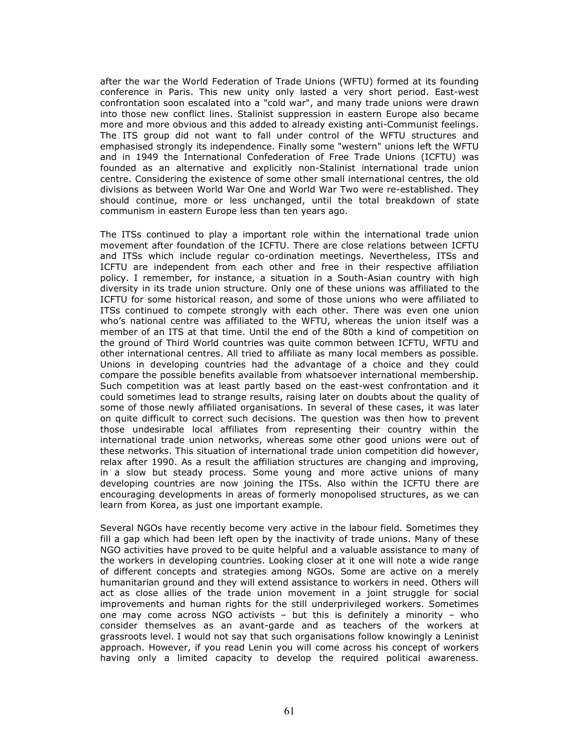after the war the World Federation of Trade Unions (WFTU) formed at its founding conference in Paris. This new unity only lasted a very short period. East-west confrontation soon escalated into a "cold war", and many trade unions were drawn into those new conflict lines. Stalinist suppression in eastern Europe also became more and more obvious and this added to already existing anti-Communist feelings. The ITS group did not want to fall under control of the WFTU structures and emphasised strongly its independence. Finally some "western" unions left the WFTU and in 1949 the International Confederation of Free Trade Unions (ICFTU) was founded as an alternative and explicitly non-Stalinist international trade union centre. Considering the existence of some other small international centres, the old divisions as between World War One and World War Two were re-established. They should continue, more or less unchanged, until the total breakdown of state communism in eastern Europe less than ten years ago.

The ITSs continued to play a important role within the international trade union movement after foundation of the ICFTU. There are close relations between ICFTU and ITSs which include regular co-ordination meetings. Nevertheless, ITSs and ICFTU are independent from each other and free in their respective affiliation policy. I remember, for instance, a situation in a South-Asian country with high diversity in its trade union structure. Only one of these unions was affiliated to the ICFTU for some historical reason, and some of those unions who were affiliated to ITSs continued to compete strongly with each other. There was even one union who's national centre was affiliated to the WFTU, whereas the union itself was a member of an ITS at that time. Until the end of the 80th a kind of competition on the ground of Third World countries was quite common between ICFTU, WFTU and other international centres. All tried to affiliate as many local members as possible. Unions in developing countries had the advantage of a choice and they could compare the possible benefits available from whatsoever international membership. Such competition was at least partly based on the east-west confrontation and it could sometimes lead to strange results, raising later on doubts about the quality of some of those newly affiliated organisations. In several of these cases, it was later on quite difficult to correct such decisions. The question was then how to prevent those undesirable local affiliates from representing their country within the international trade union networks, whereas some other good unions were out of these networks. This situation of international trade union competition did however, relax after 1990. As a result the affiliation structures are changing and improving, in a slow but steady process. Some young and more active unions of many developing countries are now joining the ITSs. Also within the ICFTU there are encouraging developments in areas of formerly monopolised structures, as we can learn from Korea, as just one important example.

Several NGOs have recently become very active in the labour field. Sometimes they fill a gap which had been left open by the inactivity of trade unions. Many of these NGO activities have proved to be quite helpful and a valuable assistance to many of the workers in developing countries. Looking closer at it one will note a wide range of different concepts and strategies among NGOs. Some are active on a merely humanitarian ground and they will extend assistance to workers in need. Others will act as close allies of the trade union movement in a joint struggle for social improvements and human rights for the still underprivileged workers. Sometimes one may come across NGO activists – but this is definitely a minority – who consider themselves as an avant-garde and as teachers of the workers at grassroots level. I would not say that such organisations follow knowingly a Leninist approach. However, if you read Lenin you will come across his concept of workers having only a limited capacity to develop the required political awareness.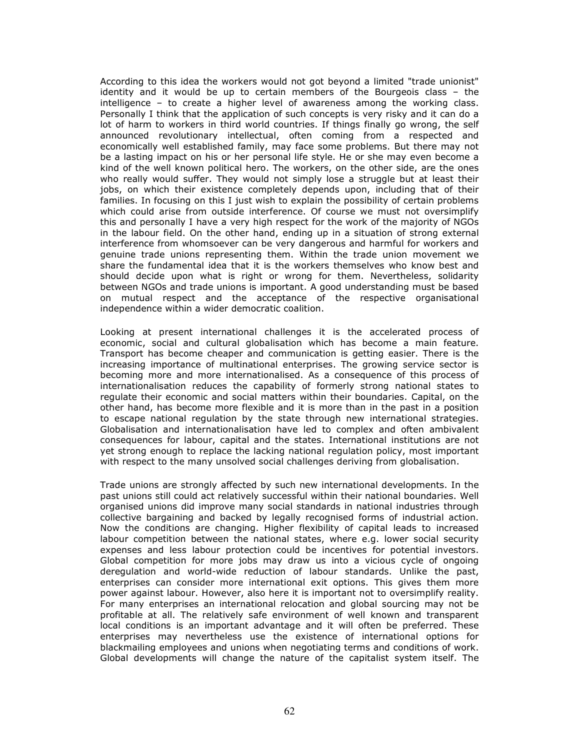According to this idea the workers would not got beyond a limited "trade unionist" identity and it would be up to certain members of the Bourgeois class – the intelligence – to create a higher level of awareness among the working class. Personally I think that the application of such concepts is very risky and it can do a lot of harm to workers in third world countries. If things finally go wrong, the self announced revolutionary intellectual, often coming from a respected and economically well established family, may face some problems. But there may not be a lasting impact on his or her personal life style. He or she may even become a kind of the well known political hero. The workers, on the other side, are the ones who really would suffer. They would not simply lose a struggle but at least their jobs, on which their existence completely depends upon, including that of their families. In focusing on this I just wish to explain the possibility of certain problems which could arise from outside interference. Of course we must not oversimplify this and personally I have a very high respect for the work of the majority of NGOs in the labour field. On the other hand, ending up in a situation of strong external interference from whomsoever can be very dangerous and harmful for workers and genuine trade unions representing them. Within the trade union movement we share the fundamental idea that it is the workers themselves who know best and should decide upon what is right or wrong for them. Nevertheless, solidarity between NGOs and trade unions is important. A good understanding must be based on mutual respect and the acceptance of the respective organisational independence within a wider democratic coalition.

Looking at present international challenges it is the accelerated process of economic, social and cultural globalisation which has become a main feature. Transport has become cheaper and communication is getting easier. There is the increasing importance of multinational enterprises. The growing service sector is becoming more and more internationalised. As a consequence of this process of internationalisation reduces the capability of formerly strong national states to regulate their economic and social matters within their boundaries. Capital, on the other hand, has become more flexible and it is more than in the past in a position to escape national regulation by the state through new international strategies. Globalisation and internationalisation have led to complex and often ambivalent consequences for labour, capital and the states. International institutions are not yet strong enough to replace the lacking national regulation policy, most important with respect to the many unsolved social challenges deriving from globalisation.

Trade unions are strongly affected by such new international developments. In the past unions still could act relatively successful within their national boundaries. Well organised unions did improve many social standards in national industries through collective bargaining and backed by legally recognised forms of industrial action. Now the conditions are changing. Higher flexibility of capital leads to increased labour competition between the national states, where e.g. lower social security expenses and less labour protection could be incentives for potential investors. Global competition for more jobs may draw us into a vicious cycle of ongoing deregulation and world-wide reduction of labour standards. Unlike the past, enterprises can consider more international exit options. This gives them more power against labour. However, also here it is important not to oversimplify reality. For many enterprises an international relocation and global sourcing may not be profitable at all. The relatively safe environment of well known and transparent local conditions is an important advantage and it will often be preferred. These enterprises may nevertheless use the existence of international options for blackmailing employees and unions when negotiating terms and conditions of work. Global developments will change the nature of the capitalist system itself. The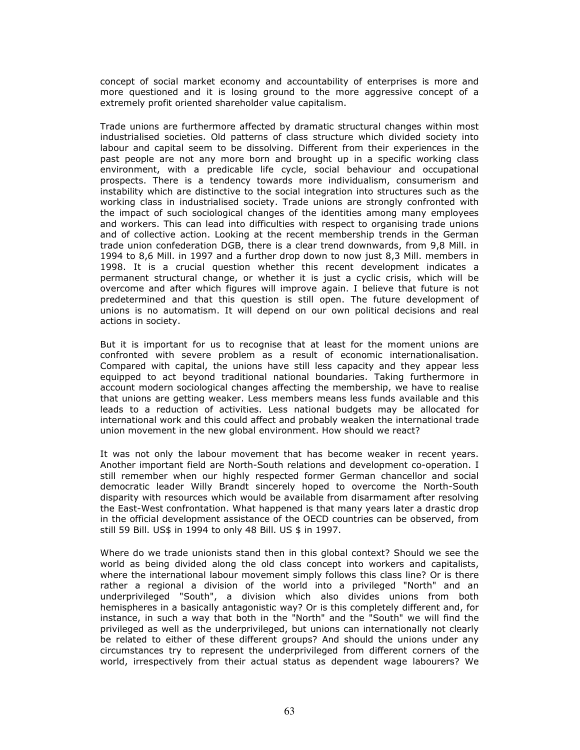concept of social market economy and accountability of enterprises is more and more questioned and it is losing ground to the more aggressive concept of a extremely profit oriented shareholder value capitalism.

Trade unions are furthermore affected by dramatic structural changes within most industrialised societies. Old patterns of class structure which divided society into labour and capital seem to be dissolving. Different from their experiences in the past people are not any more born and brought up in a specific working class environment, with a predicable life cycle, social behaviour and occupational prospects. There is a tendency towards more individualism, consumerism and instability which are distinctive to the social integration into structures such as the working class in industrialised society. Trade unions are strongly confronted with the impact of such sociological changes of the identities among many employees and workers. This can lead into difficulties with respect to organising trade unions and of collective action. Looking at the recent membership trends in the German trade union confederation DGB, there is a clear trend downwards, from 9,8 Mill. in 1994 to 8,6 Mill. in 1997 and a further drop down to now just 8,3 Mill. members in 1998. It is a crucial question whether this recent development indicates a permanent structural change, or whether it is just a cyclic crisis, which will be overcome and after which figures will improve again. I believe that future is not predetermined and that this question is still open. The future development of unions is no automatism. It will depend on our own political decisions and real actions in society.

But it is important for us to recognise that at least for the moment unions are confronted with severe problem as a result of economic internationalisation. Compared with capital, the unions have still less capacity and they appear less equipped to act beyond traditional national boundaries. Taking furthermore in account modern sociological changes affecting the membership, we have to realise that unions are getting weaker. Less members means less funds available and this leads to a reduction of activities. Less national budgets may be allocated for international work and this could affect and probably weaken the international trade union movement in the new global environment. How should we react?

It was not only the labour movement that has become weaker in recent years. Another important field are North-South relations and development co-operation. I still remember when our highly respected former German chancellor and social democratic leader Willy Brandt sincerely hoped to overcome the North-South disparity with resources which would be available from disarmament after resolving the East-West confrontation. What happened is that many years later a drastic drop in the official development assistance of the OECD countries can be observed, from still 59 Bill. US\$ in 1994 to only 48 Bill. US \$ in 1997.

Where do we trade unionists stand then in this global context? Should we see the world as being divided along the old class concept into workers and capitalists, where the international labour movement simply follows this class line? Or is there rather a regional a division of the world into a privileged "North" and an underprivileged "South", a division which also divides unions from both hemispheres in a basically antagonistic way? Or is this completely different and, for instance, in such a way that both in the "North" and the "South" we will find the privileged as well as the underprivileged, but unions can internationally not clearly be related to either of these different groups? And should the unions under any circumstances try to represent the underprivileged from different corners of the world, irrespectively from their actual status as dependent wage labourers? We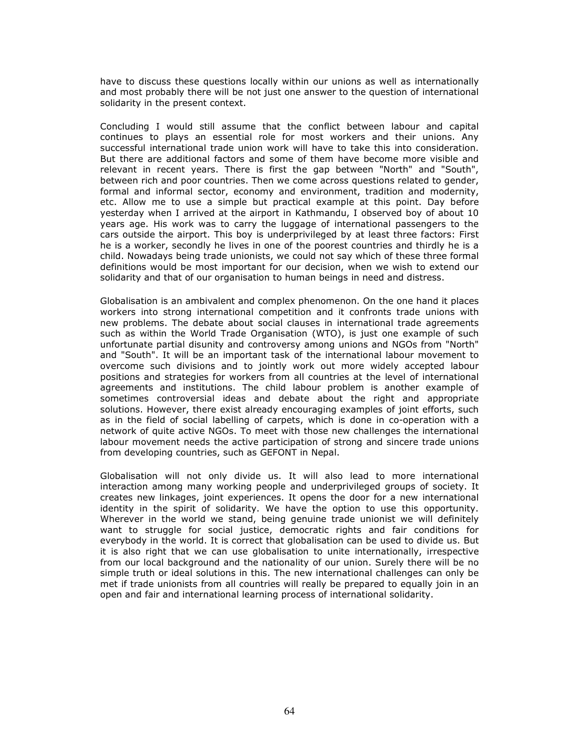have to discuss these questions locally within our unions as well as internationally and most probably there will be not just one answer to the question of international solidarity in the present context.

Concluding I would still assume that the conflict between labour and capital continues to plays an essential role for most workers and their unions. Any successful international trade union work will have to take this into consideration. But there are additional factors and some of them have become more visible and relevant in recent years. There is first the gap between "North" and "South", between rich and poor countries. Then we come across questions related to gender, formal and informal sector, economy and environment, tradition and modernity, etc. Allow me to use a simple but practical example at this point. Day before yesterday when I arrived at the airport in Kathmandu, I observed boy of about 10 years age. His work was to carry the luggage of international passengers to the cars outside the airport. This boy is underprivileged by at least three factors: First he is a worker, secondly he lives in one of the poorest countries and thirdly he is a child. Nowadays being trade unionists, we could not say which of these three formal definitions would be most important for our decision, when we wish to extend our solidarity and that of our organisation to human beings in need and distress.

Globalisation is an ambivalent and complex phenomenon. On the one hand it places workers into strong international competition and it confronts trade unions with new problems. The debate about social clauses in international trade agreements such as within the World Trade Organisation (WTO), is just one example of such unfortunate partial disunity and controversy among unions and NGOs from "North" and "South". It will be an important task of the international labour movement to overcome such divisions and to jointly work out more widely accepted labour positions and strategies for workers from all countries at the level of international agreements and institutions. The child labour problem is another example of sometimes controversial ideas and debate about the right and appropriate solutions. However, there exist already encouraging examples of joint efforts, such as in the field of social labelling of carpets, which is done in co-operation with a network of quite active NGOs. To meet with those new challenges the international labour movement needs the active participation of strong and sincere trade unions from developing countries, such as GEFONT in Nepal.

Globalisation will not only divide us. It will also lead to more international interaction among many working people and underprivileged groups of society. It creates new linkages, joint experiences. It opens the door for a new international identity in the spirit of solidarity. We have the option to use this opportunity. Wherever in the world we stand, being genuine trade unionist we will definitely want to struggle for social justice, democratic rights and fair conditions for everybody in the world. It is correct that globalisation can be used to divide us. But it is also right that we can use globalisation to unite internationally, irrespective from our local background and the nationality of our union. Surely there will be no simple truth or ideal solutions in this. The new international challenges can only be met if trade unionists from all countries will really be prepared to equally join in an open and fair and international learning process of international solidarity.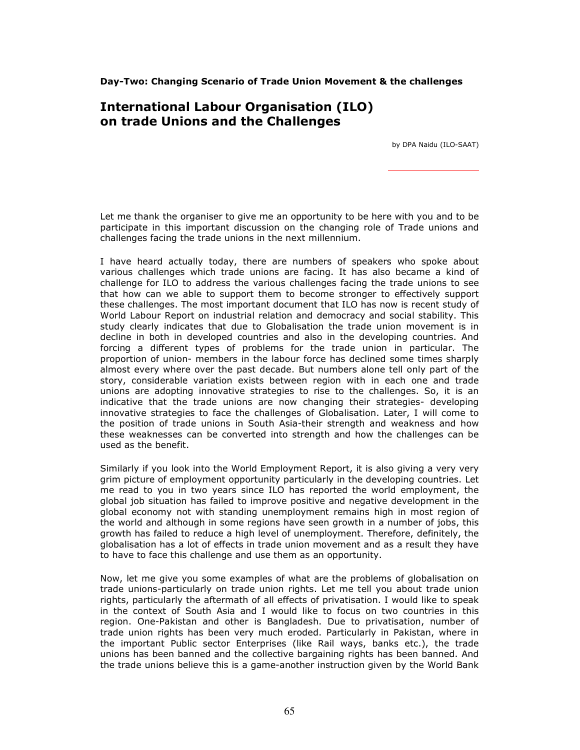Day-Two: Changing Scenario of Trade Union Movement & the challenges

# International Labour Organisation (ILO) on trade Unions and the Challenges

by DPA Naidu (ILO-SAAT)

Let me thank the organiser to give me an opportunity to be here with you and to be participate in this important discussion on the changing role of Trade unions and challenges facing the trade unions in the next millennium.

I have heard actually today, there are numbers of speakers who spoke about various challenges which trade unions are facing. It has also became a kind of challenge for ILO to address the various challenges facing the trade unions to see that how can we able to support them to become stronger to effectively support these challenges. The most important document that ILO has now is recent study of World Labour Report on industrial relation and democracy and social stability. This study clearly indicates that due to Globalisation the trade union movement is in decline in both in developed countries and also in the developing countries. And forcing a different types of problems for the trade union in particular. The proportion of union- members in the labour force has declined some times sharply almost every where over the past decade. But numbers alone tell only part of the story, considerable variation exists between region with in each one and trade unions are adopting innovative strategies to rise to the challenges. So, it is an indicative that the trade unions are now changing their strategies- developing innovative strategies to face the challenges of Globalisation. Later, I will come to the position of trade unions in South Asia-their strength and weakness and how these weaknesses can be converted into strength and how the challenges can be used as the benefit.

Similarly if you look into the World Employment Report, it is also giving a very very grim picture of employment opportunity particularly in the developing countries. Let me read to you in two years since ILO has reported the world employment, the global job situation has failed to improve positive and negative development in the global economy not with standing unemployment remains high in most region of the world and although in some regions have seen growth in a number of jobs, this growth has failed to reduce a high level of unemployment. Therefore, definitely, the globalisation has a lot of effects in trade union movement and as a result they have to have to face this challenge and use them as an opportunity.

Now, let me give you some examples of what are the problems of globalisation on trade unions-particularly on trade union rights. Let me tell you about trade union rights, particularly the aftermath of all effects of privatisation. I would like to speak in the context of South Asia and I would like to focus on two countries in this region. One-Pakistan and other is Bangladesh. Due to privatisation, number of trade union rights has been very much eroded. Particularly in Pakistan, where in the important Public sector Enterprises (like Rail ways, banks etc.), the trade unions has been banned and the collective bargaining rights has been banned. And the trade unions believe this is a game-another instruction given by the World Bank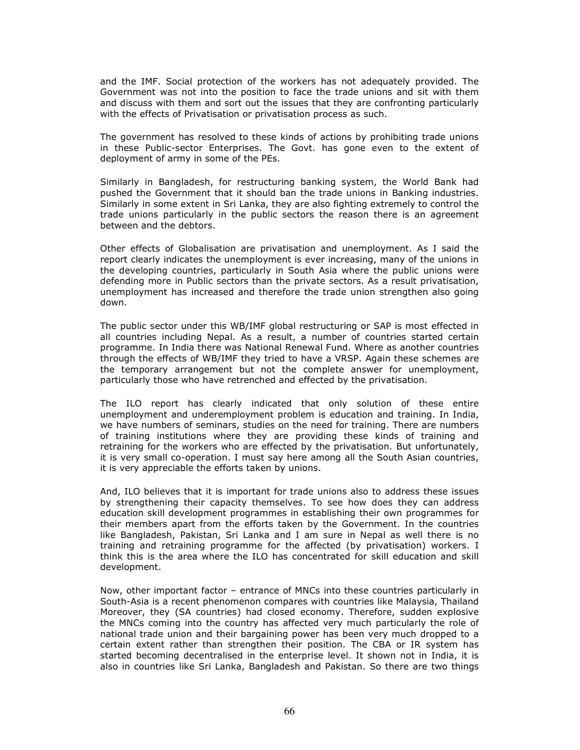and the IMF. Social protection of the workers has not adequately provided. The Government was not into the position to face the trade unions and sit with them and discuss with them and sort out the issues that they are confronting particularly with the effects of Privatisation or privatisation process as such.

The government has resolved to these kinds of actions by prohibiting trade unions in these Public-sector Enterprises. The Govt. has gone even to the extent of deployment of army in some of the PEs.

Similarly in Bangladesh, for restructuring banking system, the World Bank had pushed the Government that it should ban the trade unions in Banking industries. Similarly in some extent in Sri Lanka, they are also fighting extremely to control the trade unions particularly in the public sectors the reason there is an agreement between and the debtors.

Other effects of Globalisation are privatisation and unemployment. As I said the report clearly indicates the unemployment is ever increasing, many of the unions in the developing countries, particularly in South Asia where the public unions were defending more in Public sectors than the private sectors. As a result privatisation, unemployment has increased and therefore the trade union strengthen also going down.

The public sector under this WB/IMF global restructuring or SAP is most effected in all countries including Nepal. As a result, a number of countries started certain programme. In India there was National Renewal Fund. Where as another countries through the effects of WB/IMF they tried to have a VRSP. Again these schemes are the temporary arrangement but not the complete answer for unemployment, particularly those who have retrenched and effected by the privatisation.

The ILO report has clearly indicated that only solution of these entire unemployment and underemployment problem is education and training. In India, we have numbers of seminars, studies on the need for training. There are numbers of training institutions where they are providing these kinds of training and retraining for the workers who are effected by the privatisation. But unfortunately, it is very small co-operation. I must say here among all the South Asian countries, it is very appreciable the efforts taken by unions.

And, ILO believes that it is important for trade unions also to address these issues by strengthening their capacity themselves. To see how does they can address education skill development programmes in establishing their own programmes for their members apart from the efforts taken by the Government. In the countries like Bangladesh, Pakistan, Sri Lanka and I am sure in Nepal as well there is no training and retraining programme for the affected (by privatisation) workers. I think this is the area where the ILO has concentrated for skill education and skill development.

Now, other important factor – entrance of MNCs into these countries particularly in South-Asia is a recent phenomenon compares with countries like Malaysia, Thailand Moreover, they (SA countries) had closed economy. Therefore, sudden explosive the MNCs coming into the country has affected very much particularly the role of national trade union and their bargaining power has been very much dropped to a certain extent rather than strengthen their position. The CBA or IR system has started becoming decentralised in the enterprise level. It shown not in India, it is also in countries like Sri Lanka, Bangladesh and Pakistan. So there are two things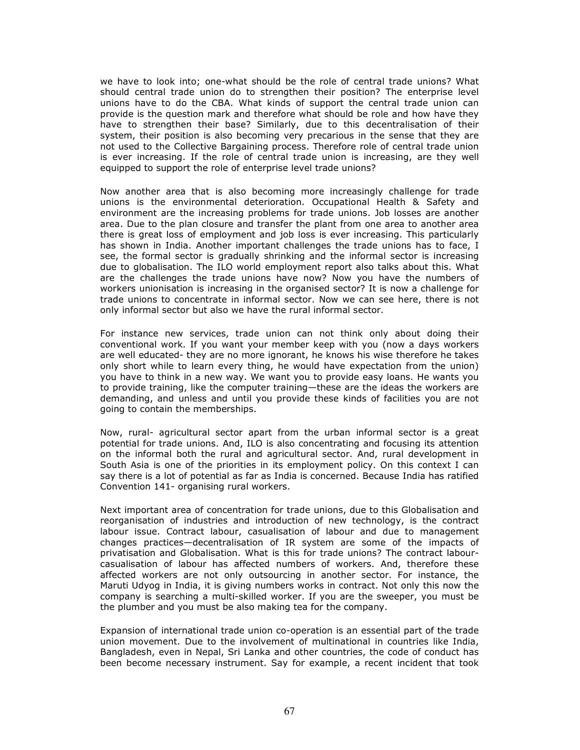we have to look into; one-what should be the role of central trade unions? What should central trade union do to strengthen their position? The enterprise level unions have to do the CBA. What kinds of support the central trade union can provide is the question mark and therefore what should be role and how have they have to strengthen their base? Similarly, due to this decentralisation of their system, their position is also becoming very precarious in the sense that they are not used to the Collective Bargaining process. Therefore role of central trade union is ever increasing. If the role of central trade union is increasing, are they well equipped to support the role of enterprise level trade unions?

Now another area that is also becoming more increasingly challenge for trade unions is the environmental deterioration. Occupational Health & Safety and environment are the increasing problems for trade unions. Job losses are another area. Due to the plan closure and transfer the plant from one area to another area there is great loss of employment and job loss is ever increasing. This particularly has shown in India. Another important challenges the trade unions has to face, I see, the formal sector is gradually shrinking and the informal sector is increasing due to globalisation. The ILO world employment report also talks about this. What are the challenges the trade unions have now? Now you have the numbers of workers unionisation is increasing in the organised sector? It is now a challenge for trade unions to concentrate in informal sector. Now we can see here, there is not only informal sector but also we have the rural informal sector.

For instance new services, trade union can not think only about doing their conventional work. If you want your member keep with you (now a days workers are well educated- they are no more ignorant, he knows his wise therefore he takes only short while to learn every thing, he would have expectation from the union) you have to think in a new way. We want you to provide easy loans. He wants you to provide training, like the computer training—these are the ideas the workers are demanding, and unless and until you provide these kinds of facilities you are not going to contain the memberships.

Now, rural- agricultural sector apart from the urban informal sector is a great potential for trade unions. And, ILO is also concentrating and focusing its attention on the informal both the rural and agricultural sector. And, rural development in South Asia is one of the priorities in its employment policy. On this context I can say there is a lot of potential as far as India is concerned. Because India has ratified Convention 141- organising rural workers.

Next important area of concentration for trade unions, due to this Globalisation and reorganisation of industries and introduction of new technology, is the contract labour issue. Contract labour, casualisation of labour and due to management changes practices—decentralisation of IR system are some of the impacts of privatisation and Globalisation. What is this for trade unions? The contract labourcasualisation of labour has affected numbers of workers. And, therefore these affected workers are not only outsourcing in another sector. For instance, the Maruti Udyog in India, it is giving numbers works in contract. Not only this now the company is searching a multi-skilled worker. If you are the sweeper, you must be the plumber and you must be also making tea for the company.

Expansion of international trade union co-operation is an essential part of the trade union movement. Due to the involvement of multinational in countries like India, Bangladesh, even in Nepal, Sri Lanka and other countries, the code of conduct has been become necessary instrument. Say for example, a recent incident that took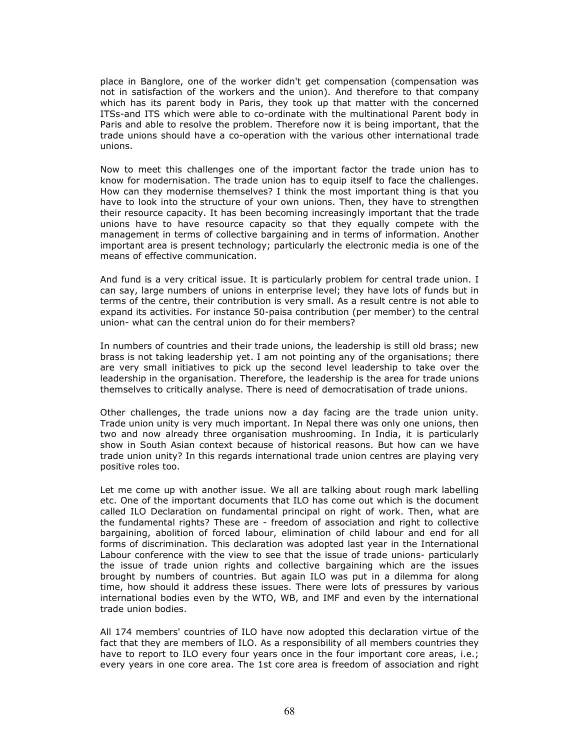place in Banglore, one of the worker didn't get compensation (compensation was not in satisfaction of the workers and the union). And therefore to that company which has its parent body in Paris, they took up that matter with the concerned ITSs-and ITS which were able to co-ordinate with the multinational Parent body in Paris and able to resolve the problem. Therefore now it is being important, that the trade unions should have a co-operation with the various other international trade unions.

Now to meet this challenges one of the important factor the trade union has to know for modernisation. The trade union has to equip itself to face the challenges. How can they modernise themselves? I think the most important thing is that you have to look into the structure of your own unions. Then, they have to strengthen their resource capacity. It has been becoming increasingly important that the trade unions have to have resource capacity so that they equally compete with the management in terms of collective bargaining and in terms of information. Another important area is present technology; particularly the electronic media is one of the means of effective communication.

And fund is a very critical issue. It is particularly problem for central trade union. I can say, large numbers of unions in enterprise level; they have lots of funds but in terms of the centre, their contribution is very small. As a result centre is not able to expand its activities. For instance 50-paisa contribution (per member) to the central union- what can the central union do for their members?

In numbers of countries and their trade unions, the leadership is still old brass; new brass is not taking leadership yet. I am not pointing any of the organisations; there are very small initiatives to pick up the second level leadership to take over the leadership in the organisation. Therefore, the leadership is the area for trade unions themselves to critically analyse. There is need of democratisation of trade unions.

Other challenges, the trade unions now a day facing are the trade union unity. Trade union unity is very much important. In Nepal there was only one unions, then two and now already three organisation mushrooming. In India, it is particularly show in South Asian context because of historical reasons. But how can we have trade union unity? In this regards international trade union centres are playing very positive roles too.

Let me come up with another issue. We all are talking about rough mark labelling etc. One of the important documents that ILO has come out which is the document called ILO Declaration on fundamental principal on right of work. Then, what are the fundamental rights? These are - freedom of association and right to collective bargaining, abolition of forced labour, elimination of child labour and end for all forms of discrimination. This declaration was adopted last year in the International Labour conference with the view to see that the issue of trade unions- particularly the issue of trade union rights and collective bargaining which are the issues brought by numbers of countries. But again ILO was put in a dilemma for along time, how should it address these issues. There were lots of pressures by various international bodies even by the WTO, WB, and IMF and even by the international trade union bodies.

All 174 members' countries of ILO have now adopted this declaration virtue of the fact that they are members of ILO. As a responsibility of all members countries they have to report to ILO every four years once in the four important core areas, i.e.; every years in one core area. The 1st core area is freedom of association and right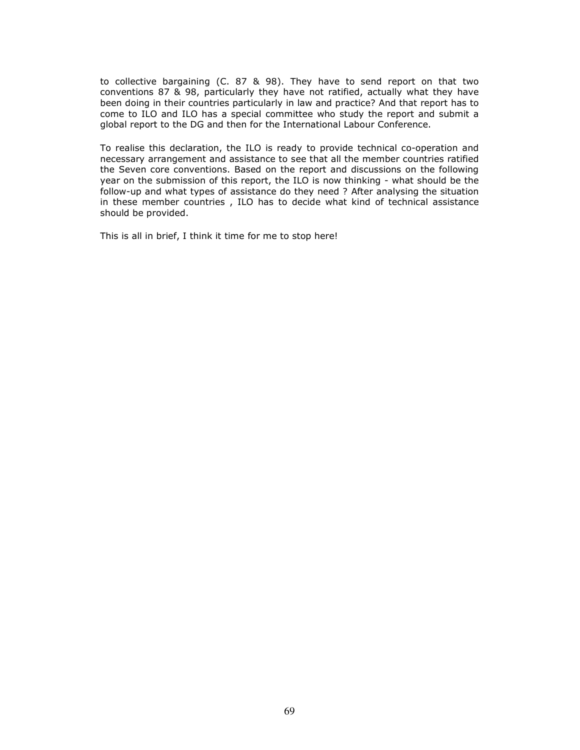to collective bargaining (C. 87 & 98). They have to send report on that two conventions 87 & 98, particularly they have not ratified, actually what they have been doing in their countries particularly in law and practice? And that report has to come to ILO and ILO has a special committee who study the report and submit a global report to the DG and then for the International Labour Conference.

To realise this declaration, the ILO is ready to provide technical co-operation and necessary arrangement and assistance to see that all the member countries ratified the Seven core conventions. Based on the report and discussions on the following year on the submission of this report, the ILO is now thinking - what should be the follow-up and what types of assistance do they need ? After analysing the situation in these member countries , ILO has to decide what kind of technical assistance should be provided.

This is all in brief, I think it time for me to stop here!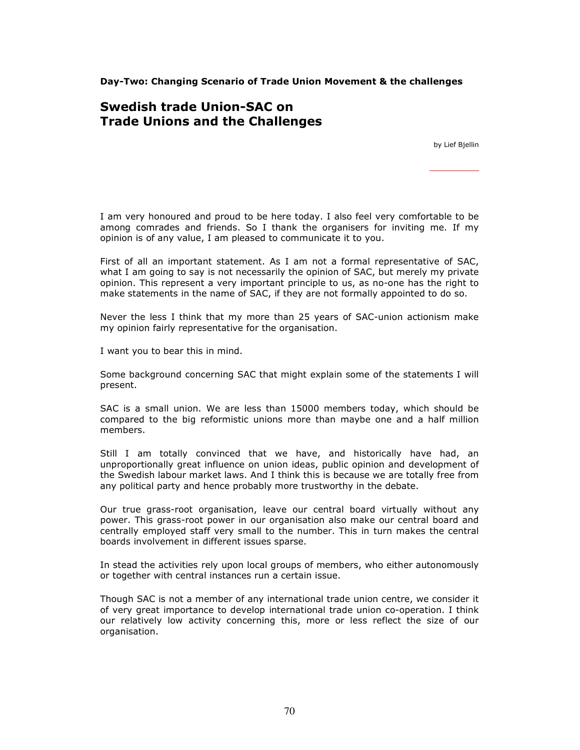Day-Two: Changing Scenario of Trade Union Movement & the challenges

# Swedish trade Union-SAC on Trade Unions and the Challenges

by Lief Bjellin

I am very honoured and proud to be here today. I also feel very comfortable to be among comrades and friends. So I thank the organisers for inviting me. If my opinion is of any value, I am pleased to communicate it to you.

First of all an important statement. As I am not a formal representative of SAC, what I am going to say is not necessarily the opinion of SAC, but merely my private opinion. This represent a very important principle to us, as no-one has the right to make statements in the name of SAC, if they are not formally appointed to do so.

Never the less I think that my more than 25 years of SAC-union actionism make my opinion fairly representative for the organisation.

I want you to bear this in mind.

Some background concerning SAC that might explain some of the statements I will present.

SAC is a small union. We are less than 15000 members today, which should be compared to the big reformistic unions more than maybe one and a half million members.

Still I am totally convinced that we have, and historically have had, an unproportionally great influence on union ideas, public opinion and development of the Swedish labour market laws. And I think this is because we are totally free from any political party and hence probably more trustworthy in the debate.

Our true grass-root organisation, leave our central board virtually without any power. This grass-root power in our organisation also make our central board and centrally employed staff very small to the number. This in turn makes the central boards involvement in different issues sparse.

In stead the activities rely upon local groups of members, who either autonomously or together with central instances run a certain issue.

Though SAC is not a member of any international trade union centre, we consider it of very great importance to develop international trade union co-operation. I think our relatively low activity concerning this, more or less reflect the size of our organisation.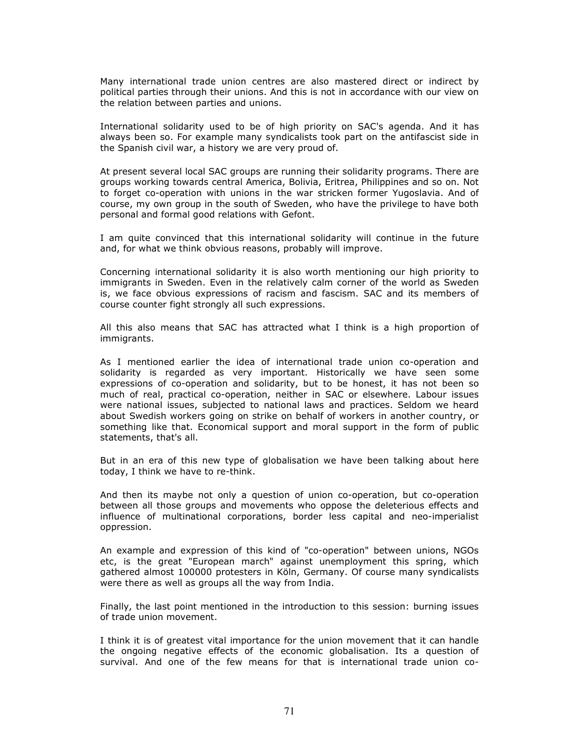Many international trade union centres are also mastered direct or indirect by political parties through their unions. And this is not in accordance with our view on the relation between parties and unions.

International solidarity used to be of high priority on SAC's agenda. And it has always been so. For example many syndicalists took part on the antifascist side in the Spanish civil war, a history we are very proud of.

At present several local SAC groups are running their solidarity programs. There are groups working towards central America, Bolivia, Eritrea, Philippines and so on. Not to forget co-operation with unions in the war stricken former Yugoslavia. And of course, my own group in the south of Sweden, who have the privilege to have both personal and formal good relations with Gefont.

I am quite convinced that this international solidarity will continue in the future and, for what we think obvious reasons, probably will improve.

Concerning international solidarity it is also worth mentioning our high priority to immigrants in Sweden. Even in the relatively calm corner of the world as Sweden is, we face obvious expressions of racism and fascism. SAC and its members of course counter fight strongly all such expressions.

All this also means that SAC has attracted what I think is a high proportion of immigrants.

As I mentioned earlier the idea of international trade union co-operation and solidarity is regarded as very important. Historically we have seen some expressions of co-operation and solidarity, but to be honest, it has not been so much of real, practical co-operation, neither in SAC or elsewhere. Labour issues were national issues, subjected to national laws and practices. Seldom we heard about Swedish workers going on strike on behalf of workers in another country, or something like that. Economical support and moral support in the form of public statements, that's all.

But in an era of this new type of globalisation we have been talking about here today, I think we have to re-think.

And then its maybe not only a question of union co-operation, but co-operation between all those groups and movements who oppose the deleterious effects and influence of multinational corporations, border less capital and neo-imperialist oppression.

An example and expression of this kind of "co-operation" between unions, NGOs etc, is the great "European march" against unemployment this spring, which gathered almost 100000 protesters in Köln, Germany. Of course many syndicalists were there as well as groups all the way from India.

Finally, the last point mentioned in the introduction to this session: burning issues of trade union movement.

I think it is of greatest vital importance for the union movement that it can handle the ongoing negative effects of the economic globalisation. Its a question of survival. And one of the few means for that is international trade union co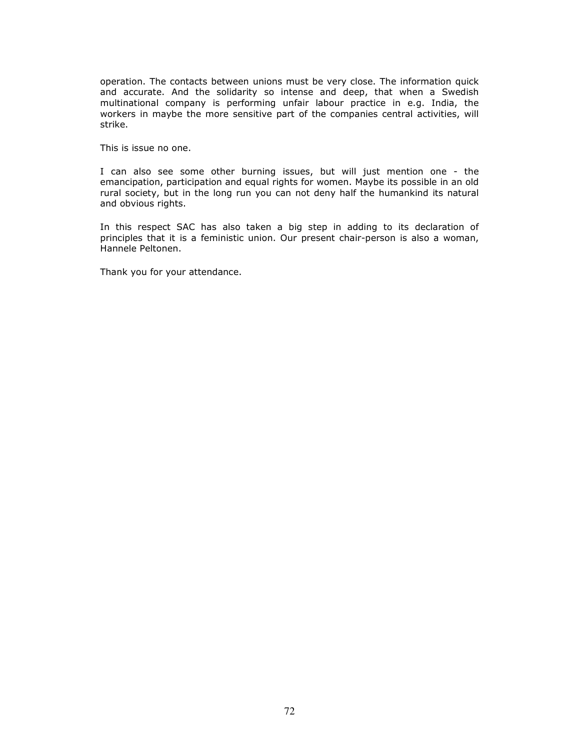operation. The contacts between unions must be very close. The information quick and accurate. And the solidarity so intense and deep, that when a Swedish multinational company is performing unfair labour practice in e.g. India, the workers in maybe the more sensitive part of the companies central activities, will strike.

This is issue no one.

I can also see some other burning issues, but will just mention one - the emancipation, participation and equal rights for women. Maybe its possible in an old rural society, but in the long run you can not deny half the humankind its natural and obvious rights.

In this respect SAC has also taken a big step in adding to its declaration of principles that it is a feministic union. Our present chair-person is also a woman, Hannele Peltonen.

Thank you for your attendance.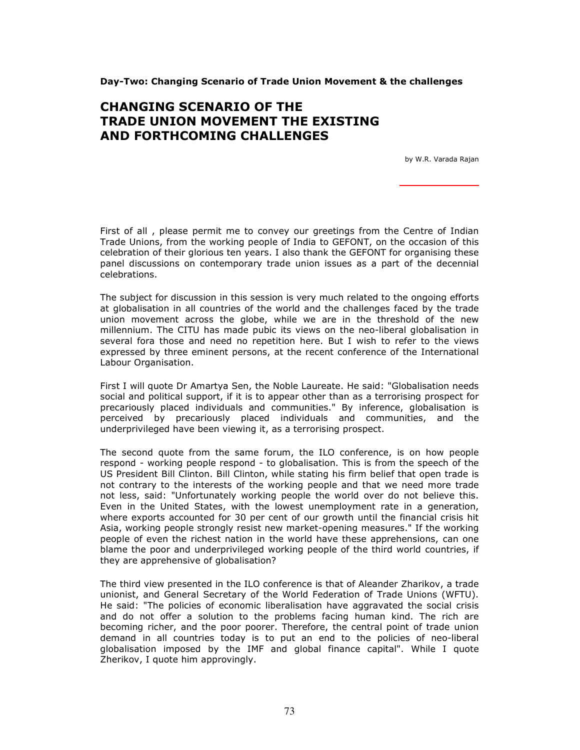## Day-Two: Changing Scenario of Trade Union Movement & the challenges

## CHANGING SCENARIO OF THE TRADE UNION MOVEMENT THE EXISTING AND FORTHCOMING CHALLENGES

by W.R. Varada Rajan

First of all , please permit me to convey our greetings from the Centre of Indian Trade Unions, from the working people of India to GEFONT, on the occasion of this celebration of their glorious ten years. I also thank the GEFONT for organising these panel discussions on contemporary trade union issues as a part of the decennial celebrations.

The subject for discussion in this session is very much related to the ongoing efforts at globalisation in all countries of the world and the challenges faced by the trade union movement across the globe, while we are in the threshold of the new millennium. The CITU has made pubic its views on the neo-liberal globalisation in several fora those and need no repetition here. But I wish to refer to the views expressed by three eminent persons, at the recent conference of the International Labour Organisation.

First I will quote Dr Amartya Sen, the Noble Laureate. He said: "Globalisation needs social and political support, if it is to appear other than as a terrorising prospect for precariously placed individuals and communities." By inference, globalisation is perceived by precariously placed individuals and communities, and the underprivileged have been viewing it, as a terrorising prospect.

The second quote from the same forum, the ILO conference, is on how people respond - working people respond - to globalisation. This is from the speech of the US President Bill Clinton. Bill Clinton, while stating his firm belief that open trade is not contrary to the interests of the working people and that we need more trade not less, said: "Unfortunately working people the world over do not believe this. Even in the United States, with the lowest unemployment rate in a generation, where exports accounted for 30 per cent of our growth until the financial crisis hit Asia, working people strongly resist new market-opening measures." If the working people of even the richest nation in the world have these apprehensions, can one blame the poor and underprivileged working people of the third world countries, if they are apprehensive of globalisation?

The third view presented in the ILO conference is that of Aleander Zharikov, a trade unionist, and General Secretary of the World Federation of Trade Unions (WFTU). He said: "The policies of economic liberalisation have aggravated the social crisis and do not offer a solution to the problems facing human kind. The rich are becoming richer, and the poor poorer. Therefore, the central point of trade union demand in all countries today is to put an end to the policies of neo-liberal globalisation imposed by the IMF and global finance capital". While I quote Zherikov, I quote him approvingly.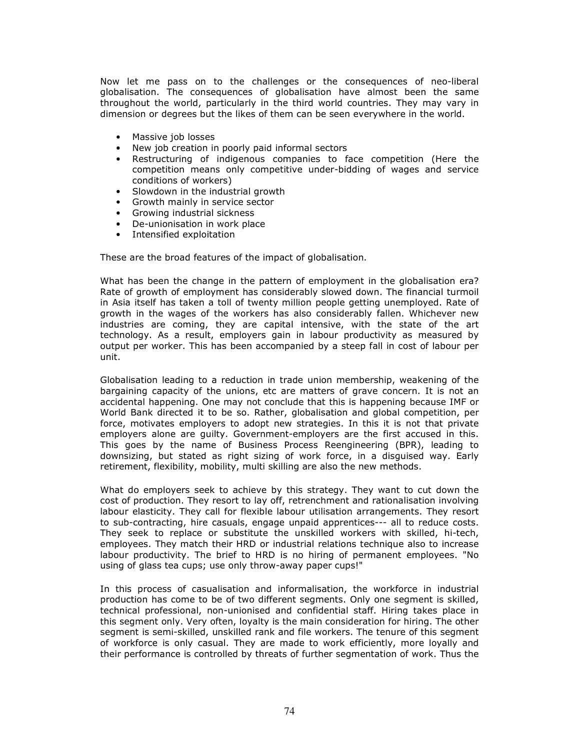Now let me pass on to the challenges or the consequences of neo-liberal globalisation. The consequences of globalisation have almost been the same throughout the world, particularly in the third world countries. They may vary in dimension or degrees but the likes of them can be seen everywhere in the world.

- Massive job losses
- New job creation in poorly paid informal sectors
- Restructuring of indigenous companies to face competition (Here the competition means only competitive under-bidding of wages and service conditions of workers)
- Slowdown in the industrial growth
- Growth mainly in service sector
- Growing industrial sickness
- De-unionisation in work place
- Intensified exploitation

These are the broad features of the impact of globalisation.

What has been the change in the pattern of employment in the globalisation era? Rate of growth of employment has considerably slowed down. The financial turmoil in Asia itself has taken a toll of twenty million people getting unemployed. Rate of growth in the wages of the workers has also considerably fallen. Whichever new industries are coming, they are capital intensive, with the state of the art technology. As a result, employers gain in labour productivity as measured by output per worker. This has been accompanied by a steep fall in cost of labour per unit.

Globalisation leading to a reduction in trade union membership, weakening of the bargaining capacity of the unions, etc are matters of grave concern. It is not an accidental happening. One may not conclude that this is happening because IMF or World Bank directed it to be so. Rather, globalisation and global competition, per force, motivates employers to adopt new strategies. In this it is not that private employers alone are guilty. Government-employers are the first accused in this. This goes by the name of Business Process Reengineering (BPR), leading to downsizing, but stated as right sizing of work force, in a disguised way. Early retirement, flexibility, mobility, multi skilling are also the new methods.

What do employers seek to achieve by this strategy. They want to cut down the cost of production. They resort to lay off, retrenchment and rationalisation involving labour elasticity. They call for flexible labour utilisation arrangements. They resort to sub-contracting, hire casuals, engage unpaid apprentices--- all to reduce costs. They seek to replace or substitute the unskilled workers with skilled, hi-tech, employees. They match their HRD or industrial relations technique also to increase labour productivity. The brief to HRD is no hiring of permanent employees. "No using of glass tea cups; use only throw-away paper cups!"

In this process of casualisation and informalisation, the workforce in industrial production has come to be of two different segments. Only one segment is skilled, technical professional, non-unionised and confidential staff. Hiring takes place in this segment only. Very often, loyalty is the main consideration for hiring. The other segment is semi-skilled, unskilled rank and file workers. The tenure of this segment of workforce is only casual. They are made to work efficiently, more loyally and their performance is controlled by threats of further segmentation of work. Thus the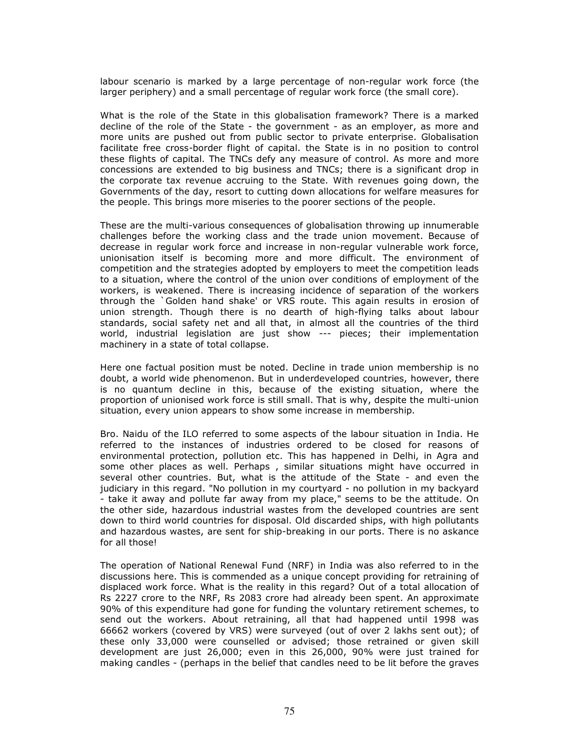labour scenario is marked by a large percentage of non-regular work force (the larger periphery) and a small percentage of regular work force (the small core).

What is the role of the State in this globalisation framework? There is a marked decline of the role of the State - the government - as an employer, as more and more units are pushed out from public sector to private enterprise. Globalisation facilitate free cross-border flight of capital. the State is in no position to control these flights of capital. The TNCs defy any measure of control. As more and more concessions are extended to big business and TNCs; there is a significant drop in the corporate tax revenue accruing to the State. With revenues going down, the Governments of the day, resort to cutting down allocations for welfare measures for the people. This brings more miseries to the poorer sections of the people.

These are the multi-various consequences of globalisation throwing up innumerable challenges before the working class and the trade union movement. Because of decrease in regular work force and increase in non-regular vulnerable work force, unionisation itself is becoming more and more difficult. The environment of competition and the strategies adopted by employers to meet the competition leads to a situation, where the control of the union over conditions of employment of the workers, is weakened. There is increasing incidence of separation of the workers through the `Golden hand shake' or VRS route. This again results in erosion of union strength. Though there is no dearth of high-flying talks about labour standards, social safety net and all that, in almost all the countries of the third world, industrial legislation are just show --- pieces; their implementation machinery in a state of total collapse.

Here one factual position must be noted. Decline in trade union membership is no doubt, a world wide phenomenon. But in underdeveloped countries, however, there is no quantum decline in this, because of the existing situation, where the proportion of unionised work force is still small. That is why, despite the multi-union situation, every union appears to show some increase in membership.

Bro. Naidu of the ILO referred to some aspects of the labour situation in India. He referred to the instances of industries ordered to be closed for reasons of environmental protection, pollution etc. This has happened in Delhi, in Agra and some other places as well. Perhaps , similar situations might have occurred in several other countries. But, what is the attitude of the State - and even the judiciary in this regard. "No pollution in my courtyard - no pollution in my backyard - take it away and pollute far away from my place," seems to be the attitude. On the other side, hazardous industrial wastes from the developed countries are sent down to third world countries for disposal. Old discarded ships, with high pollutants and hazardous wastes, are sent for ship-breaking in our ports. There is no askance for all those!

The operation of National Renewal Fund (NRF) in India was also referred to in the discussions here. This is commended as a unique concept providing for retraining of displaced work force. What is the reality in this regard? Out of a total allocation of Rs 2227 crore to the NRF, Rs 2083 crore had already been spent. An approximate 90% of this expenditure had gone for funding the voluntary retirement schemes, to send out the workers. About retraining, all that had happened until 1998 was 66662 workers (covered by VRS) were surveyed (out of over 2 lakhs sent out); of these only 33,000 were counselled or advised; those retrained or given skill development are just 26,000; even in this 26,000, 90% were just trained for making candles - (perhaps in the belief that candles need to be lit before the graves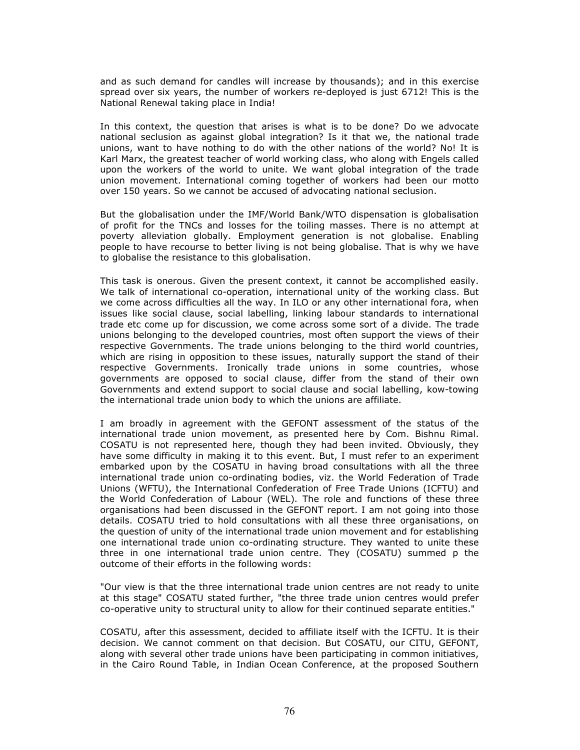and as such demand for candles will increase by thousands); and in this exercise spread over six years, the number of workers re-deployed is just 6712! This is the National Renewal taking place in India!

In this context, the question that arises is what is to be done? Do we advocate national seclusion as against global integration? Is it that we, the national trade unions, want to have nothing to do with the other nations of the world? No! It is Karl Marx, the greatest teacher of world working class, who along with Engels called upon the workers of the world to unite. We want global integration of the trade union movement. International coming together of workers had been our motto over 150 years. So we cannot be accused of advocating national seclusion.

But the globalisation under the IMF/World Bank/WTO dispensation is globalisation of profit for the TNCs and losses for the toiling masses. There is no attempt at poverty alleviation globally. Employment generation is not globalise. Enabling people to have recourse to better living is not being globalise. That is why we have to globalise the resistance to this globalisation.

This task is onerous. Given the present context, it cannot be accomplished easily. We talk of international co-operation, international unity of the working class. But we come across difficulties all the way. In ILO or any other international fora, when issues like social clause, social labelling, linking labour standards to international trade etc come up for discussion, we come across some sort of a divide. The trade unions belonging to the developed countries, most often support the views of their respective Governments. The trade unions belonging to the third world countries, which are rising in opposition to these issues, naturally support the stand of their respective Governments. Ironically trade unions in some countries, whose governments are opposed to social clause, differ from the stand of their own Governments and extend support to social clause and social labelling, kow-towing the international trade union body to which the unions are affiliate.

I am broadly in agreement with the GEFONT assessment of the status of the international trade union movement, as presented here by Com. Bishnu Rimal. COSATU is not represented here, though they had been invited. Obviously, they have some difficulty in making it to this event. But, I must refer to an experiment embarked upon by the COSATU in having broad consultations with all the three international trade union co-ordinating bodies, viz. the World Federation of Trade Unions (WFTU), the International Confederation of Free Trade Unions (ICFTU) and the World Confederation of Labour (WEL). The role and functions of these three organisations had been discussed in the GEFONT report. I am not going into those details. COSATU tried to hold consultations with all these three organisations, on the question of unity of the international trade union movement and for establishing one international trade union co-ordinating structure. They wanted to unite these three in one international trade union centre. They (COSATU) summed p the outcome of their efforts in the following words:

"Our view is that the three international trade union centres are not ready to unite at this stage" COSATU stated further, "the three trade union centres would prefer co-operative unity to structural unity to allow for their continued separate entities."

COSATU, after this assessment, decided to affiliate itself with the ICFTU. It is their decision. We cannot comment on that decision. But COSATU, our CITU, GEFONT, along with several other trade unions have been participating in common initiatives, in the Cairo Round Table, in Indian Ocean Conference, at the proposed Southern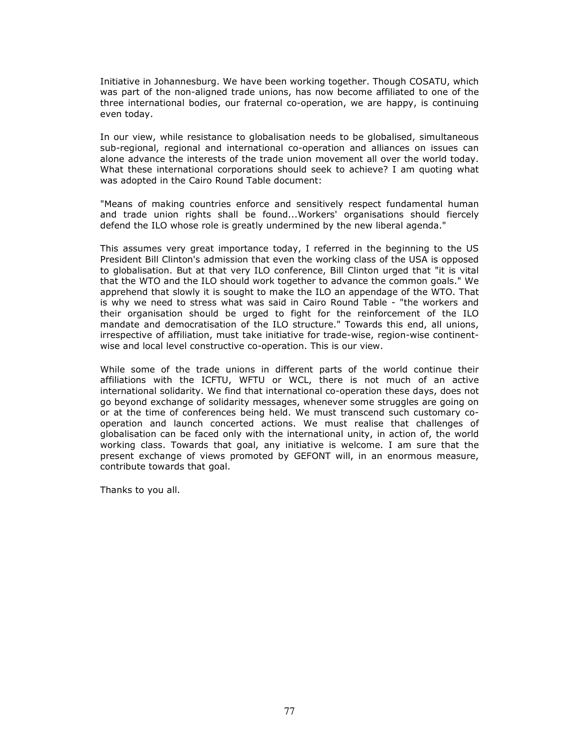Initiative in Johannesburg. We have been working together. Though COSATU, which was part of the non-aligned trade unions, has now become affiliated to one of the three international bodies, our fraternal co-operation, we are happy, is continuing even today.

In our view, while resistance to globalisation needs to be globalised, simultaneous sub-regional, regional and international co-operation and alliances on issues can alone advance the interests of the trade union movement all over the world today. What these international corporations should seek to achieve? I am quoting what was adopted in the Cairo Round Table document:

"Means of making countries enforce and sensitively respect fundamental human and trade union rights shall be found...Workers' organisations should fiercely defend the ILO whose role is greatly undermined by the new liberal agenda."

This assumes very great importance today, I referred in the beginning to the US President Bill Clinton's admission that even the working class of the USA is opposed to globalisation. But at that very ILO conference, Bill Clinton urged that "it is vital that the WTO and the ILO should work together to advance the common goals." We apprehend that slowly it is sought to make the ILO an appendage of the WTO. That is why we need to stress what was said in Cairo Round Table - "the workers and their organisation should be urged to fight for the reinforcement of the ILO mandate and democratisation of the ILO structure." Towards this end, all unions, irrespective of affiliation, must take initiative for trade-wise, region-wise continentwise and local level constructive co-operation. This is our view.

While some of the trade unions in different parts of the world continue their affiliations with the ICFTU, WFTU or WCL, there is not much of an active international solidarity. We find that international co-operation these days, does not go beyond exchange of solidarity messages, whenever some struggles are going on or at the time of conferences being held. We must transcend such customary cooperation and launch concerted actions. We must realise that challenges of globalisation can be faced only with the international unity, in action of, the world working class. Towards that goal, any initiative is welcome. I am sure that the present exchange of views promoted by GEFONT will, in an enormous measure, contribute towards that goal.

Thanks to you all.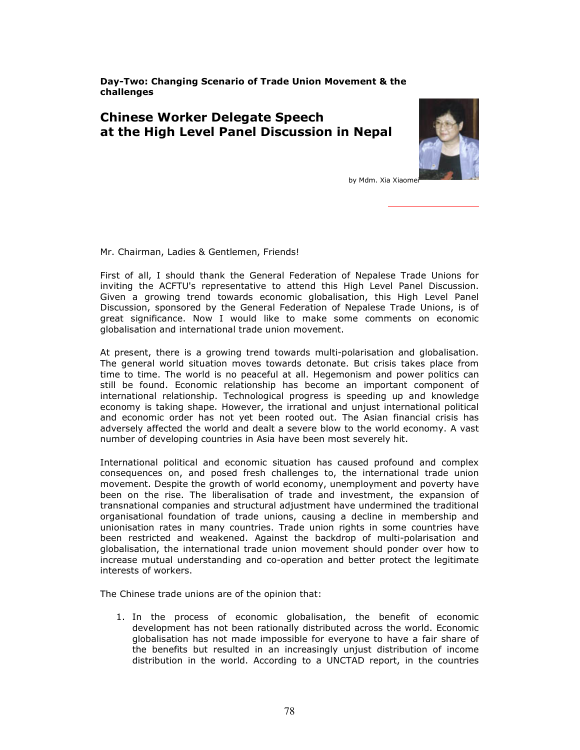Day-Two: Changing Scenario of Trade Union Movement & the challenges

## Chinese Worker Delegate Speech at the High Level Panel Discussion in Nepal



by Mdm. Xia Xiaome

Mr. Chairman, Ladies & Gentlemen, Friends!

First of all, I should thank the General Federation of Nepalese Trade Unions for inviting the ACFTU's representative to attend this High Level Panel Discussion. Given a growing trend towards economic globalisation, this High Level Panel Discussion, sponsored by the General Federation of Nepalese Trade Unions, is of great significance. Now I would like to make some comments on economic globalisation and international trade union movement.

At present, there is a growing trend towards multi-polarisation and globalisation. The general world situation moves towards detonate. But crisis takes place from time to time. The world is no peaceful at all. Hegemonism and power politics can still be found. Economic relationship has become an important component of international relationship. Technological progress is speeding up and knowledge economy is taking shape. However, the irrational and unjust international political and economic order has not yet been rooted out. The Asian financial crisis has adversely affected the world and dealt a severe blow to the world economy. A vast number of developing countries in Asia have been most severely hit.

International political and economic situation has caused profound and complex consequences on, and posed fresh challenges to, the international trade union movement. Despite the growth of world economy, unemployment and poverty have been on the rise. The liberalisation of trade and investment, the expansion of transnational companies and structural adjustment have undermined the traditional organisational foundation of trade unions, causing a decline in membership and unionisation rates in many countries. Trade union rights in some countries have been restricted and weakened. Against the backdrop of multi-polarisation and globalisation, the international trade union movement should ponder over how to increase mutual understanding and co-operation and better protect the legitimate interests of workers.

The Chinese trade unions are of the opinion that:

1. In the process of economic globalisation, the benefit of economic development has not been rationally distributed across the world. Economic globalisation has not made impossible for everyone to have a fair share of the benefits but resulted in an increasingly unjust distribution of income distribution in the world. According to a UNCTAD report, in the countries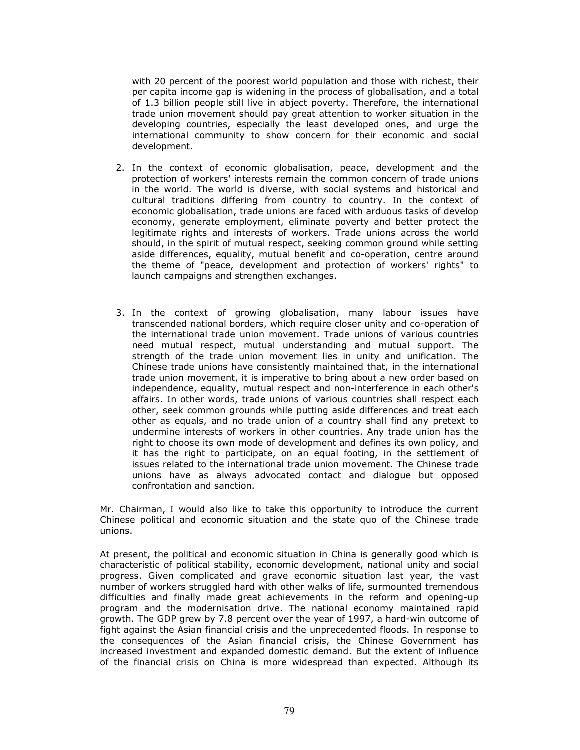with 20 percent of the poorest world population and those with richest, their per capita income gap is widening in the process of globalisation, and a total of 1.3 billion people still live in abject poverty. Therefore, the international trade union movement should pay great attention to worker situation in the developing countries, especially the least developed ones, and urge the international community to show concern for their economic and social development.

- 2. In the context of economic globalisation, peace, development and the protection of workers' interests remain the common concern of trade unions in the world. The world is diverse, with social systems and historical and cultural traditions differing from country to country. In the context of economic globalisation, trade unions are faced with arduous tasks of develop economy, generate employment, eliminate poverty and better protect the legitimate rights and interests of workers. Trade unions across the world should, in the spirit of mutual respect, seeking common ground while setting aside differences, equality, mutual benefit and co-operation, centre around the theme of "peace, development and protection of workers' rights" to launch campaigns and strengthen exchanges.
- 3. In the context of growing globalisation, many labour issues have transcended national borders, which require closer unity and co-operation of the international trade union movement. Trade unions of various countries need mutual respect, mutual understanding and mutual support. The strength of the trade union movement lies in unity and unification. The Chinese trade unions have consistently maintained that, in the international trade union movement, it is imperative to bring about a new order based on independence, equality, mutual respect and non-interference in each other's affairs. In other words, trade unions of various countries shall respect each other, seek common grounds while putting aside differences and treat each other as equals, and no trade union of a country shall find any pretext to undermine interests of workers in other countries. Any trade union has the right to choose its own mode of development and defines its own policy, and it has the right to participate, on an equal footing, in the settlement of issues related to the international trade union movement. The Chinese trade unions have as always advocated contact and dialogue but opposed confrontation and sanction.

Mr. Chairman, I would also like to take this opportunity to introduce the current Chinese political and economic situation and the state quo of the Chinese trade unions.

At present, the political and economic situation in China is generally good which is characteristic of political stability, economic development, national unity and social progress. Given complicated and grave economic situation last year, the vast number of workers struggled hard with other walks of life, surmounted tremendous difficulties and finally made great achievements in the reform and opening-up program and the modernisation drive. The national economy maintained rapid growth. The GDP grew by 7.8 percent over the year of 1997, a hard-win outcome of fight against the Asian financial crisis and the unprecedented floods. In response to the consequences of the Asian financial crisis, the Chinese Government has increased investment and expanded domestic demand. But the extent of influence of the financial crisis on China is more widespread than expected. Although its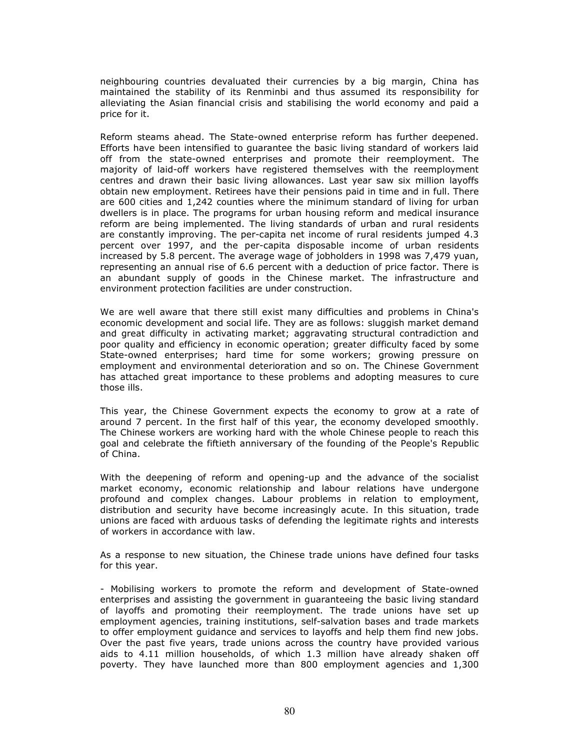neighbouring countries devaluated their currencies by a big margin, China has maintained the stability of its Renminbi and thus assumed its responsibility for alleviating the Asian financial crisis and stabilising the world economy and paid a price for it.

Reform steams ahead. The State-owned enterprise reform has further deepened. Efforts have been intensified to guarantee the basic living standard of workers laid off from the state-owned enterprises and promote their reemployment. The majority of laid-off workers have registered themselves with the reemployment centres and drawn their basic living allowances. Last year saw six million layoffs obtain new employment. Retirees have their pensions paid in time and in full. There are 600 cities and 1,242 counties where the minimum standard of living for urban dwellers is in place. The programs for urban housing reform and medical insurance reform are being implemented. The living standards of urban and rural residents are constantly improving. The per-capita net income of rural residents jumped 4.3 percent over 1997, and the per-capita disposable income of urban residents increased by 5.8 percent. The average wage of jobholders in 1998 was 7,479 yuan, representing an annual rise of 6.6 percent with a deduction of price factor. There is an abundant supply of goods in the Chinese market. The infrastructure and environment protection facilities are under construction.

We are well aware that there still exist many difficulties and problems in China's economic development and social life. They are as follows: sluggish market demand and great difficulty in activating market; aggravating structural contradiction and poor quality and efficiency in economic operation; greater difficulty faced by some State-owned enterprises; hard time for some workers; growing pressure on employment and environmental deterioration and so on. The Chinese Government has attached great importance to these problems and adopting measures to cure those ills.

This year, the Chinese Government expects the economy to grow at a rate of around 7 percent. In the first half of this year, the economy developed smoothly. The Chinese workers are working hard with the whole Chinese people to reach this goal and celebrate the fiftieth anniversary of the founding of the People's Republic of China.

With the deepening of reform and opening-up and the advance of the socialist market economy, economic relationship and labour relations have undergone profound and complex changes. Labour problems in relation to employment, distribution and security have become increasingly acute. In this situation, trade unions are faced with arduous tasks of defending the legitimate rights and interests of workers in accordance with law.

As a response to new situation, the Chinese trade unions have defined four tasks for this year.

- Mobilising workers to promote the reform and development of State-owned enterprises and assisting the government in guaranteeing the basic living standard of layoffs and promoting their reemployment. The trade unions have set up employment agencies, training institutions, self-salvation bases and trade markets to offer employment guidance and services to layoffs and help them find new jobs. Over the past five years, trade unions across the country have provided various aids to 4.11 million households, of which 1.3 million have already shaken off poverty. They have launched more than 800 employment agencies and 1,300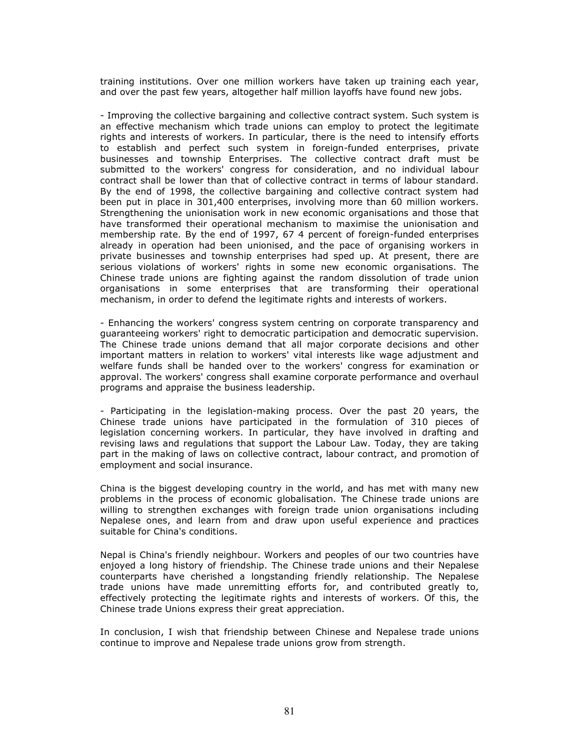training institutions. Over one million workers have taken up training each year, and over the past few years, altogether half million layoffs have found new jobs.

- Improving the collective bargaining and collective contract system. Such system is an effective mechanism which trade unions can employ to protect the legitimate rights and interests of workers. In particular, there is the need to intensify efforts to establish and perfect such system in foreign-funded enterprises, private businesses and township Enterprises. The collective contract draft must be submitted to the workers' congress for consideration, and no individual labour contract shall be lower than that of collective contract in terms of labour standard. By the end of 1998, the collective bargaining and collective contract system had been put in place in 301,400 enterprises, involving more than 60 million workers. Strengthening the unionisation work in new economic organisations and those that have transformed their operational mechanism to maximise the unionisation and membership rate. By the end of 1997, 67 4 percent of foreign-funded enterprises already in operation had been unionised, and the pace of organising workers in private businesses and township enterprises had sped up. At present, there are serious violations of workers' rights in some new economic organisations. The Chinese trade unions are fighting against the random dissolution of trade union organisations in some enterprises that are transforming their operational mechanism, in order to defend the legitimate rights and interests of workers.

- Enhancing the workers' congress system centring on corporate transparency and guaranteeing workers' right to democratic participation and democratic supervision. The Chinese trade unions demand that all major corporate decisions and other important matters in relation to workers' vital interests like wage adjustment and welfare funds shall be handed over to the workers' congress for examination or approval. The workers' congress shall examine corporate performance and overhaul programs and appraise the business leadership.

- Participating in the legislation-making process. Over the past 20 years, the Chinese trade unions have participated in the formulation of 310 pieces of legislation concerning workers. In particular, they have involved in drafting and revising laws and regulations that support the Labour Law. Today, they are taking part in the making of laws on collective contract, labour contract, and promotion of employment and social insurance.

China is the biggest developing country in the world, and has met with many new problems in the process of economic globalisation. The Chinese trade unions are willing to strengthen exchanges with foreign trade union organisations including Nepalese ones, and learn from and draw upon useful experience and practices suitable for China's conditions.

Nepal is China's friendly neighbour. Workers and peoples of our two countries have enjoyed a long history of friendship. The Chinese trade unions and their Nepalese counterparts have cherished a longstanding friendly relationship. The Nepalese trade unions have made unremitting efforts for, and contributed greatly to, effectively protecting the legitimate rights and interests of workers. Of this, the Chinese trade Unions express their great appreciation.

In conclusion, I wish that friendship between Chinese and Nepalese trade unions continue to improve and Nepalese trade unions grow from strength.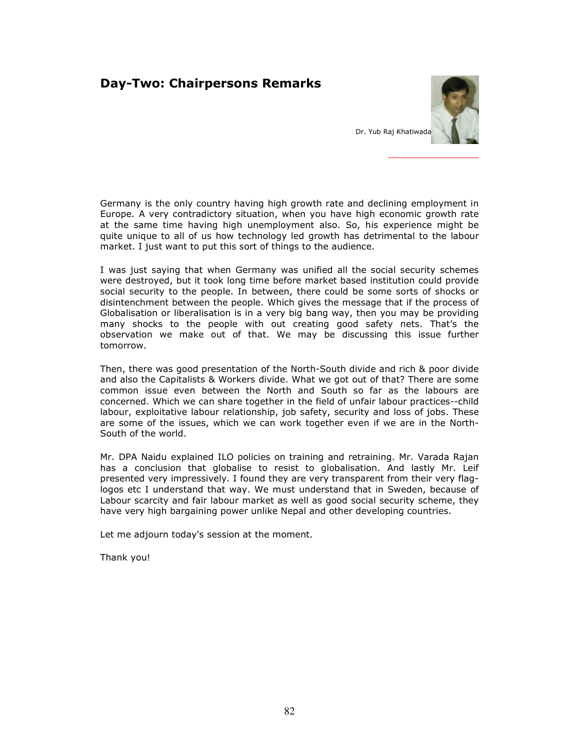# Day-Two: Chairpersons Remarks



Germany is the only country having high growth rate and declining employment in Europe. A very contradictory situation, when you have high economic growth rate at the same time having high unemployment also. So, his experience might be quite unique to all of us how technology led growth has detrimental to the labour market. I just want to put this sort of things to the audience.

I was just saying that when Germany was unified all the social security schemes were destroyed, but it took long time before market based institution could provide social security to the people. In between, there could be some sorts of shocks or disintenchment between the people. Which gives the message that if the process of Globalisation or liberalisation is in a very big bang way, then you may be providing many shocks to the people with out creating good safety nets. That's the observation we make out of that. We may be discussing this issue further tomorrow.

Then, there was good presentation of the North-South divide and rich & poor divide and also the Capitalists & Workers divide. What we got out of that? There are some common issue even between the North and South so far as the labours are concerned. Which we can share together in the field of unfair labour practices--child labour, exploitative labour relationship, job safety, security and loss of jobs. These are some of the issues, which we can work together even if we are in the North-South of the world.

Mr. DPA Naidu explained ILO policies on training and retraining. Mr. Varada Rajan has a conclusion that globalise to resist to globalisation. And lastly Mr. Leif presented very impressively. I found they are very transparent from their very flaglogos etc I understand that way. We must understand that in Sweden, because of Labour scarcity and fair labour market as well as good social security scheme, they have very high bargaining power unlike Nepal and other developing countries.

Let me adjourn today's session at the moment.

Thank you!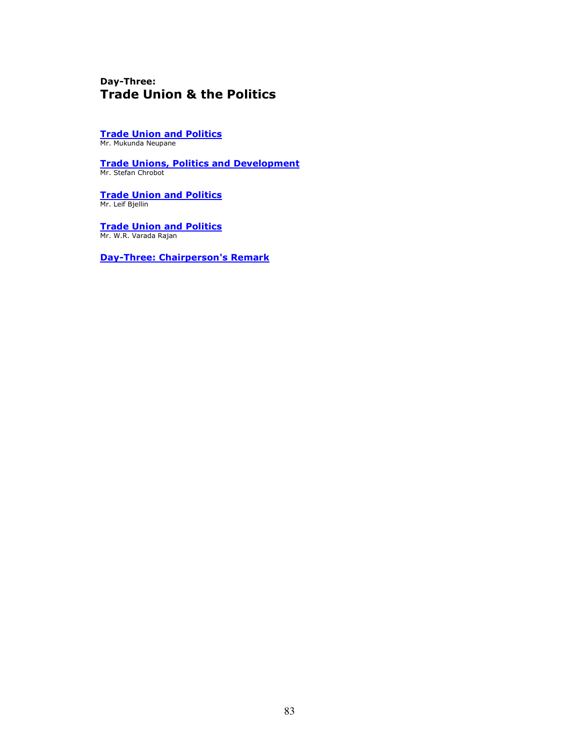## Day-Three: Trade Union & the Politics

Trade Union and Politics Mr. Mukunda Neupane

Trade Unions, Politics and Development Mr. Stefan Chrobot

Trade Union and Politics Mr. Leif Bjellin

Trade Union and Politics Mr. W.R. Varada Rajan

Day-Three: Chairperson's Remark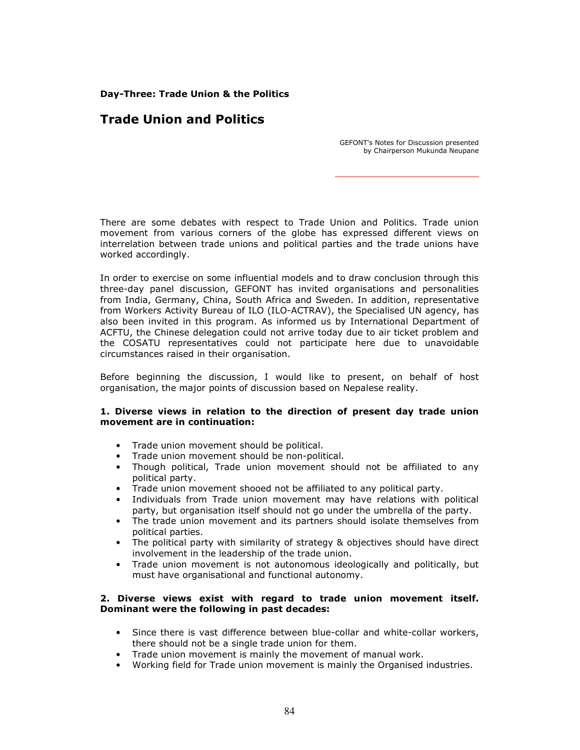Day-Three: Trade Union & the Politics

# Trade Union and Politics

GEFONT's Notes for Discussion presented by Chairperson Mukunda Neupane

There are some debates with respect to Trade Union and Politics. Trade union movement from various corners of the globe has expressed different views on interrelation between trade unions and political parties and the trade unions have worked accordingly.

In order to exercise on some influential models and to draw conclusion through this three-day panel discussion, GEFONT has invited organisations and personalities from India, Germany, China, South Africa and Sweden. In addition, representative from Workers Activity Bureau of ILO (ILO-ACTRAV), the Specialised UN agency, has also been invited in this program. As informed us by International Department of ACFTU, the Chinese delegation could not arrive today due to air ticket problem and the COSATU representatives could not participate here due to unavoidable circumstances raised in their organisation.

Before beginning the discussion, I would like to present, on behalf of host organisation, the major points of discussion based on Nepalese reality.

## 1. Diverse views in relation to the direction of present day trade union movement are in continuation:

- Trade union movement should be political.
- Trade union movement should be non-political.
- Though political, Trade union movement should not be affiliated to any political party.
- Trade union movement shooed not be affiliated to any political party.
- Individuals from Trade union movement may have relations with political party, but organisation itself should not go under the umbrella of the party.
- The trade union movement and its partners should isolate themselves from political parties.
- The political party with similarity of strategy & objectives should have direct involvement in the leadership of the trade union.
- Trade union movement is not autonomous ideologically and politically, but must have organisational and functional autonomy.

## 2. Diverse views exist with regard to trade union movement itself. Dominant were the following in past decades:

- Since there is vast difference between blue-collar and white-collar workers, there should not be a single trade union for them.
- Trade union movement is mainly the movement of manual work.
- Working field for Trade union movement is mainly the Organised industries.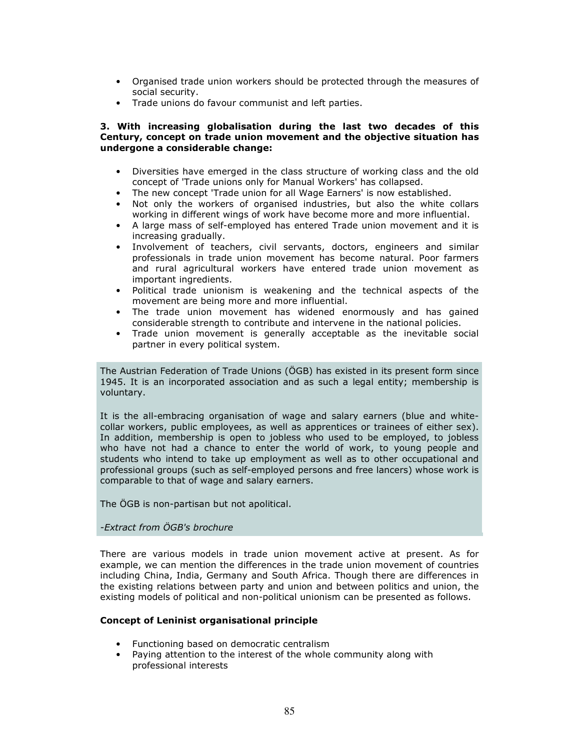- Organised trade union workers should be protected through the measures of social security.
- Trade unions do favour communist and left parties.

## 3. With increasing globalisation during the last two decades of this Century, concept on trade union movement and the objective situation has undergone a considerable change:

- Diversities have emerged in the class structure of working class and the old concept of 'Trade unions only for Manual Workers' has collapsed.
- The new concept 'Trade union for all Wage Earners' is now established.
- Not only the workers of organised industries, but also the white collars working in different wings of work have become more and more influential.
- A large mass of self-employed has entered Trade union movement and it is increasing gradually.
- Involvement of teachers, civil servants, doctors, engineers and similar professionals in trade union movement has become natural. Poor farmers and rural agricultural workers have entered trade union movement as important ingredients.
- Political trade unionism is weakening and the technical aspects of the movement are being more and more influential.
- The trade union movement has widened enormously and has gained considerable strength to contribute and intervene in the national policies.
- Trade union movement is generally acceptable as the inevitable social partner in every political system.

The Austrian Federation of Trade Unions (ÖGB) has existed in its present form since 1945. It is an incorporated association and as such a legal entity; membership is voluntary.

It is the all-embracing organisation of wage and salary earners (blue and whitecollar workers, public employees, as well as apprentices or trainees of either sex). In addition, membership is open to jobless who used to be employed, to jobless who have not had a chance to enter the world of work, to young people and students who intend to take up employment as well as to other occupational and professional groups (such as self-employed persons and free lancers) whose work is comparable to that of wage and salary earners.

The ÖGB is non-partisan but not apolitical.

## -Extract from ÖGB's brochure

There are various models in trade union movement active at present. As for example, we can mention the differences in the trade union movement of countries including China, India, Germany and South Africa. Though there are differences in the existing relations between party and union and between politics and union, the existing models of political and non-political unionism can be presented as follows.

## Concept of Leninist organisational principle

- Functioning based on democratic centralism
- Paying attention to the interest of the whole community along with professional interests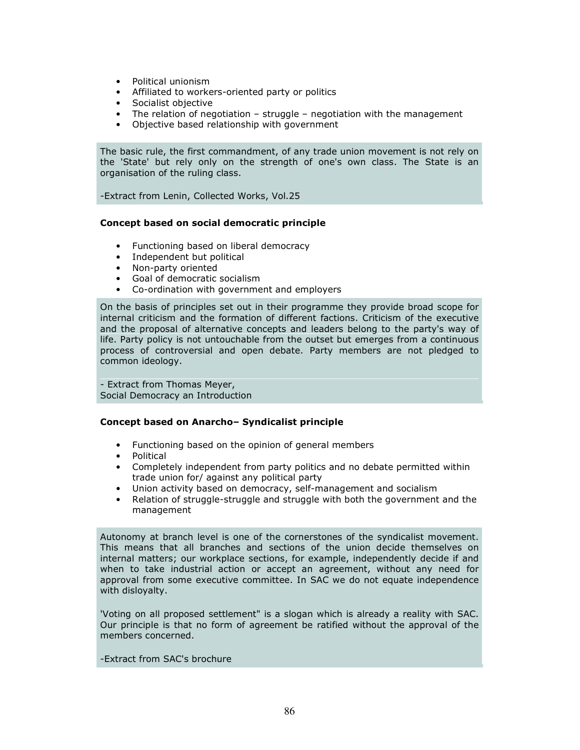- Political unionism
- Affiliated to workers-oriented party or politics
- Socialist objective
- The relation of negotiation struggle negotiation with the management
- Objective based relationship with government

The basic rule, the first commandment, of any trade union movement is not rely on the 'State' but rely only on the strength of one's own class. The State is an organisation of the ruling class.

-Extract from Lenin, Collected Works, Vol.25

## Concept based on social democratic principle

- Functioning based on liberal democracy
- Independent but political
- Non-party oriented
- Goal of democratic socialism
- Co-ordination with government and employers

On the basis of principles set out in their programme they provide broad scope for internal criticism and the formation of different factions. Criticism of the executive and the proposal of alternative concepts and leaders belong to the party's way of life. Party policy is not untouchable from the outset but emerges from a continuous process of controversial and open debate. Party members are not pledged to common ideology.

- Extract from Thomas Meyer, Social Democracy an Introduction

## Concept based on Anarcho– Syndicalist principle

- Functioning based on the opinion of general members
- Political
- Completely independent from party politics and no debate permitted within trade union for/ against any political party
- Union activity based on democracy, self-management and socialism
- Relation of struggle-struggle and struggle with both the government and the management

Autonomy at branch level is one of the cornerstones of the syndicalist movement. This means that all branches and sections of the union decide themselves on internal matters; our workplace sections, for example, independently decide if and when to take industrial action or accept an agreement, without any need for approval from some executive committee. In SAC we do not equate independence with disloyalty.

'Voting on all proposed settlement" is a slogan which is already a reality with SAC. Our principle is that no form of agreement be ratified without the approval of the members concerned.

## -Extract from SAC's brochure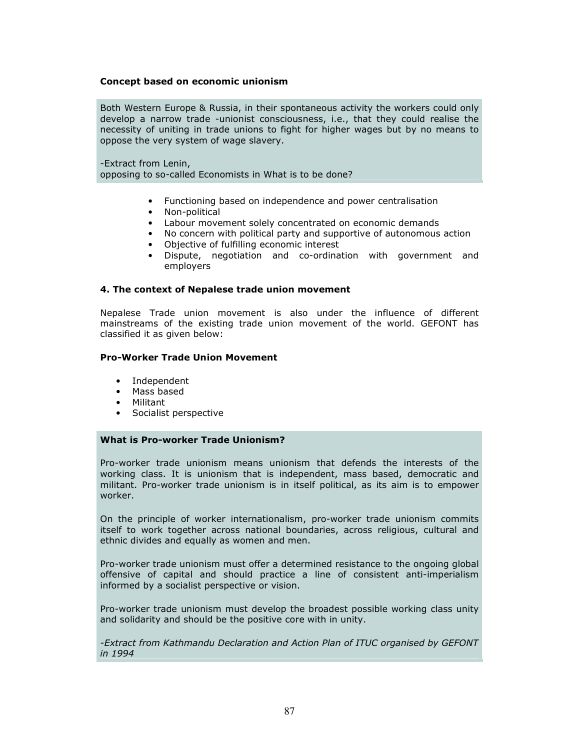### Concept based on economic unionism

Both Western Europe & Russia, in their spontaneous activity the workers could only develop a narrow trade -unionist consciousness, i.e., that they could realise the necessity of uniting in trade unions to fight for higher wages but by no means to oppose the very system of wage slavery.

-Extract from Lenin, opposing to so-called Economists in What is to be done?

- Functioning based on independence and power centralisation
- Non-political
- Labour movement solely concentrated on economic demands
- No concern with political party and supportive of autonomous action
- Objective of fulfilling economic interest
- Dispute, negotiation and co-ordination with government and employers

## 4. The context of Nepalese trade union movement

Nepalese Trade union movement is also under the influence of different mainstreams of the existing trade union movement of the world. GEFONT has classified it as given below:

### Pro-Worker Trade Union Movement

- Independent
- Mass based
- Militant
- Socialist perspective

## What is Pro-worker Trade Unionism?

Pro-worker trade unionism means unionism that defends the interests of the working class. It is unionism that is independent, mass based, democratic and militant. Pro-worker trade unionism is in itself political, as its aim is to empower worker.

On the principle of worker internationalism, pro-worker trade unionism commits itself to work together across national boundaries, across religious, cultural and ethnic divides and equally as women and men.

Pro-worker trade unionism must offer a determined resistance to the ongoing global offensive of capital and should practice a line of consistent anti-imperialism informed by a socialist perspective or vision.

Pro-worker trade unionism must develop the broadest possible working class unity and solidarity and should be the positive core with in unity.

-Extract from Kathmandu Declaration and Action Plan of ITUC organised by GEFONT in 1994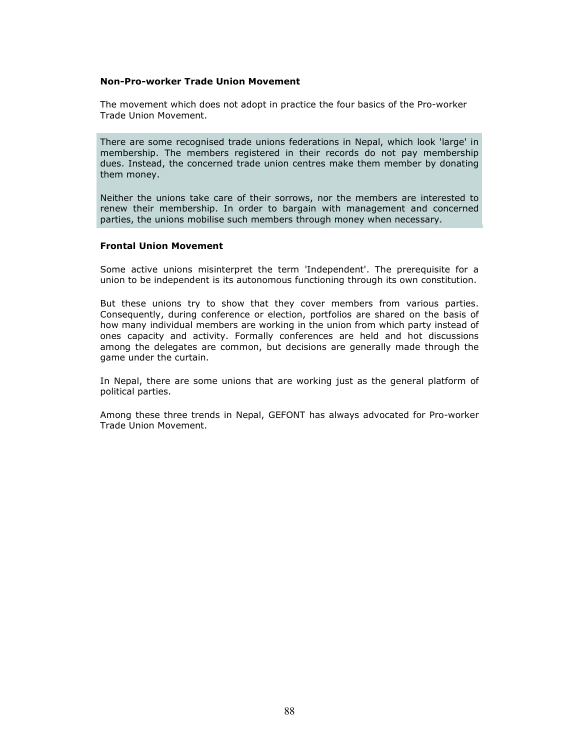### Non-Pro-worker Trade Union Movement

The movement which does not adopt in practice the four basics of the Pro-worker Trade Union Movement.

There are some recognised trade unions federations in Nepal, which look 'large' in membership. The members registered in their records do not pay membership dues. Instead, the concerned trade union centres make them member by donating them money.

Neither the unions take care of their sorrows, nor the members are interested to renew their membership. In order to bargain with management and concerned parties, the unions mobilise such members through money when necessary.

## Frontal Union Movement

Some active unions misinterpret the term 'Independent'. The prerequisite for a union to be independent is its autonomous functioning through its own constitution.

But these unions try to show that they cover members from various parties. Consequently, during conference or election, portfolios are shared on the basis of how many individual members are working in the union from which party instead of ones capacity and activity. Formally conferences are held and hot discussions among the delegates are common, but decisions are generally made through the game under the curtain.

In Nepal, there are some unions that are working just as the general platform of political parties.

Among these three trends in Nepal, GEFONT has always advocated for Pro-worker Trade Union Movement.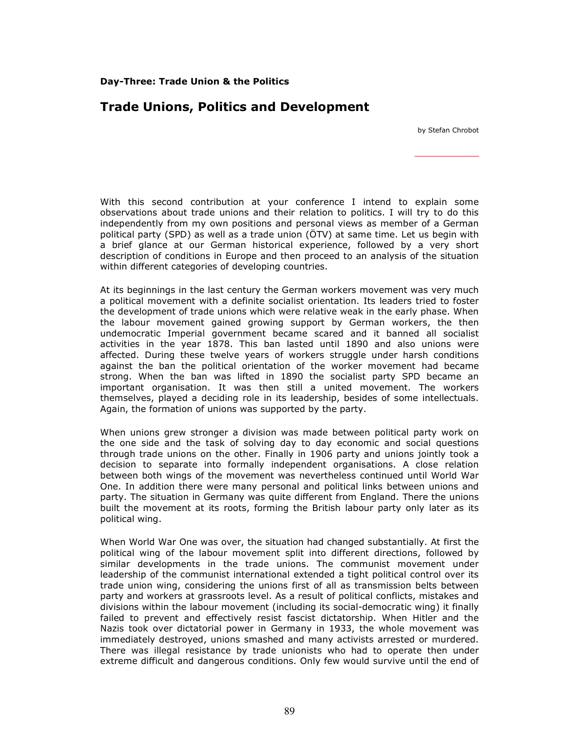## Day-Three: Trade Union & the Politics

## Trade Unions, Politics and Development

by Stefan Chrobot

With this second contribution at your conference I intend to explain some observations about trade unions and their relation to politics. I will try to do this independently from my own positions and personal views as member of a German political party (SPD) as well as a trade union (ÖTV) at same time. Let us begin with a brief glance at our German historical experience, followed by a very short description of conditions in Europe and then proceed to an analysis of the situation within different categories of developing countries.

At its beginnings in the last century the German workers movement was very much a political movement with a definite socialist orientation. Its leaders tried to foster the development of trade unions which were relative weak in the early phase. When the labour movement gained growing support by German workers, the then undemocratic Imperial government became scared and it banned all socialist activities in the year 1878. This ban lasted until 1890 and also unions were affected. During these twelve years of workers struggle under harsh conditions against the ban the political orientation of the worker movement had became strong. When the ban was lifted in 1890 the socialist party SPD became an important organisation. It was then still a united movement. The workers themselves, played a deciding role in its leadership, besides of some intellectuals. Again, the formation of unions was supported by the party.

When unions grew stronger a division was made between political party work on the one side and the task of solving day to day economic and social questions through trade unions on the other. Finally in 1906 party and unions jointly took a decision to separate into formally independent organisations. A close relation between both wings of the movement was nevertheless continued until World War One. In addition there were many personal and political links between unions and party. The situation in Germany was quite different from England. There the unions built the movement at its roots, forming the British labour party only later as its political wing.

When World War One was over, the situation had changed substantially. At first the political wing of the labour movement split into different directions, followed by similar developments in the trade unions. The communist movement under leadership of the communist international extended a tight political control over its trade union wing, considering the unions first of all as transmission belts between party and workers at grassroots level. As a result of political conflicts, mistakes and divisions within the labour movement (including its social-democratic wing) it finally failed to prevent and effectively resist fascist dictatorship. When Hitler and the Nazis took over dictatorial power in Germany in 1933, the whole movement was immediately destroyed, unions smashed and many activists arrested or murdered. There was illegal resistance by trade unionists who had to operate then under extreme difficult and dangerous conditions. Only few would survive until the end of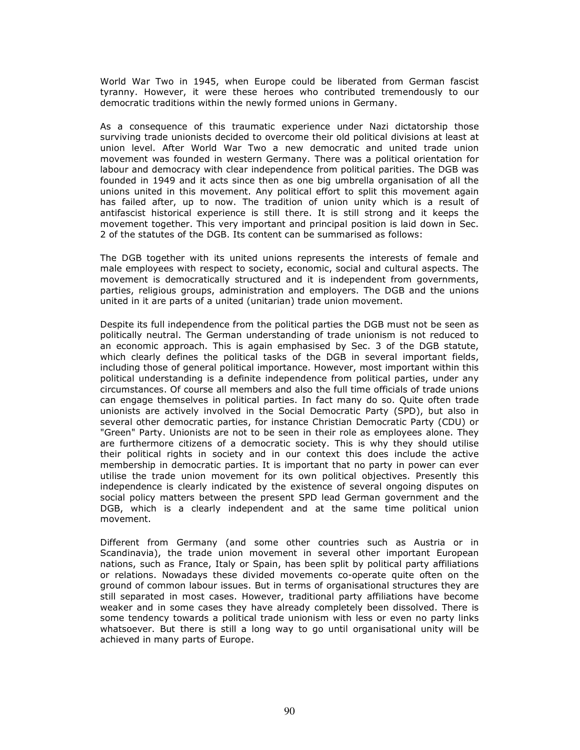World War Two in 1945, when Europe could be liberated from German fascist tyranny. However, it were these heroes who contributed tremendously to our democratic traditions within the newly formed unions in Germany.

As a consequence of this traumatic experience under Nazi dictatorship those surviving trade unionists decided to overcome their old political divisions at least at union level. After World War Two a new democratic and united trade union movement was founded in western Germany. There was a political orientation for labour and democracy with clear independence from political parities. The DGB was founded in 1949 and it acts since then as one big umbrella organisation of all the unions united in this movement. Any political effort to split this movement again has failed after, up to now. The tradition of union unity which is a result of antifascist historical experience is still there. It is still strong and it keeps the movement together. This very important and principal position is laid down in Sec. 2 of the statutes of the DGB. Its content can be summarised as follows:

The DGB together with its united unions represents the interests of female and male employees with respect to society, economic, social and cultural aspects. The movement is democratically structured and it is independent from governments, parties, religious groups, administration and employers. The DGB and the unions united in it are parts of a united (unitarian) trade union movement.

Despite its full independence from the political parties the DGB must not be seen as politically neutral. The German understanding of trade unionism is not reduced to an economic approach. This is again emphasised by Sec. 3 of the DGB statute, which clearly defines the political tasks of the DGB in several important fields, including those of general political importance. However, most important within this political understanding is a definite independence from political parties, under any circumstances. Of course all members and also the full time officials of trade unions can engage themselves in political parties. In fact many do so. Quite often trade unionists are actively involved in the Social Democratic Party (SPD), but also in several other democratic parties, for instance Christian Democratic Party (CDU) or "Green" Party. Unionists are not to be seen in their role as employees alone. They are furthermore citizens of a democratic society. This is why they should utilise their political rights in society and in our context this does include the active membership in democratic parties. It is important that no party in power can ever utilise the trade union movement for its own political objectives. Presently this independence is clearly indicated by the existence of several ongoing disputes on social policy matters between the present SPD lead German government and the DGB, which is a clearly independent and at the same time political union movement.

Different from Germany (and some other countries such as Austria or in Scandinavia), the trade union movement in several other important European nations, such as France, Italy or Spain, has been split by political party affiliations or relations. Nowadays these divided movements co-operate quite often on the ground of common labour issues. But in terms of organisational structures they are still separated in most cases. However, traditional party affiliations have become weaker and in some cases they have already completely been dissolved. There is some tendency towards a political trade unionism with less or even no party links whatsoever. But there is still a long way to go until organisational unity will be achieved in many parts of Europe.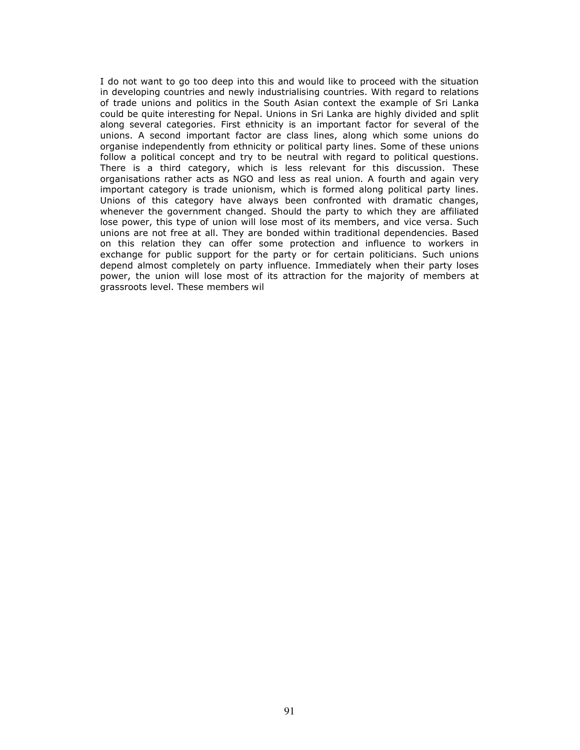I do not want to go too deep into this and would like to proceed with the situation in developing countries and newly industrialising countries. With regard to relations of trade unions and politics in the South Asian context the example of Sri Lanka could be quite interesting for Nepal. Unions in Sri Lanka are highly divided and split along several categories. First ethnicity is an important factor for several of the unions. A second important factor are class lines, along which some unions do organise independently from ethnicity or political party lines. Some of these unions follow a political concept and try to be neutral with regard to political questions. There is a third category, which is less relevant for this discussion. These organisations rather acts as NGO and less as real union. A fourth and again very important category is trade unionism, which is formed along political party lines. Unions of this category have always been confronted with dramatic changes, whenever the government changed. Should the party to which they are affiliated lose power, this type of union will lose most of its members, and vice versa. Such unions are not free at all. They are bonded within traditional dependencies. Based on this relation they can offer some protection and influence to workers in exchange for public support for the party or for certain politicians. Such unions depend almost completely on party influence. Immediately when their party loses power, the union will lose most of its attraction for the majority of members at grassroots level. These members wil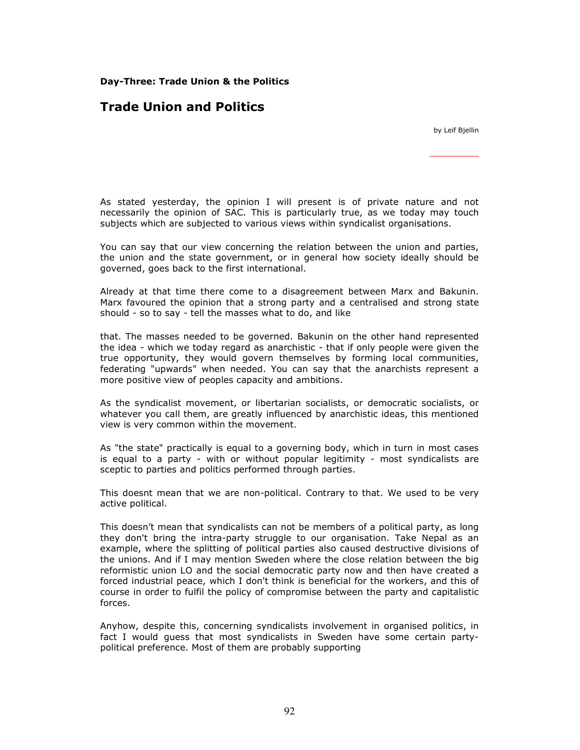Day-Three: Trade Union & the Politics

# Trade Union and Politics

by Leif Bjellin

As stated yesterday, the opinion I will present is of private nature and not necessarily the opinion of SAC. This is particularly true, as we today may touch subjects which are subjected to various views within syndicalist organisations.

You can say that our view concerning the relation between the union and parties, the union and the state government, or in general how society ideally should be governed, goes back to the first international.

Already at that time there come to a disagreement between Marx and Bakunin. Marx favoured the opinion that a strong party and a centralised and strong state should - so to say - tell the masses what to do, and like

that. The masses needed to be governed. Bakunin on the other hand represented the idea - which we today regard as anarchistic - that if only people were given the true opportunity, they would govern themselves by forming local communities, federating "upwards" when needed. You can say that the anarchists represent a more positive view of peoples capacity and ambitions.

As the syndicalist movement, or libertarian socialists, or democratic socialists, or whatever you call them, are greatly influenced by anarchistic ideas, this mentioned view is very common within the movement.

As "the state" practically is equal to a governing body, which in turn in most cases is equal to a party - with or without popular legitimity - most syndicalists are sceptic to parties and politics performed through parties.

This doesnt mean that we are non-political. Contrary to that. We used to be very active political.

This doesn't mean that syndicalists can not be members of a political party, as long they don't bring the intra-party struggle to our organisation. Take Nepal as an example, where the splitting of political parties also caused destructive divisions of the unions. And if I may mention Sweden where the close relation between the big reformistic union LO and the social democratic party now and then have created a forced industrial peace, which I don't think is beneficial for the workers, and this of course in order to fulfil the policy of compromise between the party and capitalistic forces.

Anyhow, despite this, concerning syndicalists involvement in organised politics, in fact I would guess that most syndicalists in Sweden have some certain partypolitical preference. Most of them are probably supporting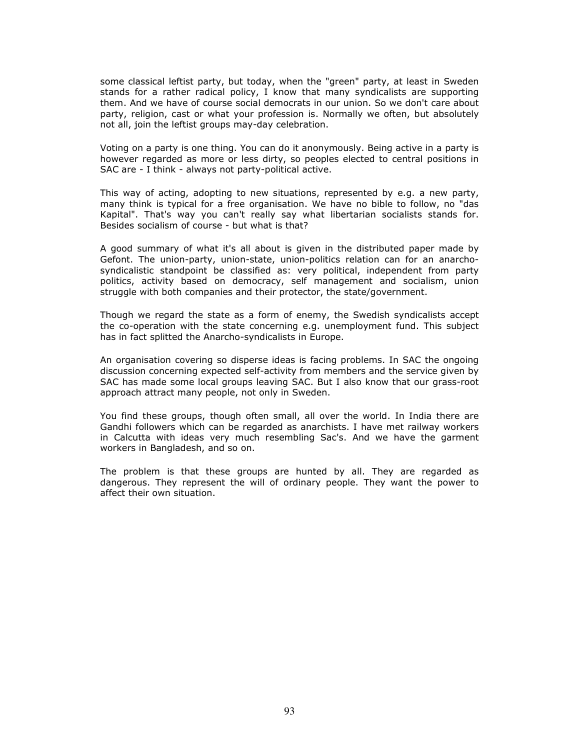some classical leftist party, but today, when the "green" party, at least in Sweden stands for a rather radical policy, I know that many syndicalists are supporting them. And we have of course social democrats in our union. So we don't care about party, religion, cast or what your profession is. Normally we often, but absolutely not all, join the leftist groups may-day celebration.

Voting on a party is one thing. You can do it anonymously. Being active in a party is however regarded as more or less dirty, so peoples elected to central positions in SAC are - I think - always not party-political active.

This way of acting, adopting to new situations, represented by e.g. a new party, many think is typical for a free organisation. We have no bible to follow, no "das Kapital". That's way you can't really say what libertarian socialists stands for. Besides socialism of course - but what is that?

A good summary of what it's all about is given in the distributed paper made by Gefont. The union-party, union-state, union-politics relation can for an anarchosyndicalistic standpoint be classified as: very political, independent from party politics, activity based on democracy, self management and socialism, union struggle with both companies and their protector, the state/government.

Though we regard the state as a form of enemy, the Swedish syndicalists accept the co-operation with the state concerning e.g. unemployment fund. This subject has in fact splitted the Anarcho-syndicalists in Europe.

An organisation covering so disperse ideas is facing problems. In SAC the ongoing discussion concerning expected self-activity from members and the service given by SAC has made some local groups leaving SAC. But I also know that our grass-root approach attract many people, not only in Sweden.

You find these groups, though often small, all over the world. In India there are Gandhi followers which can be regarded as anarchists. I have met railway workers in Calcutta with ideas very much resembling Sac's. And we have the garment workers in Bangladesh, and so on.

The problem is that these groups are hunted by all. They are regarded as dangerous. They represent the will of ordinary people. They want the power to affect their own situation.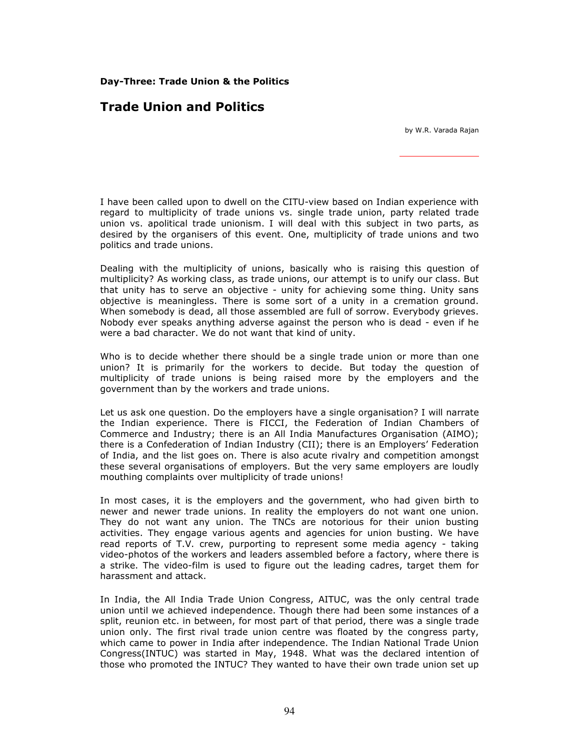Day-Three: Trade Union & the Politics

## Trade Union and Politics

by W.R. Varada Rajan

I have been called upon to dwell on the CITU-view based on Indian experience with regard to multiplicity of trade unions vs. single trade union, party related trade union vs. apolitical trade unionism. I will deal with this subject in two parts, as desired by the organisers of this event. One, multiplicity of trade unions and two politics and trade unions.

Dealing with the multiplicity of unions, basically who is raising this question of multiplicity? As working class, as trade unions, our attempt is to unify our class. But that unity has to serve an objective - unity for achieving some thing. Unity sans objective is meaningless. There is some sort of a unity in a cremation ground. When somebody is dead, all those assembled are full of sorrow. Everybody grieves. Nobody ever speaks anything adverse against the person who is dead - even if he were a bad character. We do not want that kind of unity.

Who is to decide whether there should be a single trade union or more than one union? It is primarily for the workers to decide. But today the question of multiplicity of trade unions is being raised more by the employers and the government than by the workers and trade unions.

Let us ask one question. Do the employers have a single organisation? I will narrate the Indian experience. There is FICCI, the Federation of Indian Chambers of Commerce and Industry; there is an All India Manufactures Organisation (AIMO); there is a Confederation of Indian Industry (CII); there is an Employers' Federation of India, and the list goes on. There is also acute rivalry and competition amongst these several organisations of employers. But the very same employers are loudly mouthing complaints over multiplicity of trade unions!

In most cases, it is the employers and the government, who had given birth to newer and newer trade unions. In reality the employers do not want one union. They do not want any union. The TNCs are notorious for their union busting activities. They engage various agents and agencies for union busting. We have read reports of T.V. crew, purporting to represent some media agency - taking video-photos of the workers and leaders assembled before a factory, where there is a strike. The video-film is used to figure out the leading cadres, target them for harassment and attack.

In India, the All India Trade Union Congress, AITUC, was the only central trade union until we achieved independence. Though there had been some instances of a split, reunion etc. in between, for most part of that period, there was a single trade union only. The first rival trade union centre was floated by the congress party, which came to power in India after independence. The Indian National Trade Union Congress(INTUC) was started in May, 1948. What was the declared intention of those who promoted the INTUC? They wanted to have their own trade union set up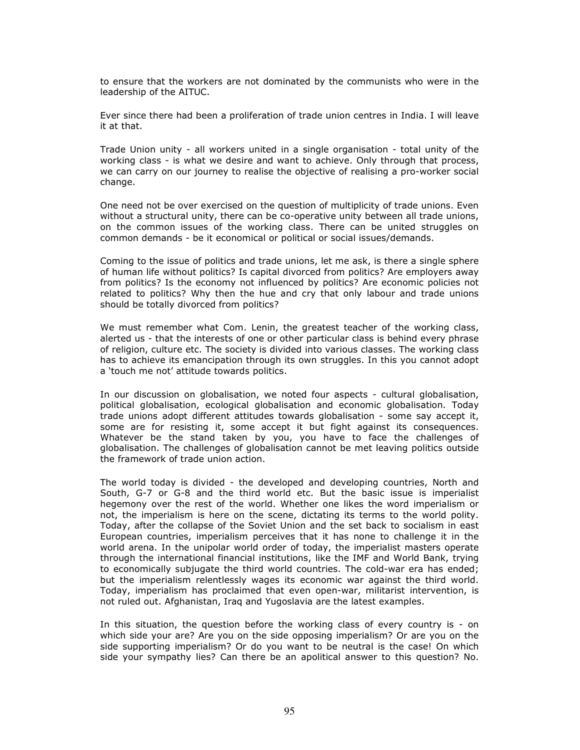to ensure that the workers are not dominated by the communists who were in the leadership of the AITUC.

Ever since there had been a proliferation of trade union centres in India. I will leave it at that.

Trade Union unity - all workers united in a single organisation - total unity of the working class - is what we desire and want to achieve. Only through that process, we can carry on our journey to realise the objective of realising a pro-worker social change.

One need not be over exercised on the question of multiplicity of trade unions. Even without a structural unity, there can be co-operative unity between all trade unions, on the common issues of the working class. There can be united struggles on common demands - be it economical or political or social issues/demands.

Coming to the issue of politics and trade unions, let me ask, is there a single sphere of human life without politics? Is capital divorced from politics? Are employers away from politics? Is the economy not influenced by politics? Are economic policies not related to politics? Why then the hue and cry that only labour and trade unions should be totally divorced from politics?

We must remember what Com. Lenin, the greatest teacher of the working class, alerted us - that the interests of one or other particular class is behind every phrase of religion, culture etc. The society is divided into various classes. The working class has to achieve its emancipation through its own struggles. In this you cannot adopt a 'touch me not' attitude towards politics.

In our discussion on globalisation, we noted four aspects - cultural globalisation, political globalisation, ecological globalisation and economic globalisation. Today trade unions adopt different attitudes towards globalisation - some say accept it, some are for resisting it, some accept it but fight against its consequences. Whatever be the stand taken by you, you have to face the challenges of globalisation. The challenges of globalisation cannot be met leaving politics outside the framework of trade union action.

The world today is divided - the developed and developing countries, North and South, G-7 or G-8 and the third world etc. But the basic issue is imperialist hegemony over the rest of the world. Whether one likes the word imperialism or not, the imperialism is here on the scene, dictating its terms to the world polity. Today, after the collapse of the Soviet Union and the set back to socialism in east European countries, imperialism perceives that it has none to challenge it in the world arena. In the unipolar world order of today, the imperialist masters operate through the international financial institutions, like the IMF and World Bank, trying to economically subjugate the third world countries. The cold-war era has ended; but the imperialism relentlessly wages its economic war against the third world. Today, imperialism has proclaimed that even open-war, militarist intervention, is not ruled out. Afghanistan, Iraq and Yugoslavia are the latest examples.

In this situation, the question before the working class of every country is - on which side your are? Are you on the side opposing imperialism? Or are you on the side supporting imperialism? Or do you want to be neutral is the case! On which side your sympathy lies? Can there be an apolitical answer to this question? No.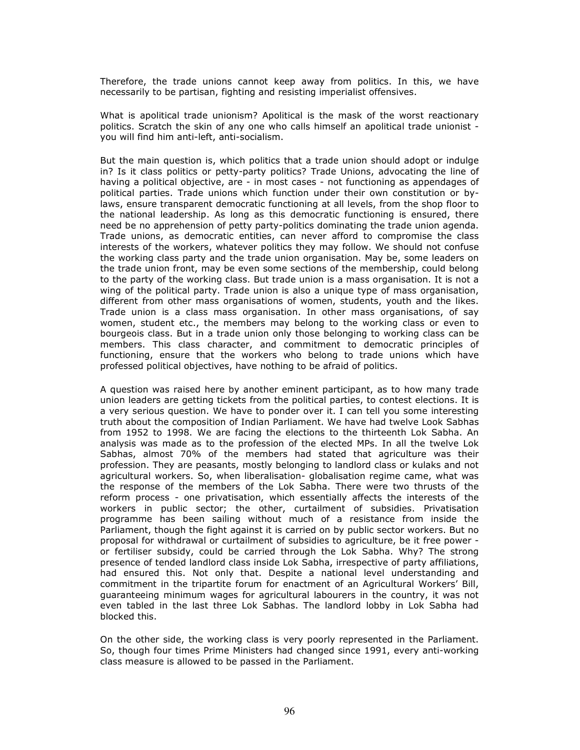Therefore, the trade unions cannot keep away from politics. In this, we have necessarily to be partisan, fighting and resisting imperialist offensives.

What is apolitical trade unionism? Apolitical is the mask of the worst reactionary politics. Scratch the skin of any one who calls himself an apolitical trade unionist you will find him anti-left, anti-socialism.

But the main question is, which politics that a trade union should adopt or indulge in? Is it class politics or petty-party politics? Trade Unions, advocating the line of having a political objective, are - in most cases - not functioning as appendages of political parties. Trade unions which function under their own constitution or bylaws, ensure transparent democratic functioning at all levels, from the shop floor to the national leadership. As long as this democratic functioning is ensured, there need be no apprehension of petty party-politics dominating the trade union agenda. Trade unions, as democratic entities, can never afford to compromise the class interests of the workers, whatever politics they may follow. We should not confuse the working class party and the trade union organisation. May be, some leaders on the trade union front, may be even some sections of the membership, could belong to the party of the working class. But trade union is a mass organisation. It is not a wing of the political party. Trade union is also a unique type of mass organisation, different from other mass organisations of women, students, youth and the likes. Trade union is a class mass organisation. In other mass organisations, of say women, student etc., the members may belong to the working class or even to bourgeois class. But in a trade union only those belonging to working class can be members. This class character, and commitment to democratic principles of functioning, ensure that the workers who belong to trade unions which have professed political objectives, have nothing to be afraid of politics.

A question was raised here by another eminent participant, as to how many trade union leaders are getting tickets from the political parties, to contest elections. It is a very serious question. We have to ponder over it. I can tell you some interesting truth about the composition of Indian Parliament. We have had twelve Look Sabhas from 1952 to 1998. We are facing the elections to the thirteenth Lok Sabha. An analysis was made as to the profession of the elected MPs. In all the twelve Lok Sabhas, almost 70% of the members had stated that agriculture was their profession. They are peasants, mostly belonging to landlord class or kulaks and not agricultural workers. So, when liberalisation- globalisation regime came, what was the response of the members of the Lok Sabha. There were two thrusts of the reform process - one privatisation, which essentially affects the interests of the workers in public sector; the other, curtailment of subsidies. Privatisation programme has been sailing without much of a resistance from inside the Parliament, though the fight against it is carried on by public sector workers. But no proposal for withdrawal or curtailment of subsidies to agriculture, be it free power or fertiliser subsidy, could be carried through the Lok Sabha. Why? The strong presence of tended landlord class inside Lok Sabha, irrespective of party affiliations, had ensured this. Not only that. Despite a national level understanding and commitment in the tripartite forum for enactment of an Agricultural Workers' Bill, guaranteeing minimum wages for agricultural labourers in the country, it was not even tabled in the last three Lok Sabhas. The landlord lobby in Lok Sabha had blocked this.

On the other side, the working class is very poorly represented in the Parliament. So, though four times Prime Ministers had changed since 1991, every anti-working class measure is allowed to be passed in the Parliament.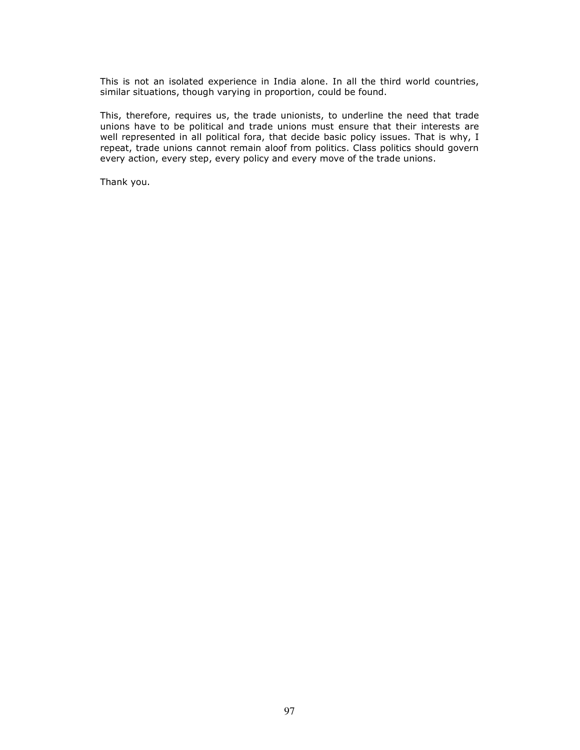This is not an isolated experience in India alone. In all the third world countries, similar situations, though varying in proportion, could be found.

This, therefore, requires us, the trade unionists, to underline the need that trade unions have to be political and trade unions must ensure that their interests are well represented in all political fora, that decide basic policy issues. That is why, I repeat, trade unions cannot remain aloof from politics. Class politics should govern every action, every step, every policy and every move of the trade unions.

Thank you.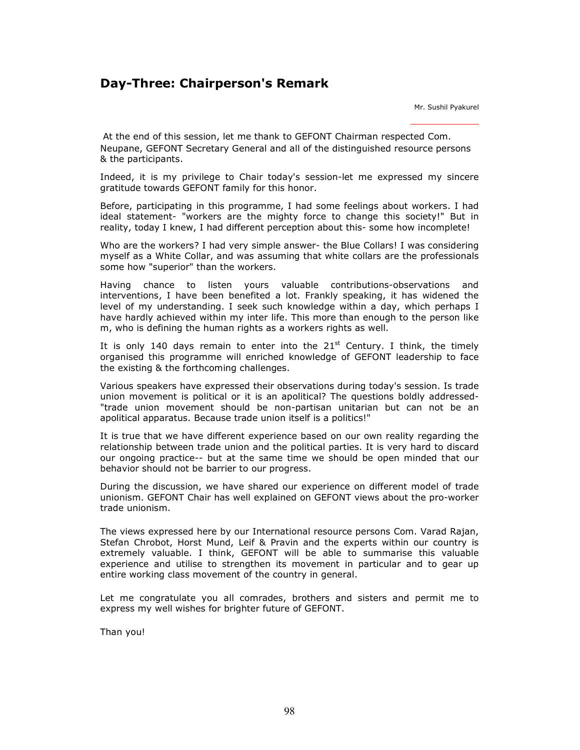# Day-Three: Chairperson's Remark

Mr. Sushil Pyakurel

At the end of this session, let me thank to GEFONT Chairman respected Com. Neupane, GEFONT Secretary General and all of the distinguished resource persons & the participants.

Indeed, it is my privilege to Chair today's session-let me expressed my sincere gratitude towards GEFONT family for this honor.

Before, participating in this programme, I had some feelings about workers. I had ideal statement- "workers are the mighty force to change this society!" But in reality, today I knew, I had different perception about this- some how incomplete!

Who are the workers? I had very simple answer- the Blue Collars! I was considering myself as a White Collar, and was assuming that white collars are the professionals some how "superior" than the workers.

Having chance to listen yours valuable contributions-observations and interventions, I have been benefited a lot. Frankly speaking, it has widened the level of my understanding. I seek such knowledge within a day, which perhaps I have hardly achieved within my inter life. This more than enough to the person like m, who is defining the human rights as a workers rights as well.

It is only 140 days remain to enter into the  $21<sup>st</sup>$  Century. I think, the timely organised this programme will enriched knowledge of GEFONT leadership to face the existing & the forthcoming challenges.

Various speakers have expressed their observations during today's session. Is trade union movement is political or it is an apolitical? The questions boldly addressed- "trade union movement should be non-partisan unitarian but can not be an apolitical apparatus. Because trade union itself is a politics!"

It is true that we have different experience based on our own reality regarding the relationship between trade union and the political parties. It is very hard to discard our ongoing practice-- but at the same time we should be open minded that our behavior should not be barrier to our progress.

During the discussion, we have shared our experience on different model of trade unionism. GEFONT Chair has well explained on GEFONT views about the pro-worker trade unionism.

The views expressed here by our International resource persons Com. Varad Rajan, Stefan Chrobot, Horst Mund, Leif & Pravin and the experts within our country is extremely valuable. I think, GEFONT will be able to summarise this valuable experience and utilise to strengthen its movement in particular and to gear up entire working class movement of the country in general.

Let me congratulate you all comrades, brothers and sisters and permit me to express my well wishes for brighter future of GEFONT.

Than you!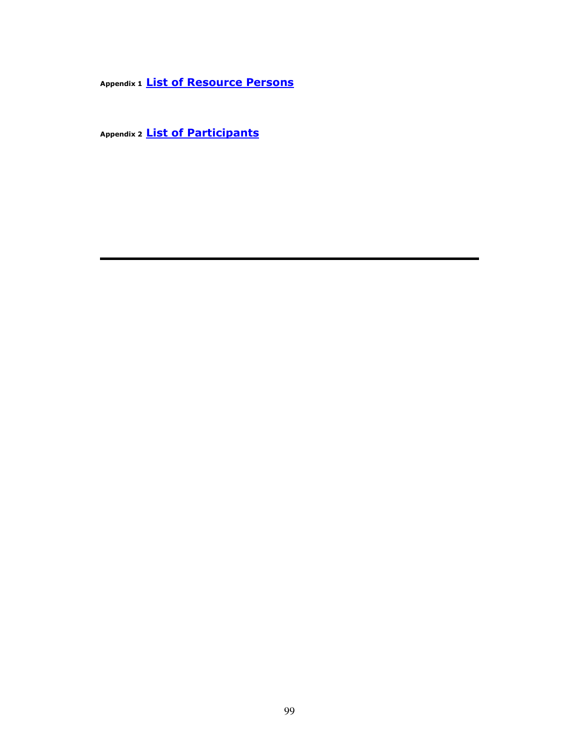Appendix 1 **List of Resource Persons** 

Appendix 2 **List of Participants**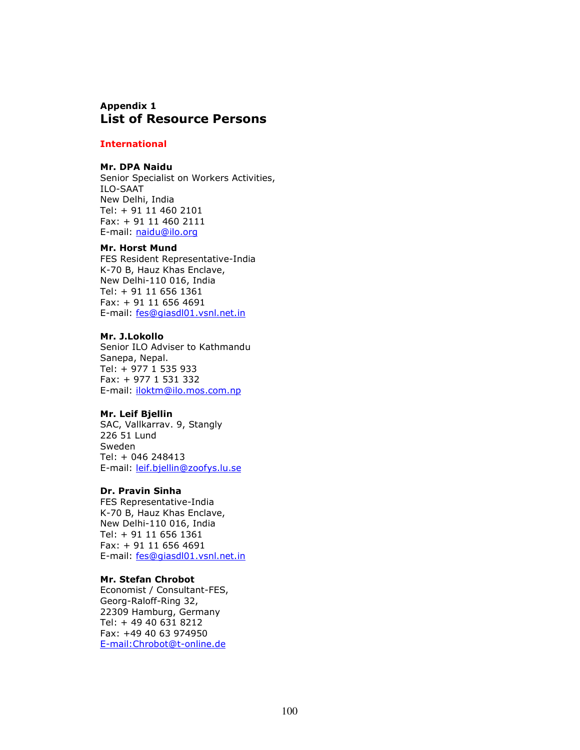## Appendix 1 List of Resource Persons

## **International**

#### Mr. DPA Naidu

Senior Specialist on Workers Activities, ILO-SAAT New Delhi, India Tel: + 91 11 460 2101 Fax: + 91 11 460 2111 E-mail: naidu@ilo.org

#### Mr. Horst Mund

FES Resident Representative-India K-70 B, Hauz Khas Enclave, New Delhi-110 016, India Tel: + 91 11 656 1361 Fax: + 91 11 656 4691 E-mail: fes@giasdl01.vsnl.net.in

#### Mr. J.Lokollo

Senior ILO Adviser to Kathmandu Sanepa, Nepal. Tel: + 977 1 535 933 Fax: + 977 1 531 332 E-mail: iloktm@ilo.mos.com.np

### Mr. Leif Bjellin

SAC, Vallkarrav. 9, Stangly 226 51 Lund Sweden Tel: + 046 248413 E-mail: leif.bjellin@zoofys.lu.se

#### Dr. Pravin Sinha

FES Representative-India K-70 B, Hauz Khas Enclave, New Delhi-110 016, India Tel: + 91 11 656 1361 Fax: + 91 11 656 4691 E-mail: fes@giasdl01.vsnl.net.in

### Mr. Stefan Chrobot

Economist / Consultant-FES, Georg-Raloff-Ring 32, 22309 Hamburg, Germany Tel: + 49 40 631 8212 Fax: +49 40 63 974950 E-mail:Chrobot@t-online.de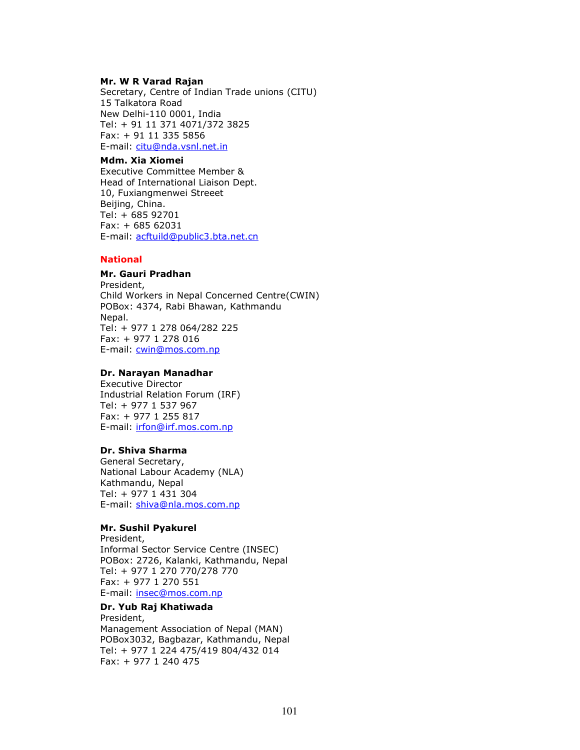#### Mr. W R Varad Rajan

Secretary, Centre of Indian Trade unions (CITU) 15 Talkatora Road New Delhi-110 0001, India Tel: + 91 11 371 4071/372 3825 Fax: + 91 11 335 5856 E-mail: citu@nda.vsnl.net.in

## Mdm. Xia Xiomei

Executive Committee Member & Head of International Liaison Dept. 10, Fuxiangmenwei Streeet Beijing, China. Tel: + 685 92701 Fax: + 685 62031 E-mail: acftuild@public3.bta.net.cn

### **National**

## Mr. Gauri Pradhan

President, Child Workers in Nepal Concerned Centre(CWIN) POBox: 4374, Rabi Bhawan, Kathmandu Nepal. Tel: + 977 1 278 064/282 225 Fax: + 977 1 278 016 E-mail: cwin@mos.com.np

#### Dr. Narayan Manadhar

Executive Director Industrial Relation Forum (IRF) Tel: + 977 1 537 967 Fax: + 977 1 255 817 E-mail: irfon@irf.mos.com.np

## Dr. Shiva Sharma

General Secretary, National Labour Academy (NLA) Kathmandu, Nepal Tel: + 977 1 431 304 E-mail: shiva@nla.mos.com.np

## Mr. Sushil Pyakurel

President, Informal Sector Service Centre (INSEC) POBox: 2726, Kalanki, Kathmandu, Nepal Tel: + 977 1 270 770/278 770 Fax: + 977 1 270 551 E-mail: insec@mos.com.np

#### Dr. Yub Raj Khatiwada President,

Management Association of Nepal (MAN) POBox3032, Bagbazar, Kathmandu, Nepal Tel: + 977 1 224 475/419 804/432 014 Fax: + 977 1 240 475